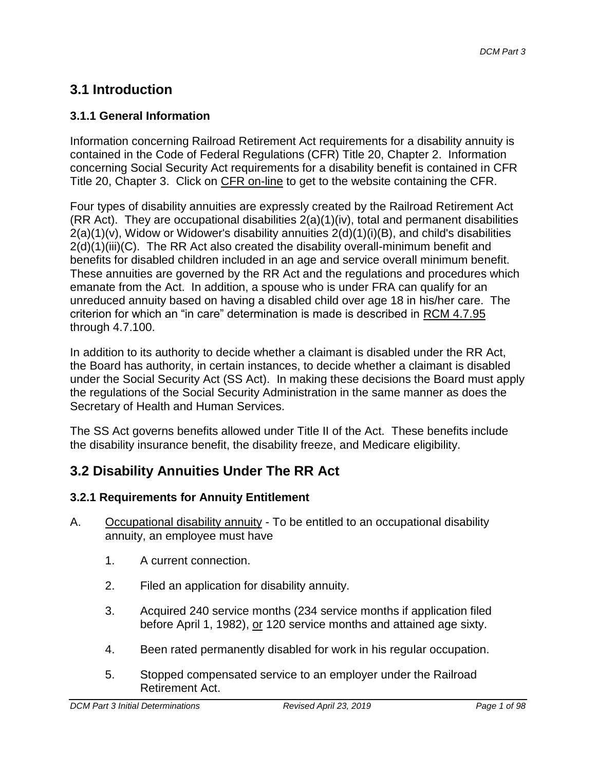# **3.1 Introduction**

# **3.1.1 General Information**

Information concerning Railroad Retirement Act requirements for a disability annuity is contained in the Code of Federal Regulations (CFR) Title 20, Chapter 2. Information concerning Social Security Act requirements for a disability benefit is contained in CFR Title 20, Chapter 3. Click on CFR on-line to get to the website containing the CFR.

Four types of disability annuities are expressly created by the Railroad Retirement Act (RR Act). They are occupational disabilities 2(a)(1)(iv), total and permanent disabilities  $2(a)(1)(v)$ , Widow or Widower's disability annuities  $2(d)(1)(i)(B)$ , and child's disabilities 2(d)(1)(iii)(C). The RR Act also created the disability overall-minimum benefit and benefits for disabled children included in an age and service overall minimum benefit. These annuities are governed by the RR Act and the regulations and procedures which emanate from the Act. In addition, a spouse who is under FRA can qualify for an unreduced annuity based on having a disabled child over age 18 in his/her care. The criterion for which an "in care" determination is made is described in RCM 4.7.95 through 4.7.100.

In addition to its authority to decide whether a claimant is disabled under the RR Act, the Board has authority, in certain instances, to decide whether a claimant is disabled under the Social Security Act (SS Act). In making these decisions the Board must apply the regulations of the Social Security Administration in the same manner as does the Secretary of Health and Human Services.

The SS Act governs benefits allowed under Title II of the Act. These benefits include the disability insurance benefit, the disability freeze, and Medicare eligibility.

# **3.2 Disability Annuities Under The RR Act**

### **3.2.1 Requirements for Annuity Entitlement**

- A. Occupational disability annuity To be entitled to an occupational disability annuity, an employee must have
	- 1. A current connection.
	- 2. Filed an application for disability annuity.
	- 3. Acquired 240 service months (234 service months if application filed before April 1, 1982), or 120 service months and attained age sixty.
	- 4. Been rated permanently disabled for work in his regular occupation.
	- 5. Stopped compensated service to an employer under the Railroad Retirement Act.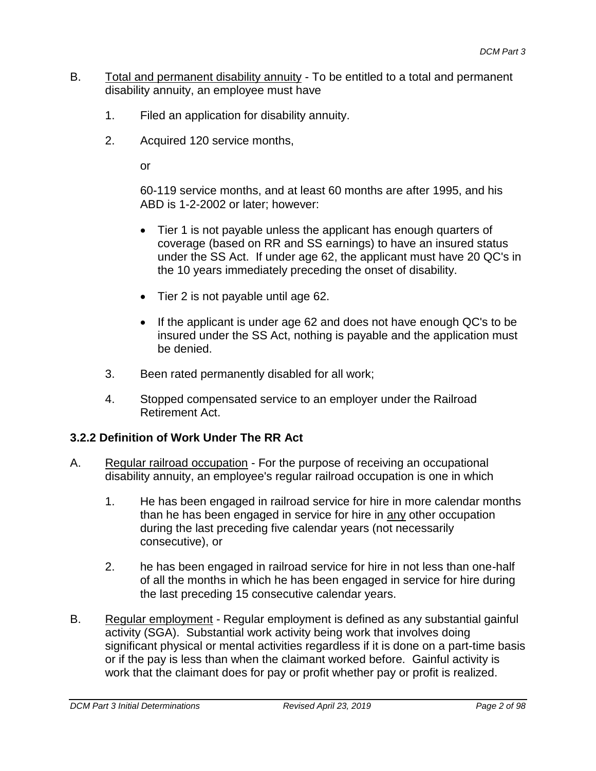- B. Total and permanent disability annuity To be entitled to a total and permanent disability annuity, an employee must have
	- 1. Filed an application for disability annuity.
	- 2. Acquired 120 service months,

or

60-119 service months, and at least 60 months are after 1995, and his ABD is 1-2-2002 or later; however:

- Tier 1 is not payable unless the applicant has enough quarters of coverage (based on RR and SS earnings) to have an insured status under the SS Act. If under age 62, the applicant must have 20 QC's in the 10 years immediately preceding the onset of disability.
- Tier 2 is not payable until age 62.
- If the applicant is under age 62 and does not have enough QC's to be insured under the SS Act, nothing is payable and the application must be denied.
- 3. Been rated permanently disabled for all work;
- 4. Stopped compensated service to an employer under the Railroad Retirement Act.

### **3.2.2 Definition of Work Under The RR Act**

- A. Regular railroad occupation For the purpose of receiving an occupational disability annuity, an employee's regular railroad occupation is one in which
	- 1. He has been engaged in railroad service for hire in more calendar months than he has been engaged in service for hire in any other occupation during the last preceding five calendar years (not necessarily consecutive), or
	- 2. he has been engaged in railroad service for hire in not less than one-half of all the months in which he has been engaged in service for hire during the last preceding 15 consecutive calendar years.
- B. Regular employment Regular employment is defined as any substantial gainful activity (SGA). Substantial work activity being work that involves doing significant physical or mental activities regardless if it is done on a part-time basis or if the pay is less than when the claimant worked before. Gainful activity is work that the claimant does for pay or profit whether pay or profit is realized.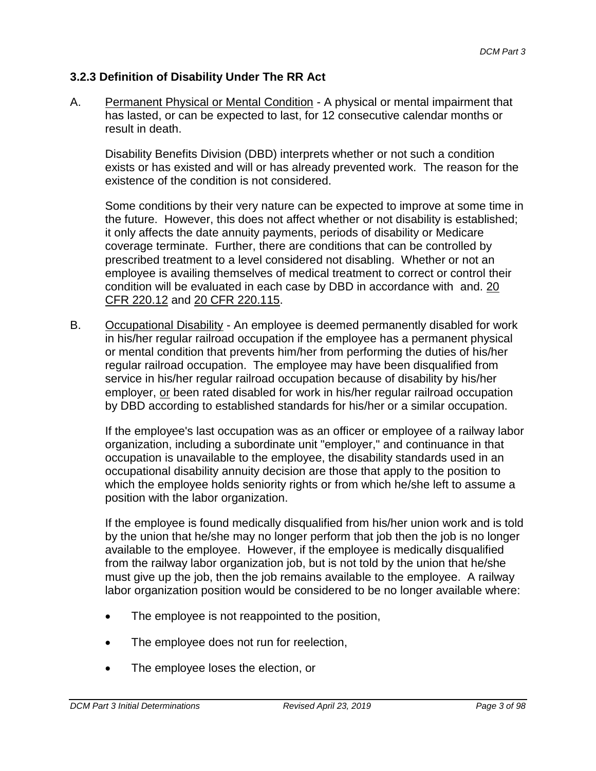### **3.2.3 Definition of Disability Under The RR Act**

A. Permanent Physical or Mental Condition - A physical or mental impairment that has lasted, or can be expected to last, for 12 consecutive calendar months or result in death.

Disability Benefits Division (DBD) interprets whether or not such a condition exists or has existed and will or has already prevented work. The reason for the existence of the condition is not considered.

Some conditions by their very nature can be expected to improve at some time in the future. However, this does not affect whether or not disability is established; it only affects the date annuity payments, periods of disability or Medicare coverage terminate. Further, there are conditions that can be controlled by prescribed treatment to a level considered not disabling. Whether or not an employee is availing themselves of medical treatment to correct or control their condition will be evaluated in each case by DBD in accordance with and. [20](http://www.ecfr.gov/cgi-bin/text-idx?SID=ed8bc17f6d85b2e35c3708c2e8b5401d&mc=true&node=se20.1.220_112&rgn=div8)  [CFR 220.12](http://www.ecfr.gov/cgi-bin/text-idx?SID=ed8bc17f6d85b2e35c3708c2e8b5401d&mc=true&node=se20.1.220_112&rgn=div8) and [20 CFR 220.115.](http://www.ecfr.gov/cgi-bin/retrieveECFR?gp=1&SID=e0a4d9d9a5b888d6bc99dce3c3c24f1e&ty=HTML&h=L&mc=true&r=SECTION&n=se20.1.220_1115)

B. Occupational Disability - An employee is deemed permanently disabled for work in his/her regular railroad occupation if the employee has a permanent physical or mental condition that prevents him/her from performing the duties of his/her regular railroad occupation. The employee may have been disqualified from service in his/her regular railroad occupation because of disability by his/her employer, or been rated disabled for work in his/her regular railroad occupation by DBD according to established standards for his/her or a similar occupation.

If the employee's last occupation was as an officer or employee of a railway labor organization, including a subordinate unit "employer," and continuance in that occupation is unavailable to the employee, the disability standards used in an occupational disability annuity decision are those that apply to the position to which the employee holds seniority rights or from which he/she left to assume a position with the labor organization.

If the employee is found medically disqualified from his/her union work and is told by the union that he/she may no longer perform that job then the job is no longer available to the employee. However, if the employee is medically disqualified from the railway labor organization job, but is not told by the union that he/she must give up the job, then the job remains available to the employee. A railway labor organization position would be considered to be no longer available where:

- The employee is not reappointed to the position,
- The employee does not run for reelection,
- The employee loses the election, or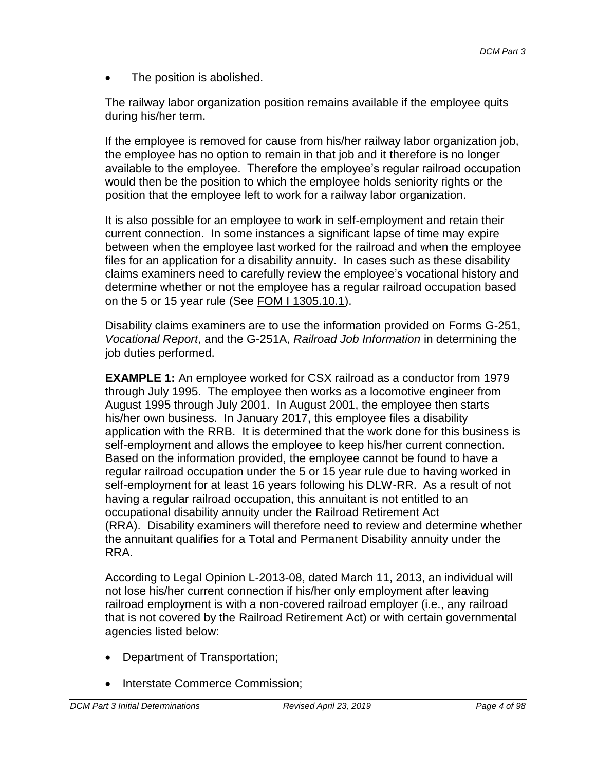The position is abolished.

The railway labor organization position remains available if the employee quits during his/her term.

If the employee is removed for cause from his/her railway labor organization job, the employee has no option to remain in that job and it therefore is no longer available to the employee. Therefore the employee's regular railroad occupation would then be the position to which the employee holds seniority rights or the position that the employee left to work for a railway labor organization.

It is also possible for an employee to work in self-employment and retain their current connection. In some instances a significant lapse of time may expire between when the employee last worked for the railroad and when the employee files for an application for a disability annuity. In cases such as these disability claims examiners need to carefully review the employee's vocational history and determine whether or not the employee has a regular railroad occupation based on the 5 or 15 year rule (See [FOM I 1305.10.1\)](http://rrbsharepoint/sites/Pub/FOM/Art13/Documents/FOM1_1305.pdf#search=1305.10.1).

Disability claims examiners are to use the information provided on Forms G-251, *Vocational Report*, and the G-251A, *Railroad Job Information* in determining the job duties performed.

**EXAMPLE 1:** An employee worked for CSX railroad as a conductor from 1979 through July 1995. The employee then works as a locomotive engineer from August 1995 through July 2001. In August 2001, the employee then starts his/her own business. In January 2017, this employee files a disability application with the RRB. It is determined that the work done for this business is self-employment and allows the employee to keep his/her current connection. Based on the information provided, the employee cannot be found to have a regular railroad occupation under the 5 or 15 year rule due to having worked in self-employment for at least 16 years following his DLW-RR. As a result of not having a regular railroad occupation, this annuitant is not entitled to an occupational disability annuity under the Railroad Retirement Act (RRA). Disability examiners will therefore need to review and determine whether the annuitant qualifies for a Total and Permanent Disability annuity under the RRA.

According to Legal Opinion L-2013-08, dated March 11, 2013, an individual will not lose his/her current connection if his/her only employment after leaving railroad employment is with a non-covered railroad employer (i.e., any railroad that is not covered by the Railroad Retirement Act) or with certain governmental agencies listed below:

- Department of Transportation;
- Interstate Commerce Commission: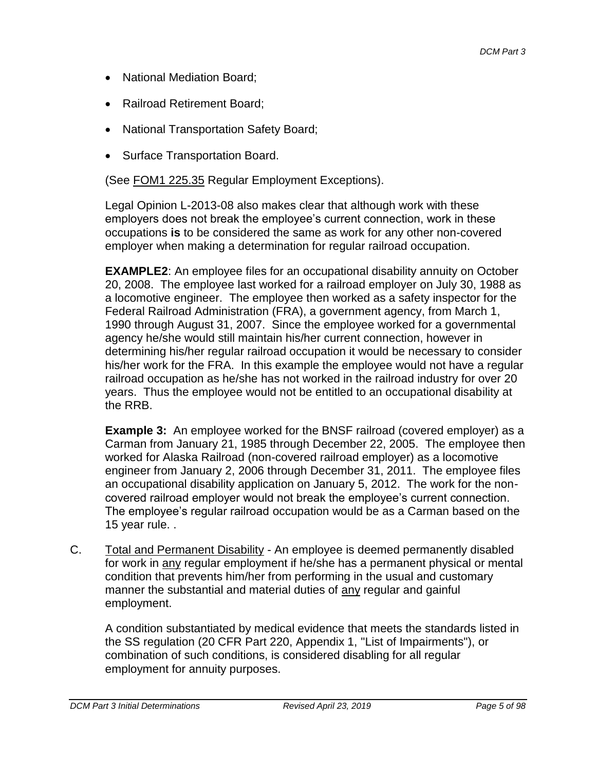- National Mediation Board;
- Railroad Retirement Board;
- National Transportation Safety Board;
- Surface Transportation Board.

(See FOM1 225.35 Regular Employment Exceptions).

Legal Opinion L-2013-08 also makes clear that although work with these employers does not break the employee's current connection, work in these occupations **is** to be considered the same as work for any other non-covered employer when making a determination for regular railroad occupation.

**EXAMPLE2**: An employee files for an occupational disability annuity on October 20, 2008. The employee last worked for a railroad employer on July 30, 1988 as a locomotive engineer. The employee then worked as a safety inspector for the Federal Railroad Administration (FRA), a government agency, from March 1, 1990 through August 31, 2007. Since the employee worked for a governmental agency he/she would still maintain his/her current connection, however in determining his/her regular railroad occupation it would be necessary to consider his/her work for the FRA. In this example the employee would not have a regular railroad occupation as he/she has not worked in the railroad industry for over 20 years. Thus the employee would not be entitled to an occupational disability at the RRB.

**Example 3:** An employee worked for the BNSF railroad (covered employer) as a Carman from January 21, 1985 through December 22, 2005. The employee then worked for Alaska Railroad (non-covered railroad employer) as a locomotive engineer from January 2, 2006 through December 31, 2011. The employee files an occupational disability application on January 5, 2012. The work for the noncovered railroad employer would not break the employee's current connection. The employee's regular railroad occupation would be as a Carman based on the 15 year rule. .

C. Total and Permanent Disability - An employee is deemed permanently disabled for work in any regular employment if he/she has a permanent physical or mental condition that prevents him/her from performing in the usual and customary manner the substantial and material duties of any regular and gainful employment.

A condition substantiated by medical evidence that meets the standards listed in the SS regulation (20 CFR Part 220, Appendix 1, "List of Impairments"), or combination of such conditions, is considered disabling for all regular employment for annuity purposes.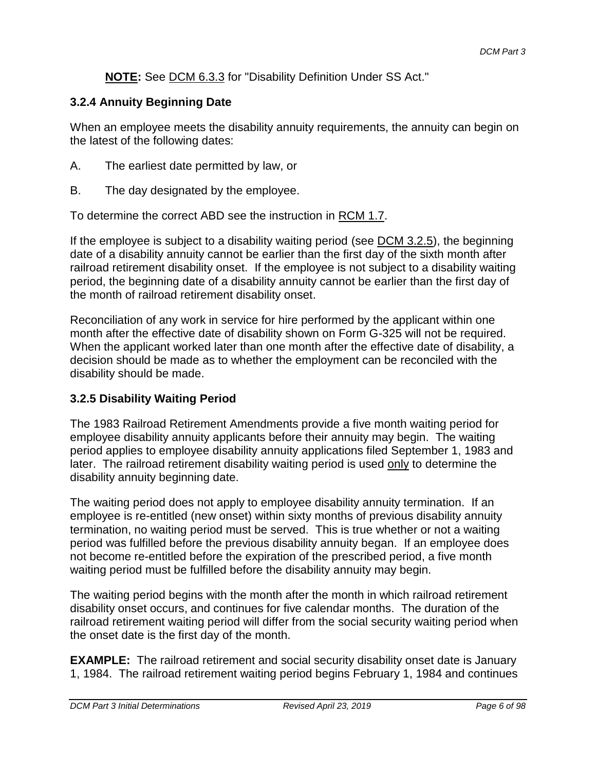### **NOTE:** See DCM 6.3.3 for "Disability Definition Under SS Act."

### **3.2.4 Annuity Beginning Date**

When an employee meets the disability annuity requirements, the annuity can begin on the latest of the following dates:

- A. The earliest date permitted by law, or
- B. The day designated by the employee.

To determine the correct ABD see the instruction in RCM 1.7.

If the employee is subject to a disability waiting period (see DCM 3.2.5), the beginning date of a disability annuity cannot be earlier than the first day of the sixth month after railroad retirement disability onset. If the employee is not subject to a disability waiting period, the beginning date of a disability annuity cannot be earlier than the first day of the month of railroad retirement disability onset.

Reconciliation of any work in service for hire performed by the applicant within one month after the effective date of disability shown on Form G-325 will not be required. When the applicant worked later than one month after the effective date of disability, a decision should be made as to whether the employment can be reconciled with the disability should be made.

### **3.2.5 Disability Waiting Period**

The 1983 Railroad Retirement Amendments provide a five month waiting period for employee disability annuity applicants before their annuity may begin. The waiting period applies to employee disability annuity applications filed September 1, 1983 and later. The railroad retirement disability waiting period is used only to determine the disability annuity beginning date.

The waiting period does not apply to employee disability annuity termination. If an employee is re-entitled (new onset) within sixty months of previous disability annuity termination, no waiting period must be served. This is true whether or not a waiting period was fulfilled before the previous disability annuity began. If an employee does not become re-entitled before the expiration of the prescribed period, a five month waiting period must be fulfilled before the disability annuity may begin.

The waiting period begins with the month after the month in which railroad retirement disability onset occurs, and continues for five calendar months. The duration of the railroad retirement waiting period will differ from the social security waiting period when the onset date is the first day of the month.

**EXAMPLE:** The railroad retirement and social security disability onset date is January 1, 1984. The railroad retirement waiting period begins February 1, 1984 and continues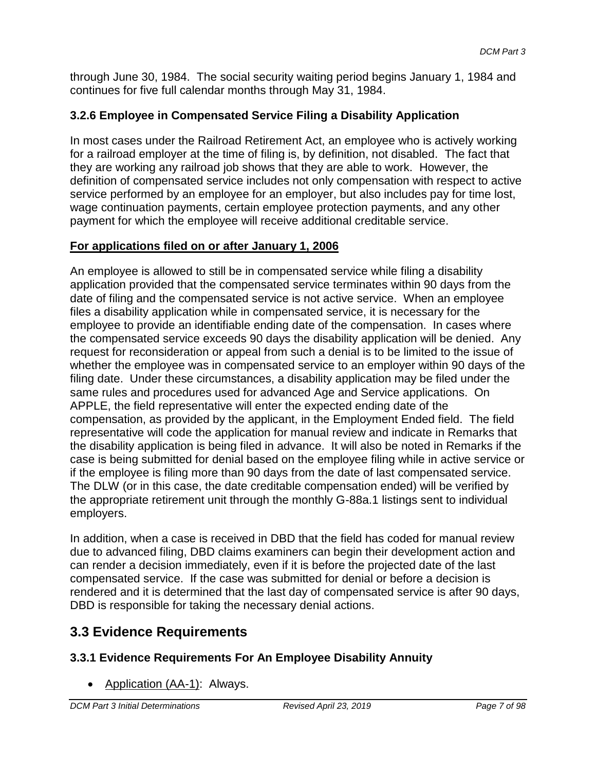through June 30, 1984. The social security waiting period begins January 1, 1984 and continues for five full calendar months through May 31, 1984.

# **3.2.6 Employee in Compensated Service Filing a Disability Application**

In most cases under the Railroad Retirement Act, an employee who is actively working for a railroad employer at the time of filing is, by definition, not disabled. The fact that they are working any railroad job shows that they are able to work. However, the definition of compensated service includes not only compensation with respect to active service performed by an employee for an employer, but also includes pay for time lost, wage continuation payments, certain employee protection payments, and any other payment for which the employee will receive additional creditable service.

### **For applications filed on or after January 1, 2006**

An employee is allowed to still be in compensated service while filing a disability application provided that the compensated service terminates within 90 days from the date of filing and the compensated service is not active service. When an employee files a disability application while in compensated service, it is necessary for the employee to provide an identifiable ending date of the compensation. In cases where the compensated service exceeds 90 days the disability application will be denied. Any request for reconsideration or appeal from such a denial is to be limited to the issue of whether the employee was in compensated service to an employer within 90 days of the filing date. Under these circumstances, a disability application may be filed under the same rules and procedures used for advanced Age and Service applications. On APPLE, the field representative will enter the expected ending date of the compensation, as provided by the applicant, in the Employment Ended field. The field representative will code the application for manual review and indicate in Remarks that the disability application is being filed in advance. It will also be noted in Remarks if the case is being submitted for denial based on the employee filing while in active service or if the employee is filing more than 90 days from the date of last compensated service. The DLW (or in this case, the date creditable compensation ended) will be verified by the appropriate retirement unit through the monthly G-88a.1 listings sent to individual employers.

In addition, when a case is received in DBD that the field has coded for manual review due to advanced filing, DBD claims examiners can begin their development action and can render a decision immediately, even if it is before the projected date of the last compensated service. If the case was submitted for denial or before a decision is rendered and it is determined that the last day of compensated service is after 90 days, DBD is responsible for taking the necessary denial actions.

# **3.3 Evidence Requirements**

# **3.3.1 Evidence Requirements For An Employee Disability Annuity**

• Application (AA-1): Always.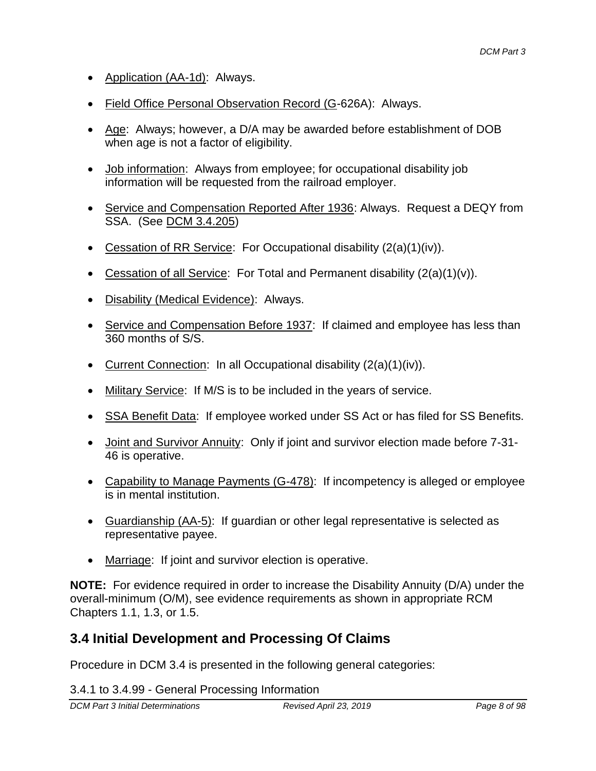- Application (AA-1d): Always.
- Field Office Personal Observation Record (G-626A): Always.
- Age: Always; however, a D/A may be awarded before establishment of DOB when age is not a factor of eligibility.
- Job information: Always from employee; for occupational disability job information will be requested from the railroad employer.
- Service and Compensation Reported After 1936: Always. Request a DEQY from SSA. (See DCM 3.4.205)
- Cessation of RR Service: For Occupational disability (2(a)(1)(iv)).
- Cessation of all Service: For Total and Permanent disability  $(2(a)(1)(v))$ .
- Disability (Medical Evidence): Always.
- Service and Compensation Before 1937: If claimed and employee has less than 360 months of S/S.
- Current Connection: In all Occupational disability  $(2(a)(1)(iv))$ .
- Military Service: If M/S is to be included in the years of service.
- SSA Benefit Data: If employee worked under SS Act or has filed for SS Benefits.
- Joint and Survivor Annuity: Only if joint and survivor election made before 7-31- 46 is operative.
- Capability to Manage Payments (G-478): If incompetency is alleged or employee is in mental institution.
- Guardianship (AA-5): If guardian or other legal representative is selected as representative payee.
- Marriage: If joint and survivor election is operative.

**NOTE:** For evidence required in order to increase the Disability Annuity (D/A) under the overall-minimum (O/M), see evidence requirements as shown in appropriate RCM Chapters 1.1, 1.3, or 1.5.

# **3.4 Initial Development and Processing Of Claims**

Procedure in DCM 3.4 is presented in the following general categories:

3.4.1 to 3.4.99 - General Processing Information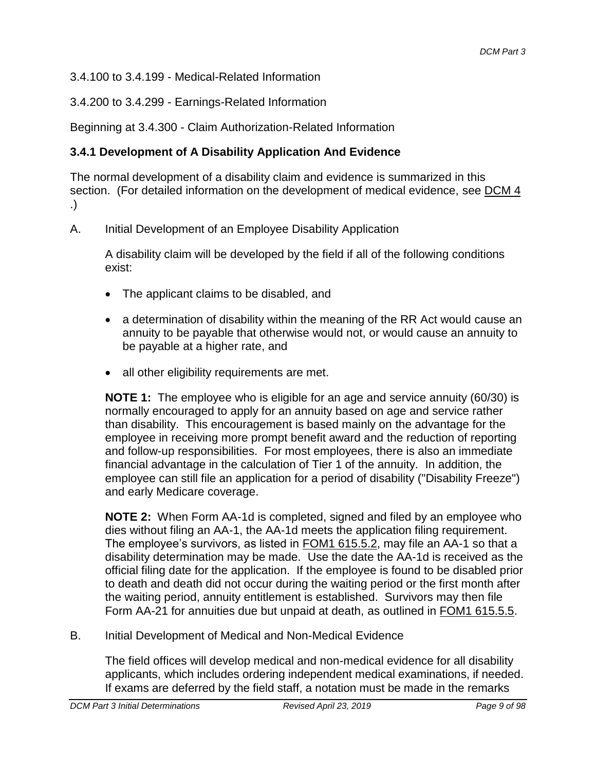3.4.100 to 3.4.199 - Medical-Related Information

3.4.200 to 3.4.299 - Earnings-Related Information

Beginning at 3.4.300 - Claim Authorization-Related Information

# **3.4.1 Development of A Disability Application And Evidence**

The normal development of a disability claim and evidence is summarized in this section. (For detailed information on the development of medical evidence, see DCM 4 .)

A. Initial Development of an Employee Disability Application

A disability claim will be developed by the field if all of the following conditions exist:

- The applicant claims to be disabled, and
- a determination of disability within the meaning of the RR Act would cause an annuity to be payable that otherwise would not, or would cause an annuity to be payable at a higher rate, and
- all other eligibility requirements are met.

**NOTE 1:** The employee who is eligible for an age and service annuity (60/30) is normally encouraged to apply for an annuity based on age and service rather than disability. This encouragement is based mainly on the advantage for the employee in receiving more prompt benefit award and the reduction of reporting and follow-up responsibilities. For most employees, there is also an immediate financial advantage in the calculation of Tier 1 of the annuity. In addition, the employee can still file an application for a period of disability ("Disability Freeze") and early Medicare coverage.

**NOTE 2:** When Form AA-1d is completed, signed and filed by an employee who dies without filing an AA-1, the AA-1d meets the application filing requirement. The employee's survivors, as listed in **FOM1 615.5.2**, may file an AA-1 so that a disability determination may be made. Use the date the AA-1d is received as the official filing date for the application. If the employee is found to be disabled prior to death and death did not occur during the waiting period or the first month after the waiting period, annuity entitlement is established. Survivors may then file Form AA-21 for annuities due but unpaid at death, as outlined in FOM1 615.5.5.

B. Initial Development of Medical and Non-Medical Evidence

The field offices will develop medical and non-medical evidence for all disability applicants, which includes ordering independent medical examinations, if needed. If exams are deferred by the field staff, a notation must be made in the remarks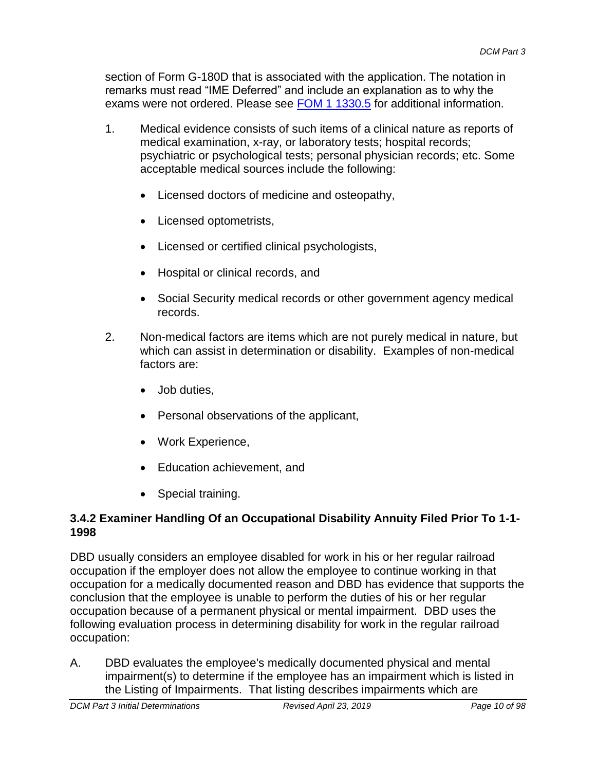section of Form G-180D that is associated with the application. The notation in remarks must read "IME Deferred" and include an explanation as to why the exams were not ordered. Please see [FOM 1 1330.5](http://internalappsprd.usrrb.ad.local/classicasp/Boardwalk/rrbintranet/#search=1330.20.3) for additional information.

- 1. Medical evidence consists of such items of a clinical nature as reports of medical examination, x-ray, or laboratory tests; hospital records; psychiatric or psychological tests; personal physician records; etc. Some acceptable medical sources include the following:
	- Licensed doctors of medicine and osteopathy,
	- Licensed optometrists,
	- Licensed or certified clinical psychologists,
	- Hospital or clinical records, and
	- Social Security medical records or other government agency medical records.
- 2. Non-medical factors are items which are not purely medical in nature, but which can assist in determination or disability. Examples of non-medical factors are:
	- Job duties,
	- Personal observations of the applicant,
	- Work Experience,
	- Education achievement, and
	- Special training.

### **3.4.2 Examiner Handling Of an Occupational Disability Annuity Filed Prior To 1-1- 1998**

DBD usually considers an employee disabled for work in his or her regular railroad occupation if the employer does not allow the employee to continue working in that occupation for a medically documented reason and DBD has evidence that supports the conclusion that the employee is unable to perform the duties of his or her regular occupation because of a permanent physical or mental impairment. DBD uses the following evaluation process in determining disability for work in the regular railroad occupation:

A. DBD evaluates the employee's medically documented physical and mental impairment(s) to determine if the employee has an impairment which is listed in the Listing of Impairments. That listing describes impairments which are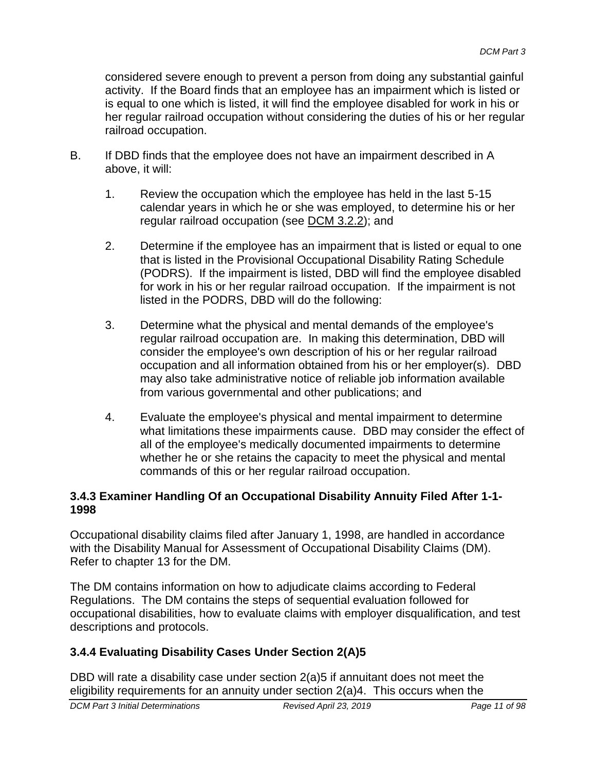considered severe enough to prevent a person from doing any substantial gainful activity. If the Board finds that an employee has an impairment which is listed or is equal to one which is listed, it will find the employee disabled for work in his or her regular railroad occupation without considering the duties of his or her regular railroad occupation.

- B. If DBD finds that the employee does not have an impairment described in A above, it will:
	- 1. Review the occupation which the employee has held in the last 5-15 calendar years in which he or she was employed, to determine his or her regular railroad occupation (see DCM 3.2.2); and
	- 2. Determine if the employee has an impairment that is listed or equal to one that is listed in the Provisional Occupational Disability Rating Schedule (PODRS). If the impairment is listed, DBD will find the employee disabled for work in his or her regular railroad occupation. If the impairment is not listed in the PODRS, DBD will do the following:
	- 3. Determine what the physical and mental demands of the employee's regular railroad occupation are. In making this determination, DBD will consider the employee's own description of his or her regular railroad occupation and all information obtained from his or her employer(s). DBD may also take administrative notice of reliable job information available from various governmental and other publications; and
	- 4. Evaluate the employee's physical and mental impairment to determine what limitations these impairments cause. DBD may consider the effect of all of the employee's medically documented impairments to determine whether he or she retains the capacity to meet the physical and mental commands of this or her regular railroad occupation.

### **3.4.3 Examiner Handling Of an Occupational Disability Annuity Filed After 1-1- 1998**

Occupational disability claims filed after January 1, 1998, are handled in accordance with the Disability Manual for Assessment of Occupational Disability Claims (DM). Refer to chapter 13 for the DM.

The DM contains information on how to adjudicate claims according to Federal Regulations. The DM contains the steps of sequential evaluation followed for occupational disabilities, how to evaluate claims with employer disqualification, and test descriptions and protocols.

# **3.4.4 Evaluating Disability Cases Under Section 2(A)5**

DBD will rate a disability case under section 2(a)5 if annuitant does not meet the eligibility requirements for an annuity under section 2(a)4. This occurs when the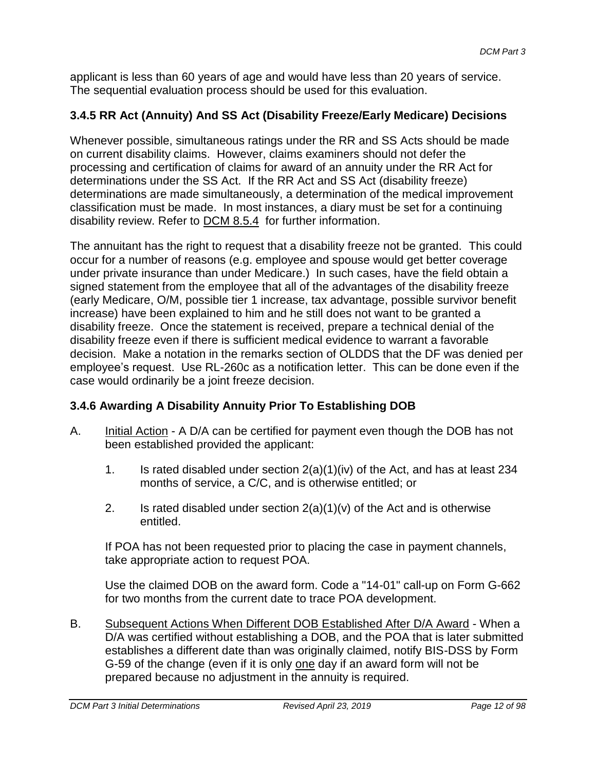applicant is less than 60 years of age and would have less than 20 years of service. The sequential evaluation process should be used for this evaluation.

# **3.4.5 RR Act (Annuity) And SS Act (Disability Freeze/Early Medicare) Decisions**

Whenever possible, simultaneous ratings under the RR and SS Acts should be made on current disability claims. However, claims examiners should not defer the processing and certification of claims for award of an annuity under the RR Act for determinations under the SS Act. If the RR Act and SS Act (disability freeze) determinations are made simultaneously, a determination of the medical improvement classification must be made. In most instances, a diary must be set for a continuing disability review. Refer to DCM 8.5.4 for further information.

The annuitant has the right to request that a disability freeze not be granted. This could occur for a number of reasons (e.g. employee and spouse would get better coverage under private insurance than under Medicare.) In such cases, have the field obtain a signed statement from the employee that all of the advantages of the disability freeze (early Medicare, O/M, possible tier 1 increase, tax advantage, possible survivor benefit increase) have been explained to him and he still does not want to be granted a disability freeze. Once the statement is received, prepare a technical denial of the disability freeze even if there is sufficient medical evidence to warrant a favorable decision. Make a notation in the remarks section of OLDDS that the DF was denied per employee's request. Use RL-260c as a notification letter. This can be done even if the case would ordinarily be a joint freeze decision.

# **3.4.6 Awarding A Disability Annuity Prior To Establishing DOB**

- A. Initial Action A D/A can be certified for payment even though the DOB has not been established provided the applicant:
	- 1. Is rated disabled under section 2(a)(1)(iv) of the Act, and has at least 234 months of service, a C/C, and is otherwise entitled; or
	- 2. Is rated disabled under section  $2(a)(1)(v)$  of the Act and is otherwise entitled.

If POA has not been requested prior to placing the case in payment channels, take appropriate action to request POA.

Use the claimed DOB on the award form. Code a "14-01" call-up on Form G-662 for two months from the current date to trace POA development.

B. Subsequent Actions When Different DOB Established After D/A Award - When a D/A was certified without establishing a DOB, and the POA that is later submitted establishes a different date than was originally claimed, notify BIS-DSS by Form G-59 of the change (even if it is only one day if an award form will not be prepared because no adjustment in the annuity is required.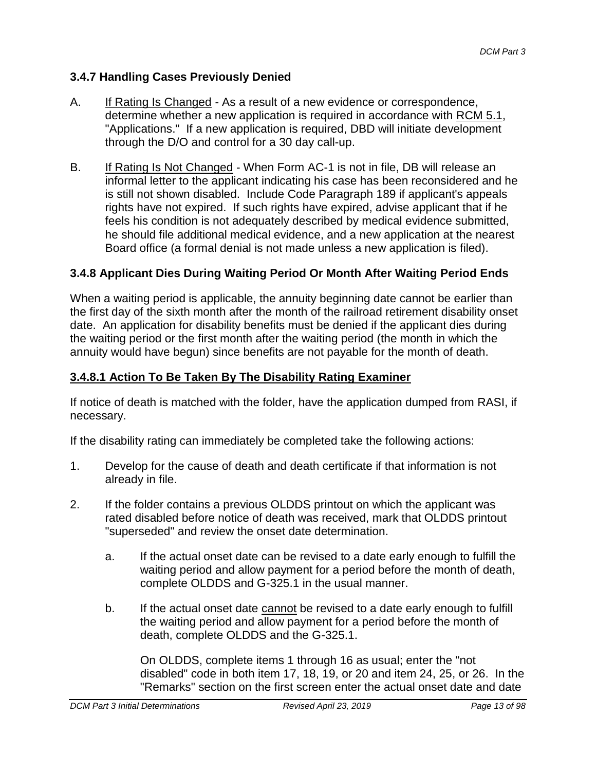### **3.4.7 Handling Cases Previously Denied**

- A. If Rating Is Changed As a result of a new evidence or correspondence, determine whether a new application is required in accordance with RCM 5.1, "Applications." If a new application is required, DBD will initiate development through the D/O and control for a 30 day call-up.
- B. If Rating Is Not Changed When Form AC-1 is not in file, DB will release an informal letter to the applicant indicating his case has been reconsidered and he is still not shown disabled. Include Code Paragraph 189 if applicant's appeals rights have not expired. If such rights have expired, advise applicant that if he feels his condition is not adequately described by medical evidence submitted, he should file additional medical evidence, and a new application at the nearest Board office (a formal denial is not made unless a new application is filed).

### **3.4.8 Applicant Dies During Waiting Period Or Month After Waiting Period Ends**

When a waiting period is applicable, the annuity beginning date cannot be earlier than the first day of the sixth month after the month of the railroad retirement disability onset date. An application for disability benefits must be denied if the applicant dies during the waiting period or the first month after the waiting period (the month in which the annuity would have begun) since benefits are not payable for the month of death.

### **3.4.8.1 Action To Be Taken By The Disability Rating Examiner**

If notice of death is matched with the folder, have the application dumped from RASI, if necessary.

If the disability rating can immediately be completed take the following actions:

- 1. Develop for the cause of death and death certificate if that information is not already in file.
- 2. If the folder contains a previous OLDDS printout on which the applicant was rated disabled before notice of death was received, mark that OLDDS printout "superseded" and review the onset date determination.
	- a. If the actual onset date can be revised to a date early enough to fulfill the waiting period and allow payment for a period before the month of death, complete OLDDS and G-325.1 in the usual manner.
	- b. If the actual onset date cannot be revised to a date early enough to fulfill the waiting period and allow payment for a period before the month of death, complete OLDDS and the G-325.1.

On OLDDS, complete items 1 through 16 as usual; enter the "not disabled" code in both item 17, 18, 19, or 20 and item 24, 25, or 26. In the "Remarks" section on the first screen enter the actual onset date and date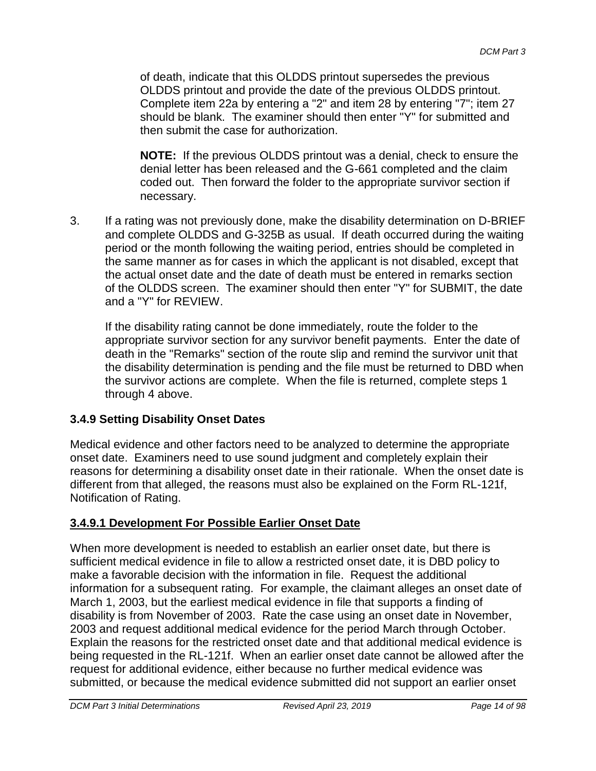of death, indicate that this OLDDS printout supersedes the previous OLDDS printout and provide the date of the previous OLDDS printout. Complete item 22a by entering a "2" and item 28 by entering "7"; item 27 should be blank. The examiner should then enter "Y" for submitted and then submit the case for authorization.

**NOTE:** If the previous OLDDS printout was a denial, check to ensure the denial letter has been released and the G-661 completed and the claim coded out. Then forward the folder to the appropriate survivor section if necessary.

3. If a rating was not previously done, make the disability determination on D-BRIEF and complete OLDDS and G-325B as usual. If death occurred during the waiting period or the month following the waiting period, entries should be completed in the same manner as for cases in which the applicant is not disabled, except that the actual onset date and the date of death must be entered in remarks section of the OLDDS screen. The examiner should then enter "Y" for SUBMIT, the date and a "Y" for REVIEW.

If the disability rating cannot be done immediately, route the folder to the appropriate survivor section for any survivor benefit payments. Enter the date of death in the "Remarks" section of the route slip and remind the survivor unit that the disability determination is pending and the file must be returned to DBD when the survivor actions are complete. When the file is returned, complete steps 1 through 4 above.

# **3.4.9 Setting Disability Onset Dates**

Medical evidence and other factors need to be analyzed to determine the appropriate onset date. Examiners need to use sound judgment and completely explain their reasons for determining a disability onset date in their rationale. When the onset date is different from that alleged, the reasons must also be explained on the Form RL-121f, Notification of Rating.

# **3.4.9.1 Development For Possible Earlier Onset Date**

When more development is needed to establish an earlier onset date, but there is sufficient medical evidence in file to allow a restricted onset date, it is DBD policy to make a favorable decision with the information in file. Request the additional information for a subsequent rating. For example, the claimant alleges an onset date of March 1, 2003, but the earliest medical evidence in file that supports a finding of disability is from November of 2003. Rate the case using an onset date in November, 2003 and request additional medical evidence for the period March through October. Explain the reasons for the restricted onset date and that additional medical evidence is being requested in the RL-121f. When an earlier onset date cannot be allowed after the request for additional evidence, either because no further medical evidence was submitted, or because the medical evidence submitted did not support an earlier onset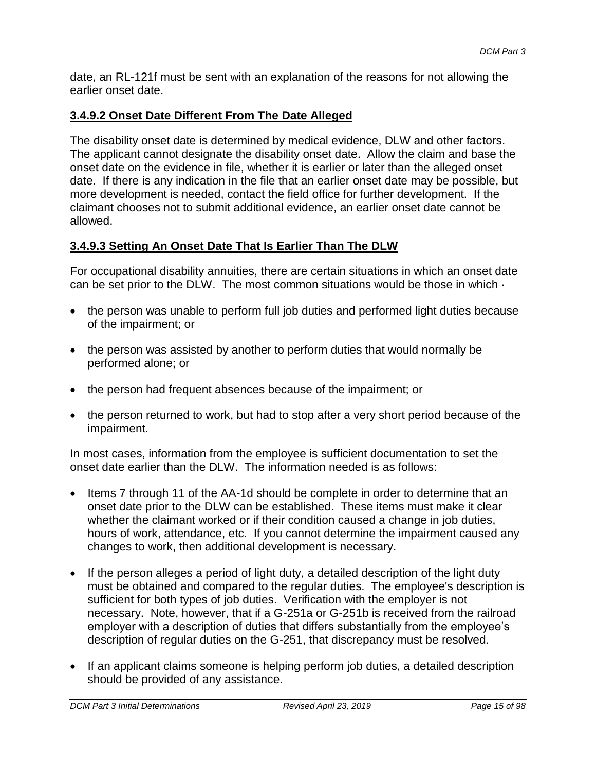date, an RL-121f must be sent with an explanation of the reasons for not allowing the earlier onset date.

### **3.4.9.2 Onset Date Different From The Date Alleged**

The disability onset date is determined by medical evidence, DLW and other factors. The applicant cannot designate the disability onset date. Allow the claim and base the onset date on the evidence in file, whether it is earlier or later than the alleged onset date. If there is any indication in the file that an earlier onset date may be possible, but more development is needed, contact the field office for further development. If the claimant chooses not to submit additional evidence, an earlier onset date cannot be allowed.

### **3.4.9.3 Setting An Onset Date That Is Earlier Than The DLW**

For occupational disability annuities, there are certain situations in which an onset date can be set prior to the DLW. The most common situations would be those in which ·

- the person was unable to perform full job duties and performed light duties because of the impairment; or
- the person was assisted by another to perform duties that would normally be performed alone; or
- the person had frequent absences because of the impairment; or
- the person returned to work, but had to stop after a very short period because of the impairment.

In most cases, information from the employee is sufficient documentation to set the onset date earlier than the DLW. The information needed is as follows:

- Items 7 through 11 of the AA-1d should be complete in order to determine that an onset date prior to the DLW can be established. These items must make it clear whether the claimant worked or if their condition caused a change in job duties, hours of work, attendance, etc. If you cannot determine the impairment caused any changes to work, then additional development is necessary.
- If the person alleges a period of light duty, a detailed description of the light duty must be obtained and compared to the regular duties. The employee's description is sufficient for both types of job duties. Verification with the employer is not necessary. Note, however, that if a G-251a or G-251b is received from the railroad employer with a description of duties that differs substantially from the employee's description of regular duties on the G-251, that discrepancy must be resolved.
- If an applicant claims someone is helping perform job duties, a detailed description should be provided of any assistance.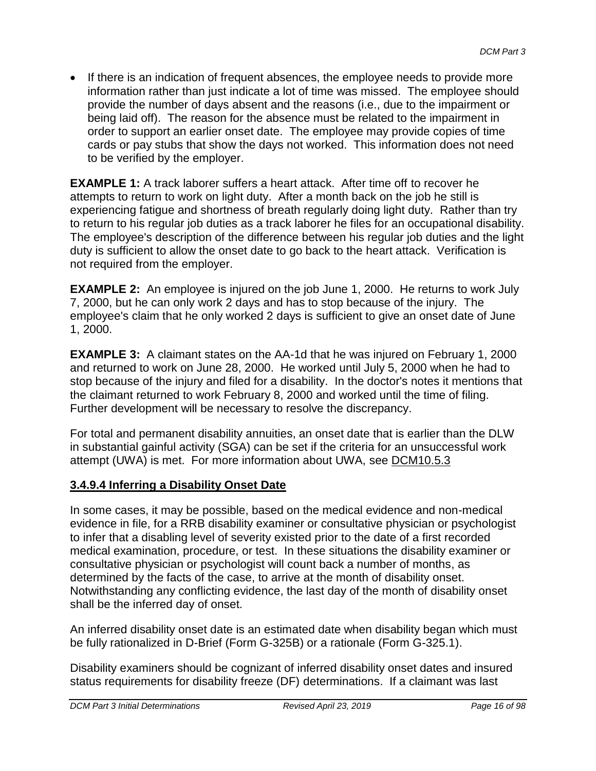If there is an indication of frequent absences, the employee needs to provide more information rather than just indicate a lot of time was missed. The employee should provide the number of days absent and the reasons (i.e., due to the impairment or being laid off). The reason for the absence must be related to the impairment in order to support an earlier onset date. The employee may provide copies of time cards or pay stubs that show the days not worked. This information does not need to be verified by the employer.

**EXAMPLE 1:** A track laborer suffers a heart attack. After time off to recover he attempts to return to work on light duty. After a month back on the job he still is experiencing fatigue and shortness of breath regularly doing light duty. Rather than try to return to his regular job duties as a track laborer he files for an occupational disability. The employee's description of the difference between his regular job duties and the light duty is sufficient to allow the onset date to go back to the heart attack. Verification is not required from the employer.

**EXAMPLE 2:** An employee is injured on the job June 1, 2000. He returns to work July 7, 2000, but he can only work 2 days and has to stop because of the injury. The employee's claim that he only worked 2 days is sufficient to give an onset date of June 1, 2000.

**EXAMPLE 3:** A claimant states on the AA-1d that he was injured on February 1, 2000 and returned to work on June 28, 2000. He worked until July 5, 2000 when he had to stop because of the injury and filed for a disability. In the doctor's notes it mentions that the claimant returned to work February 8, 2000 and worked until the time of filing. Further development will be necessary to resolve the discrepancy.

For total and permanent disability annuities, an onset date that is earlier than the DLW in substantial gainful activity (SGA) can be set if the criteria for an unsuccessful work attempt (UWA) is met. For more information about UWA, see DCM10.5.3

### **3.4.9.4 Inferring a Disability Onset Date**

In some cases, it may be possible, based on the medical evidence and non-medical evidence in file, for a RRB disability examiner or consultative physician or psychologist to infer that a disabling level of severity existed prior to the date of a first recorded medical examination, procedure, or test. In these situations the disability examiner or consultative physician or psychologist will count back a number of months, as determined by the facts of the case, to arrive at the month of disability onset. Notwithstanding any conflicting evidence, the last day of the month of disability onset shall be the inferred day of onset.

An inferred disability onset date is an estimated date when disability began which must be fully rationalized in D-Brief (Form G-325B) or a rationale (Form G-325.1).

Disability examiners should be cognizant of inferred disability onset dates and insured status requirements for disability freeze (DF) determinations. If a claimant was last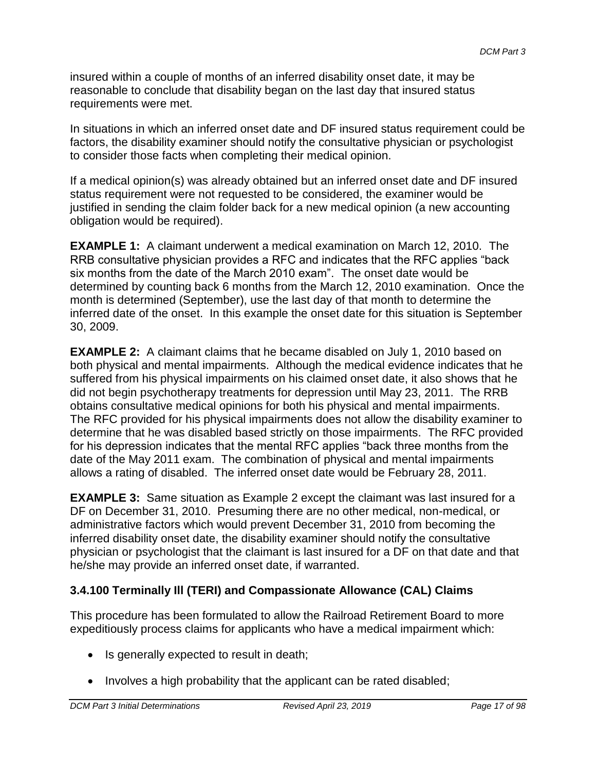insured within a couple of months of an inferred disability onset date, it may be reasonable to conclude that disability began on the last day that insured status requirements were met.

In situations in which an inferred onset date and DF insured status requirement could be factors, the disability examiner should notify the consultative physician or psychologist to consider those facts when completing their medical opinion.

If a medical opinion(s) was already obtained but an inferred onset date and DF insured status requirement were not requested to be considered, the examiner would be justified in sending the claim folder back for a new medical opinion (a new accounting obligation would be required).

**EXAMPLE 1:** A claimant underwent a medical examination on March 12, 2010. The RRB consultative physician provides a RFC and indicates that the RFC applies "back six months from the date of the March 2010 exam". The onset date would be determined by counting back 6 months from the March 12, 2010 examination. Once the month is determined (September), use the last day of that month to determine the inferred date of the onset. In this example the onset date for this situation is September 30, 2009.

**EXAMPLE 2:** A claimant claims that he became disabled on July 1, 2010 based on both physical and mental impairments. Although the medical evidence indicates that he suffered from his physical impairments on his claimed onset date, it also shows that he did not begin psychotherapy treatments for depression until May 23, 2011. The RRB obtains consultative medical opinions for both his physical and mental impairments. The RFC provided for his physical impairments does not allow the disability examiner to determine that he was disabled based strictly on those impairments. The RFC provided for his depression indicates that the mental RFC applies "back three months from the date of the May 2011 exam. The combination of physical and mental impairments allows a rating of disabled. The inferred onset date would be February 28, 2011.

**EXAMPLE 3:** Same situation as Example 2 except the claimant was last insured for a DF on December 31, 2010. Presuming there are no other medical, non-medical, or administrative factors which would prevent December 31, 2010 from becoming the inferred disability onset date, the disability examiner should notify the consultative physician or psychologist that the claimant is last insured for a DF on that date and that he/she may provide an inferred onset date, if warranted.

# **3.4.100 Terminally Ill (TERI) and Compassionate Allowance (CAL) Claims**

This procedure has been formulated to allow the Railroad Retirement Board to more expeditiously process claims for applicants who have a medical impairment which:

- Is generally expected to result in death;
- $\bullet$  Involves a high probability that the applicant can be rated disabled;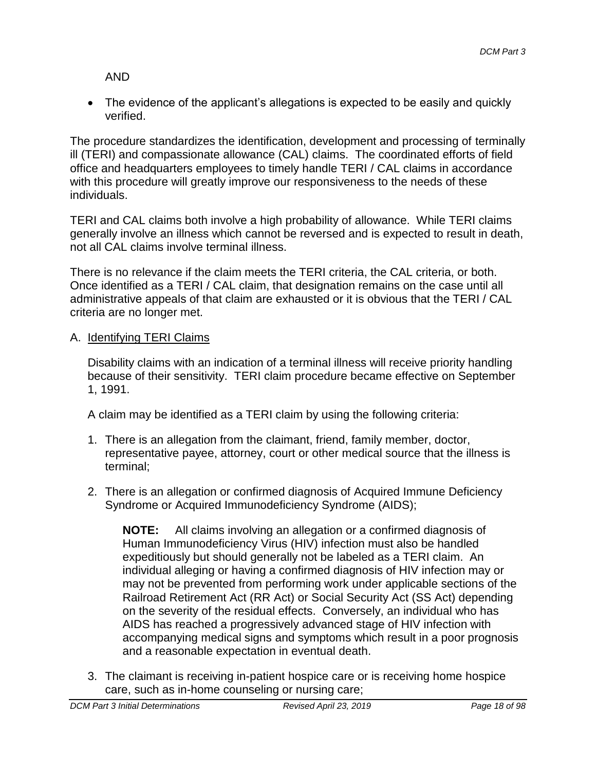AND

• The evidence of the applicant's allegations is expected to be easily and quickly verified.

The procedure standardizes the identification, development and processing of terminally ill (TERI) and compassionate allowance (CAL) claims. The coordinated efforts of field office and headquarters employees to timely handle TERI / CAL claims in accordance with this procedure will greatly improve our responsiveness to the needs of these individuals.

TERI and CAL claims both involve a high probability of allowance. While TERI claims generally involve an illness which cannot be reversed and is expected to result in death, not all CAL claims involve terminal illness.

There is no relevance if the claim meets the TERI criteria, the CAL criteria, or both. Once identified as a TERI / CAL claim, that designation remains on the case until all administrative appeals of that claim are exhausted or it is obvious that the TERI / CAL criteria are no longer met.

A. Identifying TERI Claims

Disability claims with an indication of a terminal illness will receive priority handling because of their sensitivity. TERI claim procedure became effective on September 1, 1991.

A claim may be identified as a TERI claim by using the following criteria:

- 1. There is an allegation from the claimant, friend, family member, doctor, representative payee, attorney, court or other medical source that the illness is terminal;
- 2. There is an allegation or confirmed diagnosis of Acquired Immune Deficiency Syndrome or Acquired Immunodeficiency Syndrome (AIDS);

**NOTE:** All claims involving an allegation or a confirmed diagnosis of Human Immunodeficiency Virus (HIV) infection must also be handled expeditiously but should generally not be labeled as a TERI claim. An individual alleging or having a confirmed diagnosis of HIV infection may or may not be prevented from performing work under applicable sections of the Railroad Retirement Act (RR Act) or Social Security Act (SS Act) depending on the severity of the residual effects. Conversely, an individual who has AIDS has reached a progressively advanced stage of HIV infection with accompanying medical signs and symptoms which result in a poor prognosis and a reasonable expectation in eventual death.

3. The claimant is receiving in-patient hospice care or is receiving home hospice care, such as in-home counseling or nursing care;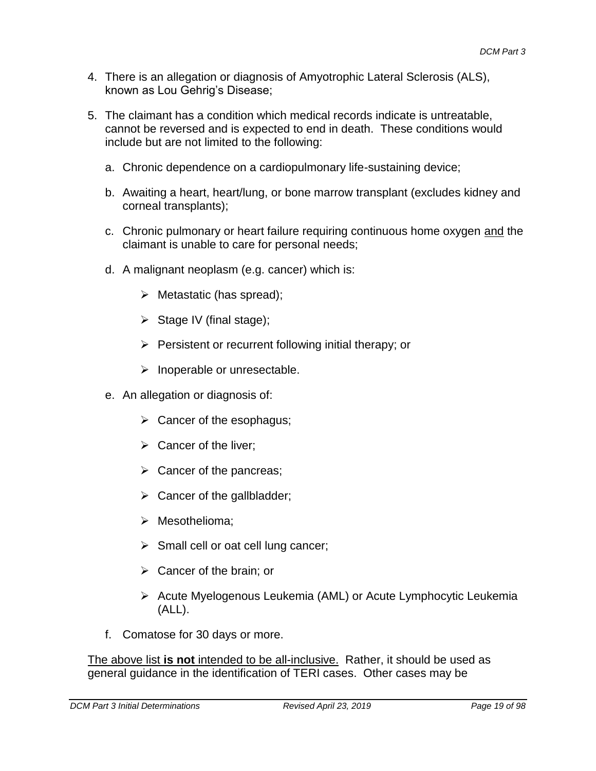- 4. There is an allegation or diagnosis of Amyotrophic Lateral Sclerosis (ALS), known as Lou Gehrig's Disease;
- 5. The claimant has a condition which medical records indicate is untreatable, cannot be reversed and is expected to end in death. These conditions would include but are not limited to the following:
	- a. Chronic dependence on a cardiopulmonary life-sustaining device;
	- b. Awaiting a heart, heart/lung, or bone marrow transplant (excludes kidney and corneal transplants);
	- c. Chronic pulmonary or heart failure requiring continuous home oxygen and the claimant is unable to care for personal needs;
	- d. A malignant neoplasm (e.g. cancer) which is:
		- $\triangleright$  Metastatic (has spread);
		- $\triangleright$  Stage IV (final stage);
		- $\triangleright$  Persistent or recurrent following initial therapy; or
		- $\triangleright$  Inoperable or unresectable.
	- e. An allegation or diagnosis of:
		- $\triangleright$  Cancer of the esophagus;
		- $\triangleright$  Cancer of the liver;
		- $\triangleright$  Cancer of the pancreas;
		- $\triangleright$  Cancer of the gallbladder;
		- $\triangleright$  Mesothelioma:
		- $\triangleright$  Small cell or oat cell lung cancer;
		- $\triangleright$  Cancer of the brain; or
		- Acute Myelogenous Leukemia (AML) or Acute Lymphocytic Leukemia (ALL).
	- f. Comatose for 30 days or more.

The above list **is not** intended to be all-inclusive. Rather, it should be used as general guidance in the identification of TERI cases. Other cases may be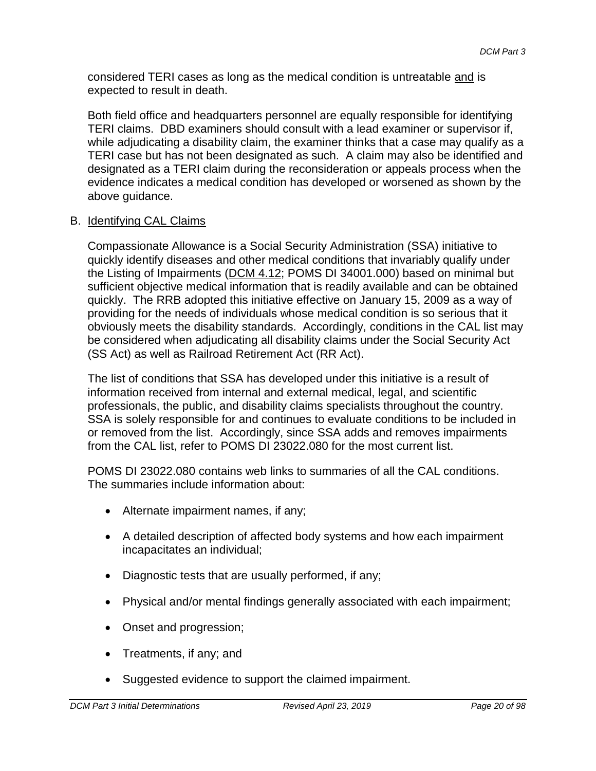considered TERI cases as long as the medical condition is untreatable and is expected to result in death.

Both field office and headquarters personnel are equally responsible for identifying TERI claims. DBD examiners should consult with a lead examiner or supervisor if, while adjudicating a disability claim, the examiner thinks that a case may qualify as a TERI case but has not been designated as such. A claim may also be identified and designated as a TERI claim during the reconsideration or appeals process when the evidence indicates a medical condition has developed or worsened as shown by the above guidance.

### B. Identifying CAL Claims

Compassionate Allowance is a Social Security Administration (SSA) initiative to quickly identify diseases and other medical conditions that invariably qualify under the Listing of Impairments (DCM 4.12; POMS DI 34001.000) based on minimal but sufficient objective medical information that is readily available and can be obtained quickly. The RRB adopted this initiative effective on January 15, 2009 as a way of providing for the needs of individuals whose medical condition is so serious that it obviously meets the disability standards. Accordingly, conditions in the CAL list may be considered when adjudicating all disability claims under the Social Security Act (SS Act) as well as Railroad Retirement Act (RR Act).

The list of conditions that SSA has developed under this initiative is a result of information received from internal and external medical, legal, and scientific professionals, the public, and disability claims specialists throughout the country. SSA is solely responsible for and continues to evaluate conditions to be included in or removed from the list. Accordingly, since SSA adds and removes impairments from the CAL list, refer to POMS DI 23022.080 for the most current list.

POMS DI 23022.080 contains web links to summaries of all the CAL conditions. The summaries include information about:

- Alternate impairment names, if any;
- A detailed description of affected body systems and how each impairment incapacitates an individual;
- Diagnostic tests that are usually performed, if any;
- Physical and/or mental findings generally associated with each impairment;
- Onset and progression;
- Treatments, if any; and
- Suggested evidence to support the claimed impairment.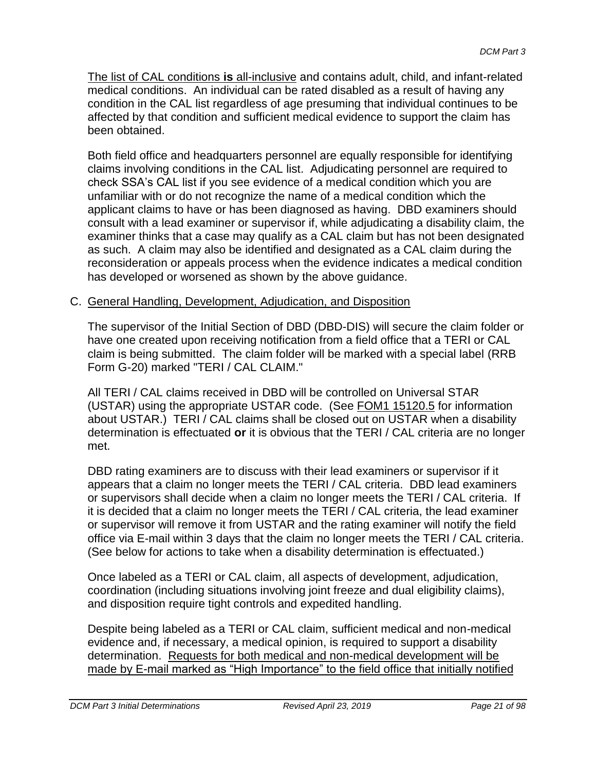The list of CAL conditions **is** all-inclusive and contains adult, child, and infant-related medical conditions. An individual can be rated disabled as a result of having any condition in the CAL list regardless of age presuming that individual continues to be affected by that condition and sufficient medical evidence to support the claim has been obtained.

Both field office and headquarters personnel are equally responsible for identifying claims involving conditions in the CAL list. Adjudicating personnel are required to check SSA's CAL list if you see evidence of a medical condition which you are unfamiliar with or do not recognize the name of a medical condition which the applicant claims to have or has been diagnosed as having. DBD examiners should consult with a lead examiner or supervisor if, while adjudicating a disability claim, the examiner thinks that a case may qualify as a CAL claim but has not been designated as such. A claim may also be identified and designated as a CAL claim during the reconsideration or appeals process when the evidence indicates a medical condition has developed or worsened as shown by the above guidance.

### C. General Handling, Development, Adjudication, and Disposition

The supervisor of the Initial Section of DBD (DBD-DIS) will secure the claim folder or have one created upon receiving notification from a field office that a TERI or CAL claim is being submitted. The claim folder will be marked with a special label (RRB Form G-20) marked "TERI / CAL CLAIM."

All TERI / CAL claims received in DBD will be controlled on Universal STAR (USTAR) using the appropriate USTAR code. (See FOM1 15120.5 for information about USTAR.) TERI / CAL claims shall be closed out on USTAR when a disability determination is effectuated **or** it is obvious that the TERI / CAL criteria are no longer met.

DBD rating examiners are to discuss with their lead examiners or supervisor if it appears that a claim no longer meets the TERI / CAL criteria. DBD lead examiners or supervisors shall decide when a claim no longer meets the TERI / CAL criteria. If it is decided that a claim no longer meets the TERI / CAL criteria, the lead examiner or supervisor will remove it from USTAR and the rating examiner will notify the field office via E-mail within 3 days that the claim no longer meets the TERI / CAL criteria. (See below for actions to take when a disability determination is effectuated.)

Once labeled as a TERI or CAL claim, all aspects of development, adjudication, coordination (including situations involving joint freeze and dual eligibility claims), and disposition require tight controls and expedited handling.

Despite being labeled as a TERI or CAL claim, sufficient medical and non-medical evidence and, if necessary, a medical opinion, is required to support a disability determination. Requests for both medical and non-medical development will be made by E-mail marked as "High Importance" to the field office that initially notified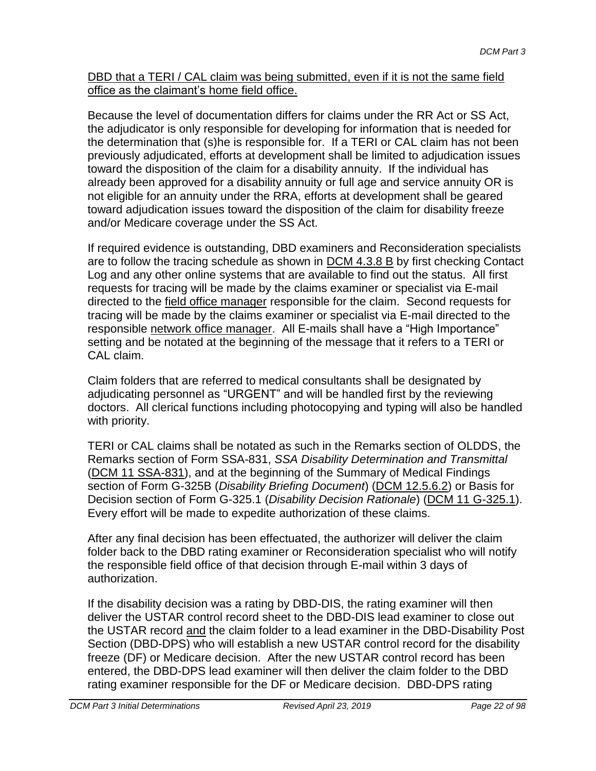DBD that a TERI / CAL claim was being submitted, even if it is not the same field office as the claimant's home field office.

Because the level of documentation differs for claims under the RR Act or SS Act, the adjudicator is only responsible for developing for information that is needed for the determination that (s)he is responsible for. If a TERI or CAL claim has not been previously adjudicated, efforts at development shall be limited to adjudication issues toward the disposition of the claim for a disability annuity. If the individual has already been approved for a disability annuity or full age and service annuity OR is not eligible for an annuity under the RRA, efforts at development shall be geared toward adjudication issues toward the disposition of the claim for disability freeze and/or Medicare coverage under the SS Act.

If required evidence is outstanding, DBD examiners and Reconsideration specialists are to follow the tracing schedule as shown in DCM 4.3.8 B by first checking Contact Log and any other online systems that are available to find out the status. All first requests for tracing will be made by the claims examiner or specialist via E-mail directed to the field office manager responsible for the claim. Second requests for tracing will be made by the claims examiner or specialist via E-mail directed to the responsible network office manager. All E-mails shall have a "High Importance" setting and be notated at the beginning of the message that it refers to a TERI or CAL claim.

Claim folders that are referred to medical consultants shall be designated by adjudicating personnel as "URGENT" and will be handled first by the reviewing doctors. All clerical functions including photocopying and typing will also be handled with priority.

TERI or CAL claims shall be notated as such in the Remarks section of OLDDS, the Remarks section of Form SSA-831, *SSA Disability Determination and Transmittal* (DCM 11 SSA-831), and at the beginning of the Summary of Medical Findings section of Form G-325B (*Disability Briefing Document*) (DCM 12.5.6.2) or Basis for Decision section of Form G-325.1 (*Disability Decision Rationale*) (DCM 11 G-325.1). Every effort will be made to expedite authorization of these claims.

After any final decision has been effectuated, the authorizer will deliver the claim folder back to the DBD rating examiner or Reconsideration specialist who will notify the responsible field office of that decision through E-mail within 3 days of authorization.

If the disability decision was a rating by DBD-DIS, the rating examiner will then deliver the USTAR control record sheet to the DBD-DIS lead examiner to close out the USTAR record and the claim folder to a lead examiner in the DBD-Disability Post Section (DBD-DPS) who will establish a new USTAR control record for the disability freeze (DF) or Medicare decision. After the new USTAR control record has been entered, the DBD-DPS lead examiner will then deliver the claim folder to the DBD rating examiner responsible for the DF or Medicare decision. DBD-DPS rating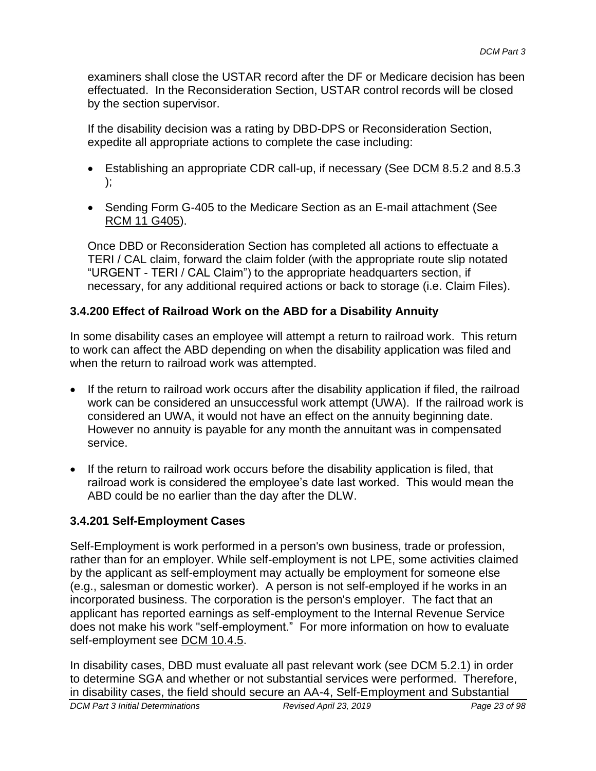examiners shall close the USTAR record after the DF or Medicare decision has been effectuated. In the Reconsideration Section, USTAR control records will be closed by the section supervisor.

If the disability decision was a rating by DBD-DPS or Reconsideration Section, expedite all appropriate actions to complete the case including:

- Establishing an appropriate CDR call-up, if necessary (See DCM 8.5.2 and 8.5.3 );
- Sending Form G-405 to the Medicare Section as an E-mail attachment (See RCM 11 G405).

Once DBD or Reconsideration Section has completed all actions to effectuate a TERI / CAL claim, forward the claim folder (with the appropriate route slip notated "URGENT - TERI / CAL Claim") to the appropriate headquarters section, if necessary, for any additional required actions or back to storage (i.e. Claim Files).

### **3.4.200 Effect of Railroad Work on the ABD for a Disability Annuity**

In some disability cases an employee will attempt a return to railroad work. This return to work can affect the ABD depending on when the disability application was filed and when the return to railroad work was attempted.

- If the return to railroad work occurs after the disability application if filed, the railroad work can be considered an unsuccessful work attempt (UWA). If the railroad work is considered an UWA, it would not have an effect on the annuity beginning date. However no annuity is payable for any month the annuitant was in compensated service.
- If the return to railroad work occurs before the disability application is filed, that railroad work is considered the employee's date last worked. This would mean the ABD could be no earlier than the day after the DLW.

# **3.4.201 Self-Employment Cases**

Self-Employment is work performed in a person's own business, trade or profession, rather than for an employer. While self-employment is not LPE, some activities claimed by the applicant as self-employment may actually be employment for someone else (e.g., salesman or domestic worker). A person is not self-employed if he works in an incorporated business. The corporation is the person's employer. The fact that an applicant has reported earnings as self-employment to the Internal Revenue Service does not make his work "self-employment." For more information on how to evaluate self-employment see DCM 10.4.5.

*DCM Part 3 Initial Determinations Revised April 23, 2019 Page 23 of 98* In disability cases, DBD must evaluate all past relevant work (see DCM 5.2.1) in order to determine SGA and whether or not substantial services were performed. Therefore, in disability cases, the field should secure an AA-4, Self-Employment and Substantial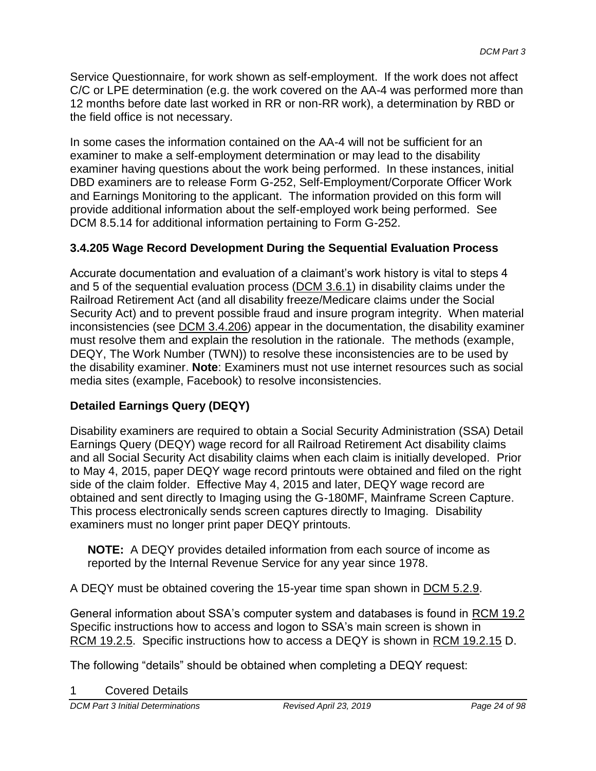Service Questionnaire, for work shown as self-employment. If the work does not affect C/C or LPE determination (e.g. the work covered on the AA-4 was performed more than 12 months before date last worked in RR or non-RR work), a determination by RBD or the field office is not necessary.

In some cases the information contained on the AA-4 will not be sufficient for an examiner to make a self-employment determination or may lead to the disability examiner having questions about the work being performed. In these instances, initial DBD examiners are to release Form G-252, Self-Employment/Corporate Officer Work and Earnings Monitoring to the applicant. The information provided on this form will provide additional information about the self-employed work being performed. See DCM 8.5.14 for additional information pertaining to Form G-252.

# **3.4.205 Wage Record Development During the Sequential Evaluation Process**

Accurate documentation and evaluation of a claimant's work history is vital to steps 4 and 5 of the sequential evaluation process (DCM 3.6.1) in disability claims under the Railroad Retirement Act (and all disability freeze/Medicare claims under the Social Security Act) and to prevent possible fraud and insure program integrity. When material inconsistencies (see DCM 3.4.206) appear in the documentation, the disability examiner must resolve them and explain the resolution in the rationale. The methods (example, DEQY, The Work Number (TWN)) to resolve these inconsistencies are to be used by the disability examiner. **Note**: Examiners must not use internet resources such as social media sites (example, Facebook) to resolve inconsistencies.

# **Detailed Earnings Query (DEQY)**

Disability examiners are required to obtain a Social Security Administration (SSA) Detail Earnings Query (DEQY) wage record for all Railroad Retirement Act disability claims and all Social Security Act disability claims when each claim is initially developed. Prior to May 4, 2015, paper DEQY wage record printouts were obtained and filed on the right side of the claim folder. Effective May 4, 2015 and later, DEQY wage record are obtained and sent directly to Imaging using the G-180MF, Mainframe Screen Capture. This process electronically sends screen captures directly to Imaging. Disability examiners must no longer print paper DEQY printouts.

**NOTE:** A DEQY provides detailed information from each source of income as reported by the Internal Revenue Service for any year since 1978.

A DEQY must be obtained covering the 15-year time span shown in DCM 5.2.9.

General information about SSA's computer system and databases is found in RCM 19.2 Specific instructions how to access and logon to SSA's main screen is shown in RCM 19.2.5. Specific instructions how to access a DEQY is shown in RCM 19.2.15 D.

The following "details" should be obtained when completing a DEQY request:

**Covered Details** 

*DCM Part 3 Initial Determinations Revised April 23, 2019 Page 24 of 98*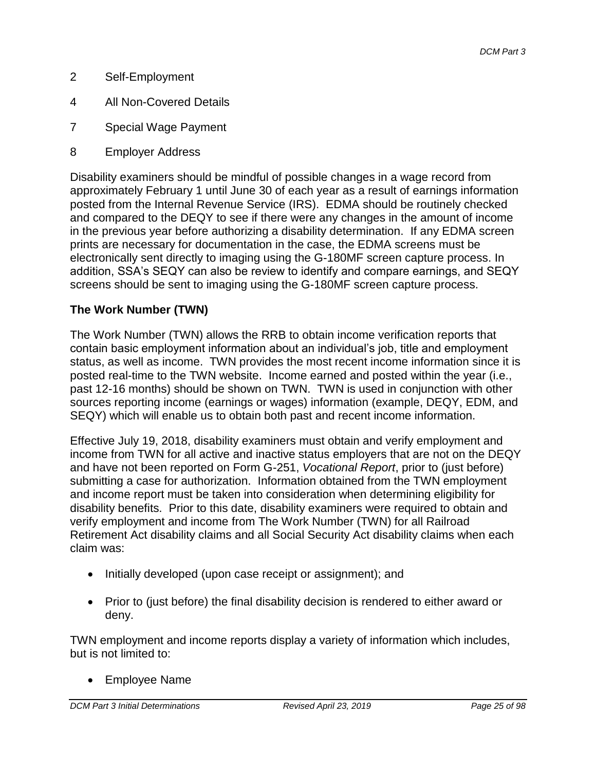- 2 Self-Employment
- 4 All Non-Covered Details
- 7 Special Wage Payment
- 8 Employer Address

Disability examiners should be mindful of possible changes in a wage record from approximately February 1 until June 30 of each year as a result of earnings information posted from the Internal Revenue Service (IRS). EDMA should be routinely checked and compared to the DEQY to see if there were any changes in the amount of income in the previous year before authorizing a disability determination. If any EDMA screen prints are necessary for documentation in the case, the EDMA screens must be electronically sent directly to imaging using the G-180MF screen capture process. In addition, SSA's SEQY can also be review to identify and compare earnings, and SEQY screens should be sent to imaging using the G-180MF screen capture process.

### **The Work Number (TWN)**

The Work Number (TWN) allows the RRB to obtain income verification reports that contain basic employment information about an individual's job, title and employment status, as well as income. TWN provides the most recent income information since it is posted real-time to the TWN website. Income earned and posted within the year (i.e., past 12-16 months) should be shown on TWN. TWN is used in conjunction with other sources reporting income (earnings or wages) information (example, DEQY, EDM, and SEQY) which will enable us to obtain both past and recent income information.

Effective July 19, 2018, disability examiners must obtain and verify employment and income from TWN for all active and inactive status employers that are not on the DEQY and have not been reported on Form G-251, *Vocational Report*, prior to (just before) submitting a case for authorization. Information obtained from the TWN employment and income report must be taken into consideration when determining eligibility for disability benefits. Prior to this date, disability examiners were required to obtain and verify employment and income from The Work Number (TWN) for all Railroad Retirement Act disability claims and all Social Security Act disability claims when each claim was:

- Initially developed (upon case receipt or assignment); and
- Prior to (just before) the final disability decision is rendered to either award or deny.

TWN employment and income reports display a variety of information which includes, but is not limited to:

Employee Name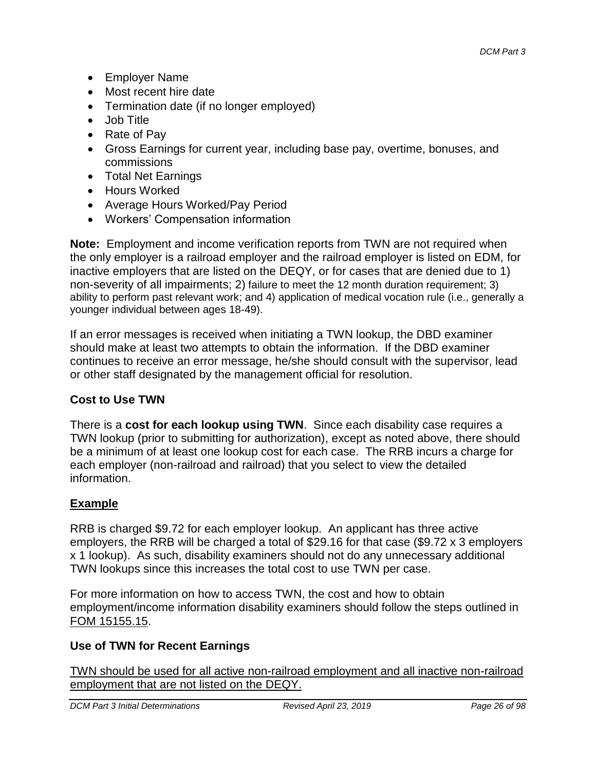- Employer Name
- Most recent hire date
- Termination date (if no longer employed)
- Job Title
- Rate of Pav
- Gross Earnings for current year, including base pay, overtime, bonuses, and commissions
- Total Net Earnings
- Hours Worked
- Average Hours Worked/Pay Period
- Workers' Compensation information

**Note:** Employment and income verification reports from TWN are not required when the only employer is a railroad employer and the railroad employer is listed on EDM, for inactive employers that are listed on the DEQY, or for cases that are denied due to 1) non-severity of all impairments; 2) failure to meet the 12 month duration requirement; 3) ability to perform past relevant work; and 4) application of medical vocation rule (i.e., generally a younger individual between ages 18-49).

If an error messages is received when initiating a TWN lookup, the DBD examiner should make at least two attempts to obtain the information. If the DBD examiner continues to receive an error message, he/she should consult with the supervisor, lead or other staff designated by the management official for resolution.

### **Cost to Use TWN**

There is a **cost for each lookup using TWN**. Since each disability case requires a TWN lookup (prior to submitting for authorization), except as noted above, there should be a minimum of at least one lookup cost for each case. The RRB incurs a charge for each employer (non-railroad and railroad) that you select to view the detailed information.

### **Example**

RRB is charged \$9.72 for each employer lookup. An applicant has three active employers, the RRB will be charged a total of \$29.16 for that case (\$9.72 x 3 employers x 1 lookup). As such, disability examiners should not do any unnecessary additional TWN lookups since this increases the total cost to use TWN per case.

For more information on how to access TWN, the cost and how to obtain employment/income information disability examiners should follow the steps outlined in [FOM 15155.15.](http://rrbsharepoint/sites/Pub/FOM/Art15/Documents/FOM1_15155.pdf#SEARCH=15155.15)

### **Use of TWN for Recent Earnings**

TWN should be used for all active non-railroad employment and all inactive non-railroad employment that are not listed on the DEQY.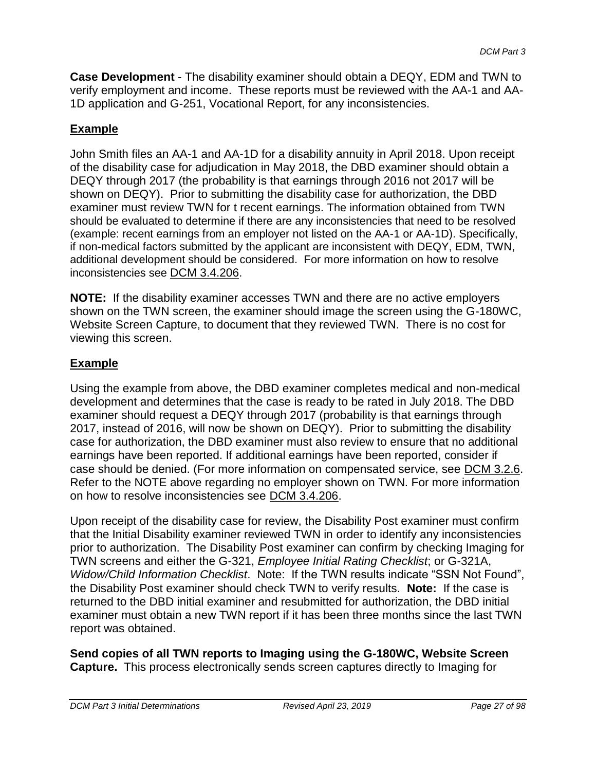**Case Development** - The disability examiner should obtain a DEQY, EDM and TWN to verify employment and income. These reports must be reviewed with the AA-1 and AA-1D application and G-251, Vocational Report, for any inconsistencies.

### **Example**

John Smith files an AA-1 and AA-1D for a disability annuity in April 2018. Upon receipt of the disability case for adjudication in May 2018, the DBD examiner should obtain a DEQY through 2017 (the probability is that earnings through 2016 not 2017 will be shown on DEQY). Prior to submitting the disability case for authorization, the DBD examiner must review TWN for t recent earnings. The information obtained from TWN should be evaluated to determine if there are any inconsistencies that need to be resolved (example: recent earnings from an employer not listed on the AA-1 or AA-1D). Specifically, if non-medical factors submitted by the applicant are inconsistent with DEQY, EDM, TWN, additional development should be considered. For more information on how to resolve inconsistencies see [DCM 3.4.206](http://rrbsharepoint/sites/Pub/DisMan/DCM/Documents/DCM_Part_3.pdf#SEARCH=3.4.206).

**NOTE:** If the disability examiner accesses TWN and there are no active employers shown on the TWN screen, the examiner should image the screen using the G-180WC, Website Screen Capture, to document that they reviewed TWN. There is no cost for viewing this screen.

### **Example**

Using the example from above, the DBD examiner completes medical and non-medical development and determines that the case is ready to be rated in July 2018. The DBD examiner should request a DEQY through 2017 (probability is that earnings through 2017, instead of 2016, will now be shown on DEQY). Prior to submitting the disability case for authorization, the DBD examiner must also review to ensure that no additional earnings have been reported. If additional earnings have been reported, consider if case should be denied. (For more information on compensated service, see [DCM](http://rrbsharepoint/sites/Pub/DisMan/DCM/Documents/DCM_Part_3.pdf#SEARCH=3.2.6) 3.2.6. Refer to the NOTE above regarding no employer shown on TWN. For more information on how to resolve inconsistencies see [DCM 3.4.206.](http://rrbsharepoint/sites/Pub/DisMan/DCM/Documents/DCM_Part_3.pdf#SEARCH=3.4.206)

Upon receipt of the disability case for review, the Disability Post examiner must confirm that the Initial Disability examiner reviewed TWN in order to identify any inconsistencies prior to authorization. The Disability Post examiner can confirm by checking Imaging for TWN screens and either the G-321, *Employee Initial Rating Checklist*; or G-321A, *Widow/Child Information Checklist*. Note: If the TWN results indicate "SSN Not Found", the Disability Post examiner should check TWN to verify results. **Note:** If the case is returned to the DBD initial examiner and resubmitted for authorization, the DBD initial examiner must obtain a new TWN report if it has been three months since the last TWN report was obtained.

**Send copies of all TWN reports to Imaging using the G-180WC, Website Screen Capture.** This process electronically sends screen captures directly to Imaging for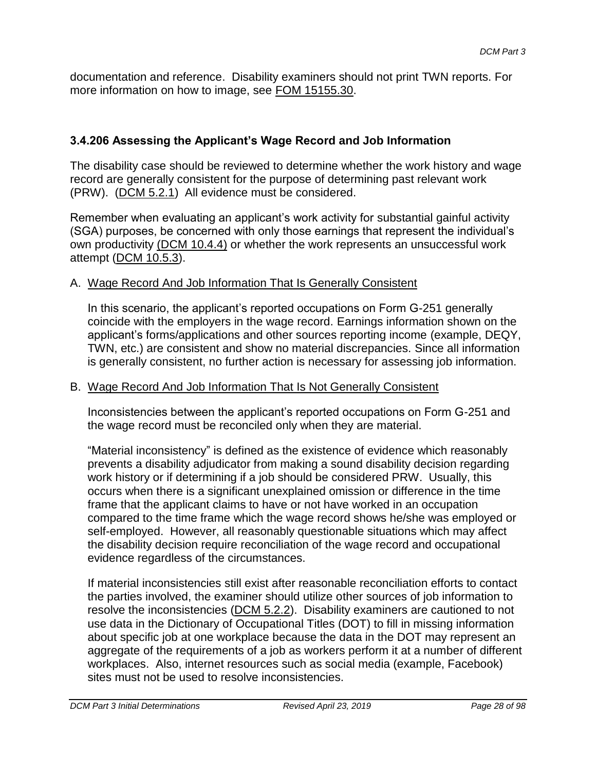documentation and reference. Disability examiners should not print TWN reports. For more information on how to image, see [FOM 15155.30.](http://rrbsharepoint/sites/Pub/FOM/Art15/Documents/FOM1_15155.pdf#SEARCH=15155.30)

### **3.4.206 Assessing the Applicant's Wage Record and Job Information**

The disability case should be reviewed to determine whether the work history and wage record are generally consistent for the purpose of determining past relevant work (PRW). (DCM 5.2.1) All evidence must be considered.

Remember when evaluating an applicant's work activity for substantial gainful activity (SGA) purposes, be concerned with only those earnings that represent the individual's own productivity [\(DCM 10.4.4\)](http://rrbsharepoint/sites/Pub/DisMan/DCM/Documents/DCM_Part_10.pdf#serach=10.4.4) or whether the work represents an unsuccessful work attempt (DCM 10.5.3).

### A. Wage Record And Job Information That Is Generally Consistent

In this scenario, the applicant's reported occupations on Form G-251 generally coincide with the employers in the wage record. Earnings information shown on the applicant's forms/applications and other sources reporting income (example, DEQY, TWN, etc.) are consistent and show no material discrepancies. Since all information is generally consistent, no further action is necessary for assessing job information.

#### B. Wage Record And Job Information That Is Not Generally Consistent

Inconsistencies between the applicant's reported occupations on Form G-251 and the wage record must be reconciled only when they are material.

"Material inconsistency" is defined as the existence of evidence which reasonably prevents a disability adjudicator from making a sound disability decision regarding work history or if determining if a job should be considered PRW. Usually, this occurs when there is a significant unexplained omission or difference in the time frame that the applicant claims to have or not have worked in an occupation compared to the time frame which the wage record shows he/she was employed or self-employed. However, all reasonably questionable situations which may affect the disability decision require reconciliation of the wage record and occupational evidence regardless of the circumstances.

If material inconsistencies still exist after reasonable reconciliation efforts to contact the parties involved, the examiner should utilize other sources of job information to resolve the inconsistencies (DCM 5.2.2). Disability examiners are cautioned to not use data in the Dictionary of Occupational Titles (DOT) to fill in missing information about specific job at one workplace because the data in the DOT may represent an aggregate of the requirements of a job as workers perform it at a number of different workplaces. Also, internet resources such as social media (example, Facebook) sites must not be used to resolve inconsistencies.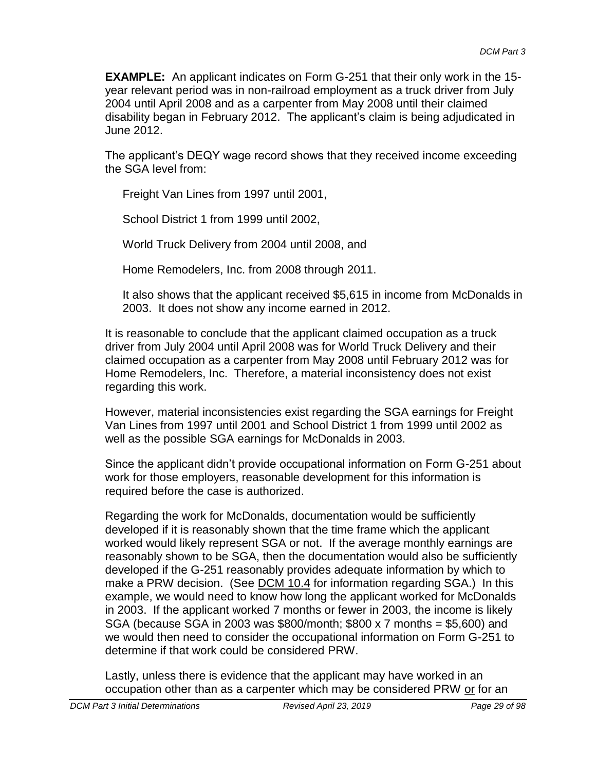**EXAMPLE:** An applicant indicates on Form G-251 that their only work in the 15 year relevant period was in non-railroad employment as a truck driver from July 2004 until April 2008 and as a carpenter from May 2008 until their claimed disability began in February 2012. The applicant's claim is being adjudicated in June 2012.

The applicant's DEQY wage record shows that they received income exceeding the SGA level from:

Freight Van Lines from 1997 until 2001,

School District 1 from 1999 until 2002,

World Truck Delivery from 2004 until 2008, and

Home Remodelers, Inc. from 2008 through 2011.

It also shows that the applicant received \$5,615 in income from McDonalds in 2003. It does not show any income earned in 2012.

It is reasonable to conclude that the applicant claimed occupation as a truck driver from July 2004 until April 2008 was for World Truck Delivery and their claimed occupation as a carpenter from May 2008 until February 2012 was for Home Remodelers, Inc. Therefore, a material inconsistency does not exist regarding this work.

However, material inconsistencies exist regarding the SGA earnings for Freight Van Lines from 1997 until 2001 and School District 1 from 1999 until 2002 as well as the possible SGA earnings for McDonalds in 2003.

Since the applicant didn't provide occupational information on Form G-251 about work for those employers, reasonable development for this information is required before the case is authorized.

Regarding the work for McDonalds, documentation would be sufficiently developed if it is reasonably shown that the time frame which the applicant worked would likely represent SGA or not. If the average monthly earnings are reasonably shown to be SGA, then the documentation would also be sufficiently developed if the G-251 reasonably provides adequate information by which to make a PRW decision. (See DCM 10.4 for information regarding SGA.) In this example, we would need to know how long the applicant worked for McDonalds in 2003. If the applicant worked 7 months or fewer in 2003, the income is likely SGA (because SGA in 2003 was \$800/month; \$800 x 7 months = \$5,600) and we would then need to consider the occupational information on Form G-251 to determine if that work could be considered PRW.

Lastly, unless there is evidence that the applicant may have worked in an occupation other than as a carpenter which may be considered PRW or for an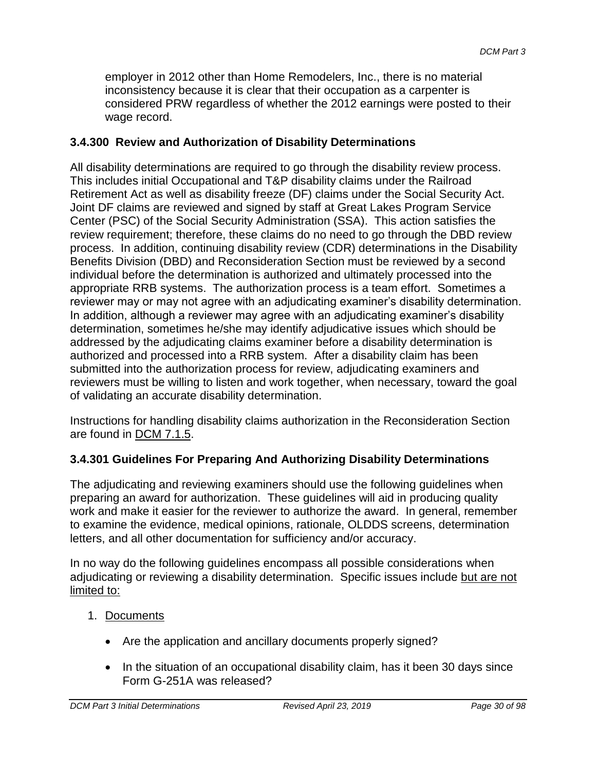employer in 2012 other than Home Remodelers, Inc., there is no material inconsistency because it is clear that their occupation as a carpenter is considered PRW regardless of whether the 2012 earnings were posted to their wage record.

### **3.4.300 Review and Authorization of Disability Determinations**

All disability determinations are required to go through the disability review process. This includes initial Occupational and T&P disability claims under the Railroad Retirement Act as well as disability freeze (DF) claims under the Social Security Act. Joint DF claims are reviewed and signed by staff at Great Lakes Program Service Center (PSC) of the Social Security Administration (SSA). This action satisfies the review requirement; therefore, these claims do no need to go through the DBD review process. In addition, continuing disability review (CDR) determinations in the Disability Benefits Division (DBD) and Reconsideration Section must be reviewed by a second individual before the determination is authorized and ultimately processed into the appropriate RRB systems. The authorization process is a team effort. Sometimes a reviewer may or may not agree with an adjudicating examiner's disability determination. In addition, although a reviewer may agree with an adjudicating examiner's disability determination, sometimes he/she may identify adjudicative issues which should be addressed by the adjudicating claims examiner before a disability determination is authorized and processed into a RRB system. After a disability claim has been submitted into the authorization process for review, adjudicating examiners and reviewers must be willing to listen and work together, when necessary, toward the goal of validating an accurate disability determination.

Instructions for handling disability claims authorization in the Reconsideration Section are found in DCM 7.1.5.

### **3.4.301 Guidelines For Preparing And Authorizing Disability Determinations**

The adjudicating and reviewing examiners should use the following guidelines when preparing an award for authorization. These guidelines will aid in producing quality work and make it easier for the reviewer to authorize the award. In general, remember to examine the evidence, medical opinions, rationale, OLDDS screens, determination letters, and all other documentation for sufficiency and/or accuracy.

In no way do the following guidelines encompass all possible considerations when adjudicating or reviewing a disability determination. Specific issues include but are not limited to:

### 1. Documents

- Are the application and ancillary documents properly signed?
- In the situation of an occupational disability claim, has it been 30 days since Form G-251A was released?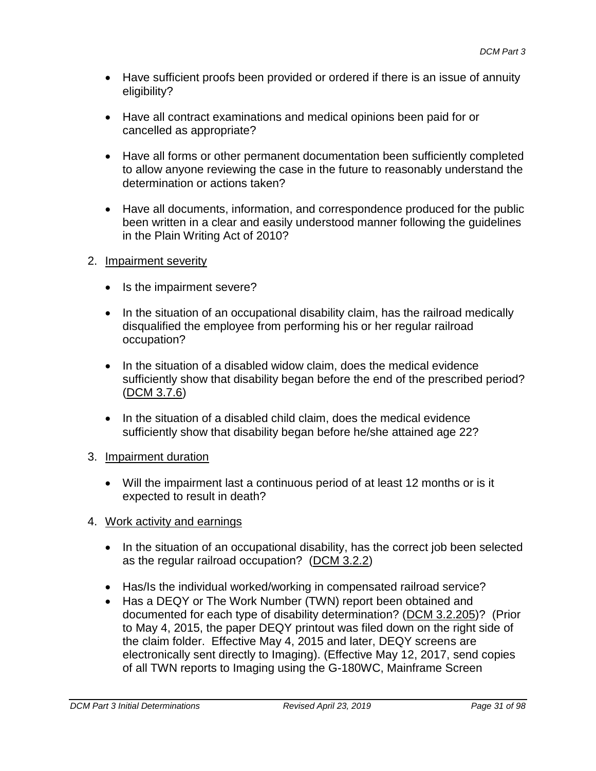- Have sufficient proofs been provided or ordered if there is an issue of annuity eligibility?
- Have all contract examinations and medical opinions been paid for or cancelled as appropriate?
- Have all forms or other permanent documentation been sufficiently completed to allow anyone reviewing the case in the future to reasonably understand the determination or actions taken?
- Have all documents, information, and correspondence produced for the public been written in a clear and easily understood manner following the guidelines in the Plain Writing Act of 2010?
- 2. Impairment severity
	- Is the impairment severe?
	- In the situation of an occupational disability claim, has the railroad medically disqualified the employee from performing his or her regular railroad occupation?
	- In the situation of a disabled widow claim, does the medical evidence sufficiently show that disability began before the end of the prescribed period? (DCM 3.7.6)
	- In the situation of a disabled child claim, does the medical evidence sufficiently show that disability began before he/she attained age 22?
- 3. Impairment duration
	- Will the impairment last a continuous period of at least 12 months or is it expected to result in death?
- 4. Work activity and earnings
	- In the situation of an occupational disability, has the correct job been selected as the regular railroad occupation? (DCM 3.2.2)
	- Has/Is the individual worked/working in compensated railroad service?
	- Has a DEQY or The Work Number (TWN) report been obtained and documented for each type of disability determination? (DCM 3.2.205)? (Prior to May 4, 2015, the paper DEQY printout was filed down on the right side of the claim folder. Effective May 4, 2015 and later, DEQY screens are electronically sent directly to Imaging). (Effective May 12, 2017, send copies of all TWN reports to Imaging using the G-180WC, Mainframe Screen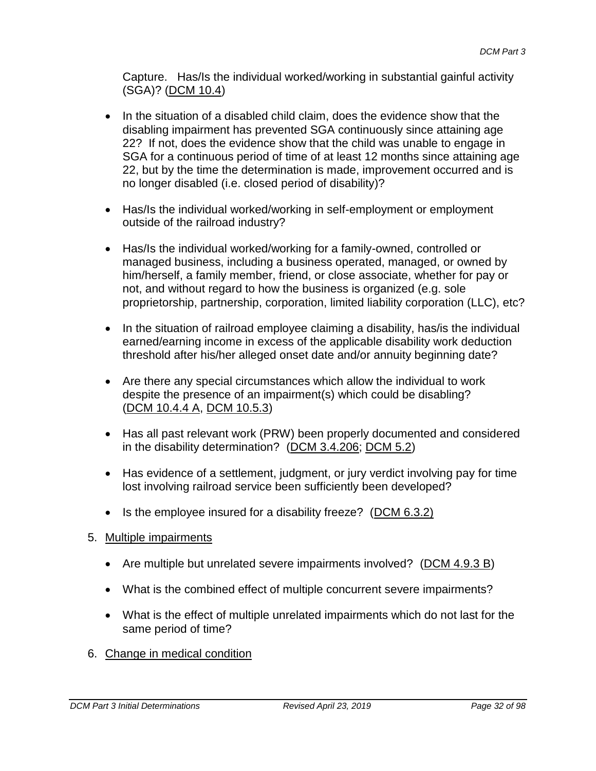Capture. Has/Is the individual worked/working in substantial gainful activity (SGA)? (DCM 10.4)

- In the situation of a disabled child claim, does the evidence show that the disabling impairment has prevented SGA continuously since attaining age 22? If not, does the evidence show that the child was unable to engage in SGA for a continuous period of time of at least 12 months since attaining age 22, but by the time the determination is made, improvement occurred and is no longer disabled (i.e. closed period of disability)?
- Has/Is the individual worked/working in self-employment or employment outside of the railroad industry?
- Has/Is the individual worked/working for a family-owned, controlled or managed business, including a business operated, managed, or owned by him/herself, a family member, friend, or close associate, whether for pay or not, and without regard to how the business is organized (e.g. sole proprietorship, partnership, corporation, limited liability corporation (LLC), etc?
- In the situation of railroad employee claiming a disability, has/is the individual earned/earning income in excess of the applicable disability work deduction threshold after his/her alleged onset date and/or annuity beginning date?
- Are there any special circumstances which allow the individual to work despite the presence of an impairment(s) which could be disabling? (DCM 10.4.4 A, DCM 10.5.3)
- Has all past relevant work (PRW) been properly documented and considered in the disability determination? (DCM 3.4.206; DCM 5.2)
- Has evidence of a settlement, judgment, or jury verdict involving pay for time lost involving railroad service been sufficiently been developed?
- $\bullet$  Is the employee insured for a disability freeze? (DCM 6.3.2)
- 5. Multiple impairments
	- Are multiple but unrelated severe impairments involved? (DCM 4.9.3 B)
	- What is the combined effect of multiple concurrent severe impairments?
	- What is the effect of multiple unrelated impairments which do not last for the same period of time?
- 6. Change in medical condition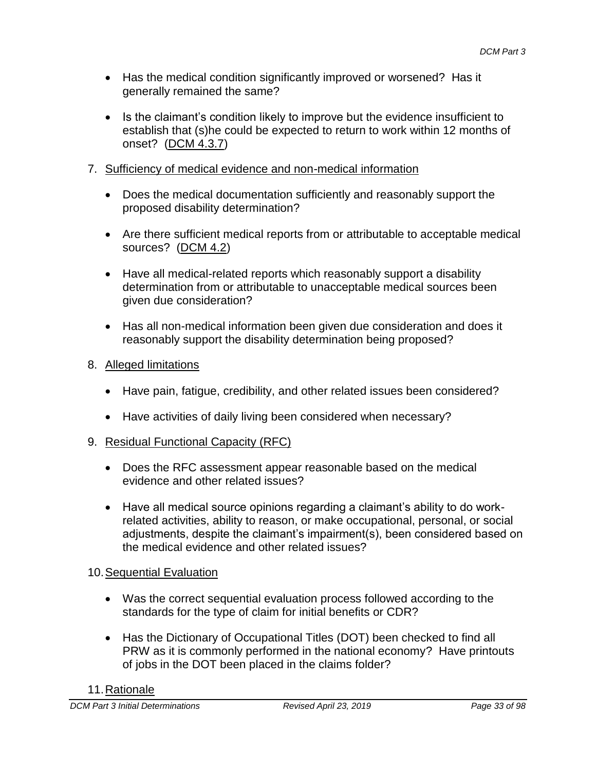- Has the medical condition significantly improved or worsened? Has it generally remained the same?
- Is the claimant's condition likely to improve but the evidence insufficient to establish that (s)he could be expected to return to work within 12 months of onset? (DCM 4.3.7)
- 7. Sufficiency of medical evidence and non-medical information
	- Does the medical documentation sufficiently and reasonably support the proposed disability determination?
	- Are there sufficient medical reports from or attributable to acceptable medical sources? (DCM 4.2)
	- Have all medical-related reports which reasonably support a disability determination from or attributable to unacceptable medical sources been given due consideration?
	- Has all non-medical information been given due consideration and does it reasonably support the disability determination being proposed?
- 8. Alleged limitations
	- Have pain, fatigue, credibility, and other related issues been considered?
	- Have activities of daily living been considered when necessary?
- 9. Residual Functional Capacity (RFC)
	- Does the RFC assessment appear reasonable based on the medical evidence and other related issues?
	- Have all medical source opinions regarding a claimant's ability to do workrelated activities, ability to reason, or make occupational, personal, or social adjustments, despite the claimant's impairment(s), been considered based on the medical evidence and other related issues?

### 10. Sequential Evaluation

- Was the correct sequential evaluation process followed according to the standards for the type of claim for initial benefits or CDR?
- Has the Dictionary of Occupational Titles (DOT) been checked to find all PRW as it is commonly performed in the national economy? Have printouts of jobs in the DOT been placed in the claims folder?

#### 11.Rationale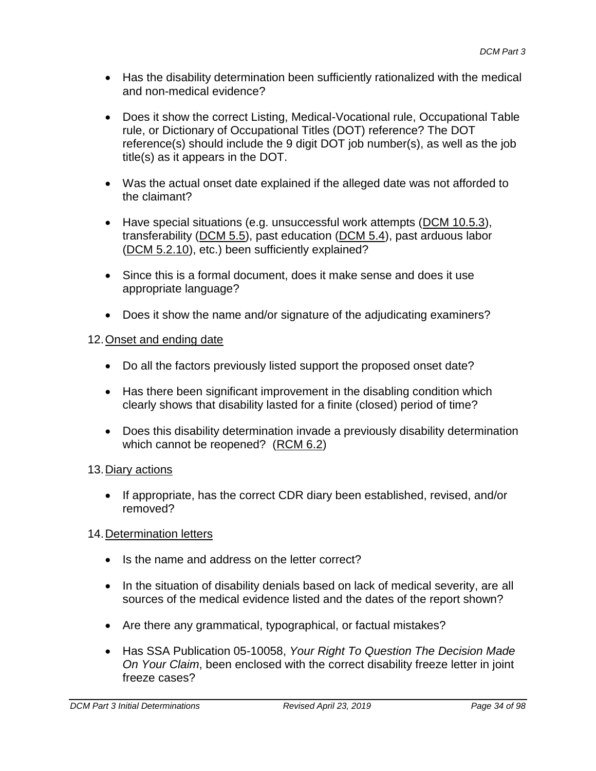- Has the disability determination been sufficiently rationalized with the medical and non-medical evidence?
- Does it show the correct Listing, Medical-Vocational rule, Occupational Table rule, or Dictionary of Occupational Titles (DOT) reference? The DOT reference(s) should include the 9 digit DOT job number(s), as well as the job title(s) as it appears in the DOT.
- Was the actual onset date explained if the alleged date was not afforded to the claimant?
- Have special situations (e.g. unsuccessful work attempts (DCM 10.5.3), transferability (DCM 5.5), past education (DCM 5.4), past arduous labor (DCM 5.2.10), etc.) been sufficiently explained?
- Since this is a formal document, does it make sense and does it use appropriate language?
- Does it show the name and/or signature of the adjudicating examiners?

### 12.Onset and ending date

- Do all the factors previously listed support the proposed onset date?
- Has there been significant improvement in the disabling condition which clearly shows that disability lasted for a finite (closed) period of time?
- Does this disability determination invade a previously disability determination which cannot be reopened? (RCM 6.2)

### 13.Diary actions

• If appropriate, has the correct CDR diary been established, revised, and/or removed?

### 14.Determination letters

- Is the name and address on the letter correct?
- In the situation of disability denials based on lack of medical severity, are all sources of the medical evidence listed and the dates of the report shown?
- Are there any grammatical, typographical, or factual mistakes?
- Has SSA Publication 05-10058, *Your Right To Question The Decision Made On Your Claim*, been enclosed with the correct disability freeze letter in joint freeze cases?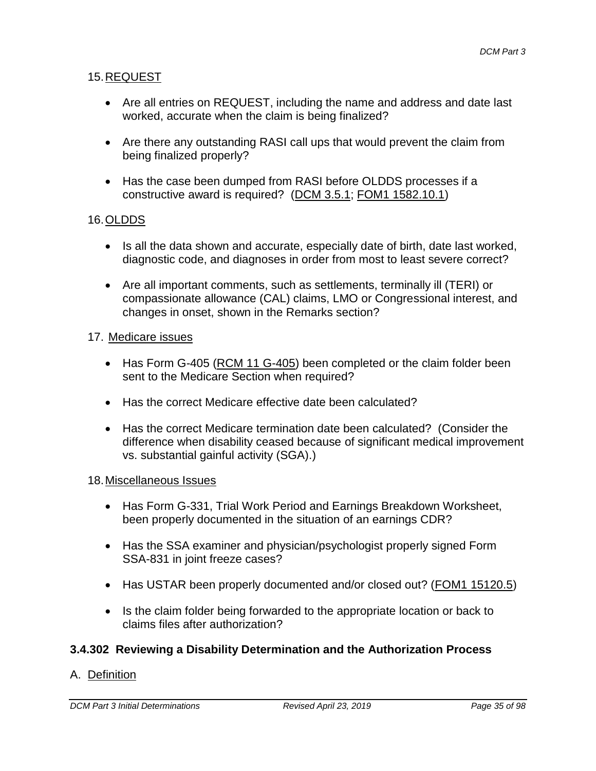### 15.REQUEST

- Are all entries on REQUEST, including the name and address and date last worked, accurate when the claim is being finalized?
- Are there any outstanding RASI call ups that would prevent the claim from being finalized properly?
- Has the case been dumped from RASI before OLDDS processes if a constructive award is required? (DCM 3.5.1; FOM1 1582.10.1)

### 16.OLDDS

- Is all the data shown and accurate, especially date of birth, date last worked, diagnostic code, and diagnoses in order from most to least severe correct?
- Are all important comments, such as settlements, terminally ill (TERI) or compassionate allowance (CAL) claims, LMO or Congressional interest, and changes in onset, shown in the Remarks section?

#### 17. Medicare issues

- Has Form G-405 (RCM 11 G-405) been completed or the claim folder been sent to the Medicare Section when required?
- Has the correct Medicare effective date been calculated?
- Has the correct Medicare termination date been calculated? (Consider the difference when disability ceased because of significant medical improvement vs. substantial gainful activity (SGA).)

#### 18.Miscellaneous Issues

- Has Form G-331, Trial Work Period and Earnings Breakdown Worksheet, been properly documented in the situation of an earnings CDR?
- Has the SSA examiner and physician/psychologist properly signed Form SSA-831 in joint freeze cases?
- Has USTAR been properly documented and/or closed out? (FOM1 15120.5)
- Is the claim folder being forwarded to the appropriate location or back to claims files after authorization?

### **3.4.302 Reviewing a Disability Determination and the Authorization Process**

#### A. Definition

*DCM Part 3 Initial Determinations Revised April 23, 2019 Page 35 of 98*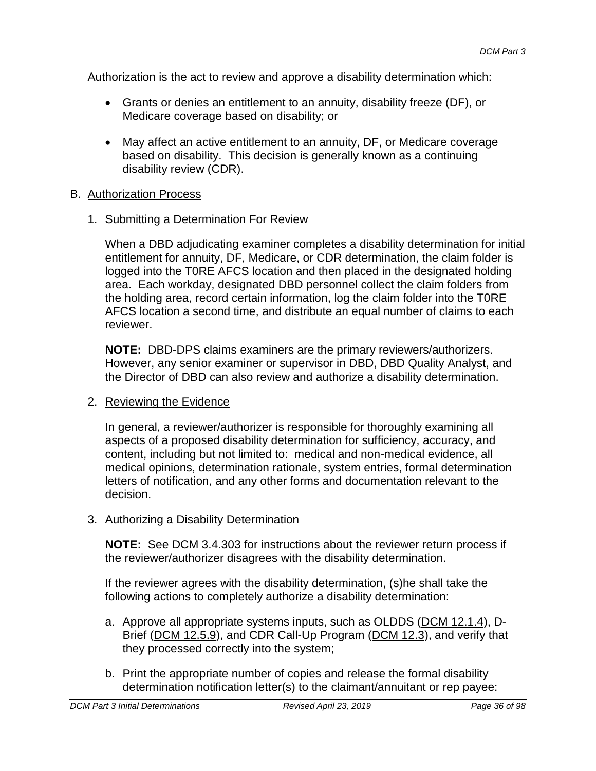Authorization is the act to review and approve a disability determination which:

- Grants or denies an entitlement to an annuity, disability freeze (DF), or Medicare coverage based on disability; or
- May affect an active entitlement to an annuity, DF, or Medicare coverage based on disability. This decision is generally known as a continuing disability review (CDR).

### B. Authorization Process

### 1. Submitting a Determination For Review

When a DBD adjudicating examiner completes a disability determination for initial entitlement for annuity, DF, Medicare, or CDR determination, the claim folder is logged into the T0RE AFCS location and then placed in the designated holding area. Each workday, designated DBD personnel collect the claim folders from the holding area, record certain information, log the claim folder into the T0RE AFCS location a second time, and distribute an equal number of claims to each reviewer.

**NOTE:** DBD-DPS claims examiners are the primary reviewers/authorizers. However, any senior examiner or supervisor in DBD, DBD Quality Analyst, and the Director of DBD can also review and authorize a disability determination.

#### 2. Reviewing the Evidence

In general, a reviewer/authorizer is responsible for thoroughly examining all aspects of a proposed disability determination for sufficiency, accuracy, and content, including but not limited to: medical and non-medical evidence, all medical opinions, determination rationale, system entries, formal determination letters of notification, and any other forms and documentation relevant to the decision.

### 3. Authorizing a Disability Determination

**NOTE:** See DCM 3.4.303 for instructions about the reviewer return process if the reviewer/authorizer disagrees with the disability determination.

If the reviewer agrees with the disability determination, (s)he shall take the following actions to completely authorize a disability determination:

- a. Approve all appropriate systems inputs, such as OLDDS (DCM 12.1.4), D-Brief (DCM 12.5.9), and CDR Call-Up Program (DCM 12.3), and verify that they processed correctly into the system;
- b. Print the appropriate number of copies and release the formal disability determination notification letter(s) to the claimant/annuitant or rep payee: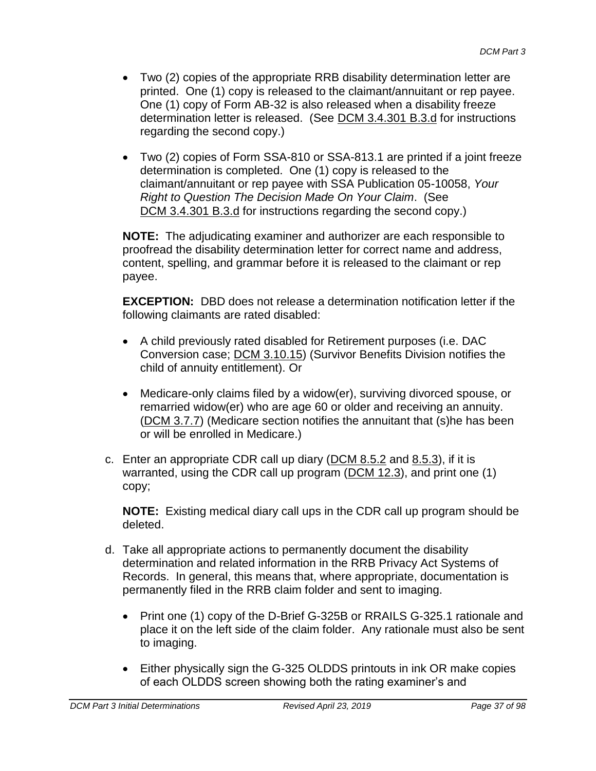- Two (2) copies of the appropriate RRB disability determination letter are printed. One (1) copy is released to the claimant/annuitant or rep payee. One (1) copy of Form AB-32 is also released when a disability freeze determination letter is released. (See DCM 3.4.301 B.3.d for instructions regarding the second copy.)
- Two (2) copies of Form SSA-810 or SSA-813.1 are printed if a joint freeze determination is completed. One (1) copy is released to the claimant/annuitant or rep payee with SSA Publication 05-10058, *Your Right to Question The Decision Made On Your Claim*. (See DCM 3.4.301 B.3.d for instructions regarding the second copy.)

**NOTE:** The adjudicating examiner and authorizer are each responsible to proofread the disability determination letter for correct name and address, content, spelling, and grammar before it is released to the claimant or rep payee.

**EXCEPTION:** DBD does not release a determination notification letter if the following claimants are rated disabled:

- A child previously rated disabled for Retirement purposes (i.e. DAC Conversion case; DCM 3.10.15) (Survivor Benefits Division notifies the child of annuity entitlement). Or
- Medicare-only claims filed by a widow(er), surviving divorced spouse, or remarried widow(er) who are age 60 or older and receiving an annuity. (DCM 3.7.7) (Medicare section notifies the annuitant that (s)he has been or will be enrolled in Medicare.)
- c. Enter an appropriate CDR call up diary (DCM 8.5.2 and 8.5.3), if it is warranted, using the CDR call up program (DCM 12.3), and print one (1) copy;

**NOTE:** Existing medical diary call ups in the CDR call up program should be deleted.

- d. Take all appropriate actions to permanently document the disability determination and related information in the RRB Privacy Act Systems of Records. In general, this means that, where appropriate, documentation is permanently filed in the RRB claim folder and sent to imaging.
	- Print one (1) copy of the D-Brief G-325B or RRAILS G-325.1 rationale and place it on the left side of the claim folder. Any rationale must also be sent to imaging.
	- Either physically sign the G-325 OLDDS printouts in ink OR make copies of each OLDDS screen showing both the rating examiner's and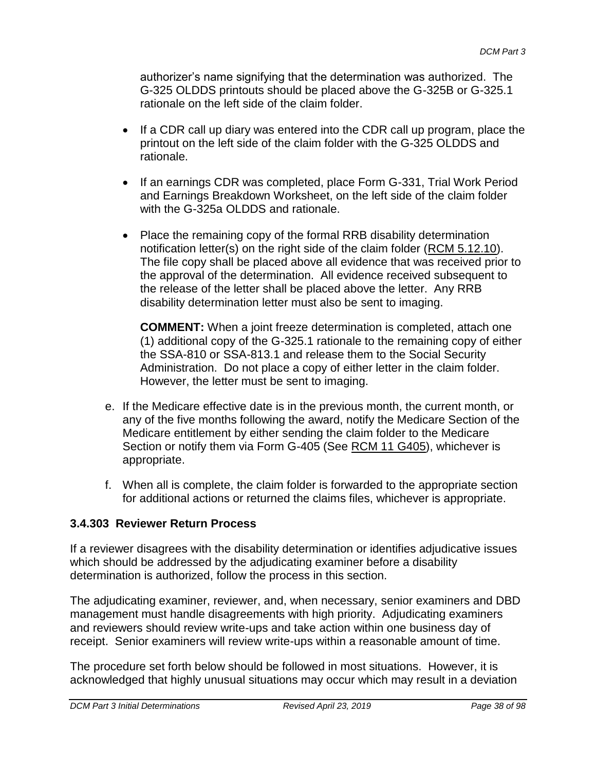authorizer's name signifying that the determination was authorized. The G-325 OLDDS printouts should be placed above the G-325B or G-325.1 rationale on the left side of the claim folder.

- If a CDR call up diary was entered into the CDR call up program, place the printout on the left side of the claim folder with the G-325 OLDDS and rationale.
- If an earnings CDR was completed, place Form G-331, Trial Work Period and Earnings Breakdown Worksheet, on the left side of the claim folder with the G-325a OLDDS and rationale.
- Place the remaining copy of the formal RRB disability determination notification letter(s) on the right side of the claim folder (RCM 5.12.10). The file copy shall be placed above all evidence that was received prior to the approval of the determination. All evidence received subsequent to the release of the letter shall be placed above the letter. Any RRB disability determination letter must also be sent to imaging.

**COMMENT:** When a joint freeze determination is completed, attach one (1) additional copy of the G-325.1 rationale to the remaining copy of either the SSA-810 or SSA-813.1 and release them to the Social Security Administration. Do not place a copy of either letter in the claim folder. However, the letter must be sent to imaging.

- e. If the Medicare effective date is in the previous month, the current month, or any of the five months following the award, notify the Medicare Section of the Medicare entitlement by either sending the claim folder to the Medicare Section or notify them via Form G-405 (See RCM 11 G405), whichever is appropriate.
- f. When all is complete, the claim folder is forwarded to the appropriate section for additional actions or returned the claims files, whichever is appropriate.

## **3.4.303 Reviewer Return Process**

If a reviewer disagrees with the disability determination or identifies adjudicative issues which should be addressed by the adjudicating examiner before a disability determination is authorized, follow the process in this section.

The adjudicating examiner, reviewer, and, when necessary, senior examiners and DBD management must handle disagreements with high priority. Adjudicating examiners and reviewers should review write-ups and take action within one business day of receipt. Senior examiners will review write-ups within a reasonable amount of time.

The procedure set forth below should be followed in most situations. However, it is acknowledged that highly unusual situations may occur which may result in a deviation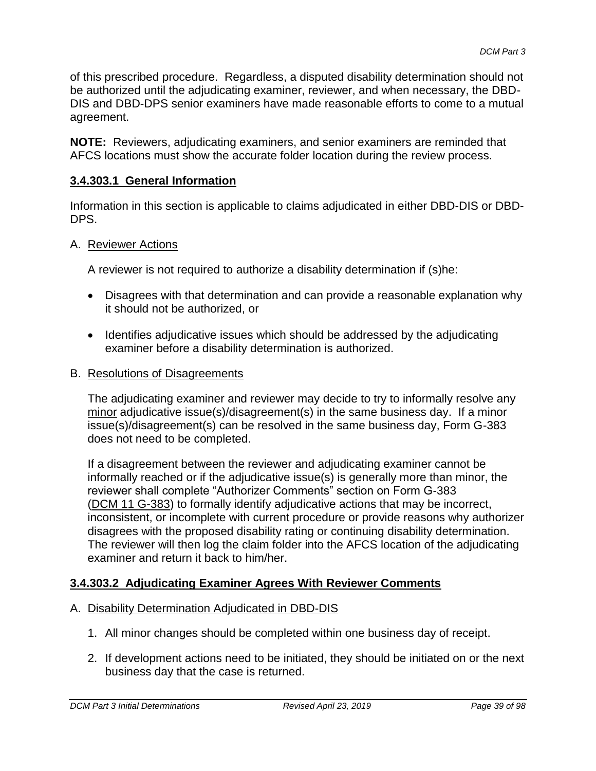of this prescribed procedure. Regardless, a disputed disability determination should not be authorized until the adjudicating examiner, reviewer, and when necessary, the DBD-DIS and DBD-DPS senior examiners have made reasonable efforts to come to a mutual agreement.

**NOTE:** Reviewers, adjudicating examiners, and senior examiners are reminded that AFCS locations must show the accurate folder location during the review process.

## **3.4.303.1 General Information**

Information in this section is applicable to claims adjudicated in either DBD-DIS or DBD-DPS.

#### A. Reviewer Actions

A reviewer is not required to authorize a disability determination if (s)he:

- Disagrees with that determination and can provide a reasonable explanation why it should not be authorized, or
- Identifies adjudicative issues which should be addressed by the adjudicating examiner before a disability determination is authorized.
- B. Resolutions of Disagreements

The adjudicating examiner and reviewer may decide to try to informally resolve any minor adjudicative issue(s)/disagreement(s) in the same business day. If a minor issue(s)/disagreement(s) can be resolved in the same business day, Form G-383 does not need to be completed.

If a disagreement between the reviewer and adjudicating examiner cannot be informally reached or if the adjudicative issue(s) is generally more than minor, the reviewer shall complete "Authorizer Comments" section on Form G-383 (DCM 11 G-383) to formally identify adjudicative actions that may be incorrect, inconsistent, or incomplete with current procedure or provide reasons why authorizer disagrees with the proposed disability rating or continuing disability determination. The reviewer will then log the claim folder into the AFCS location of the adjudicating examiner and return it back to him/her.

## **3.4.303.2 Adjudicating Examiner Agrees With Reviewer Comments**

#### A. Disability Determination Adjudicated in DBD-DIS

- 1. All minor changes should be completed within one business day of receipt.
- 2. If development actions need to be initiated, they should be initiated on or the next business day that the case is returned.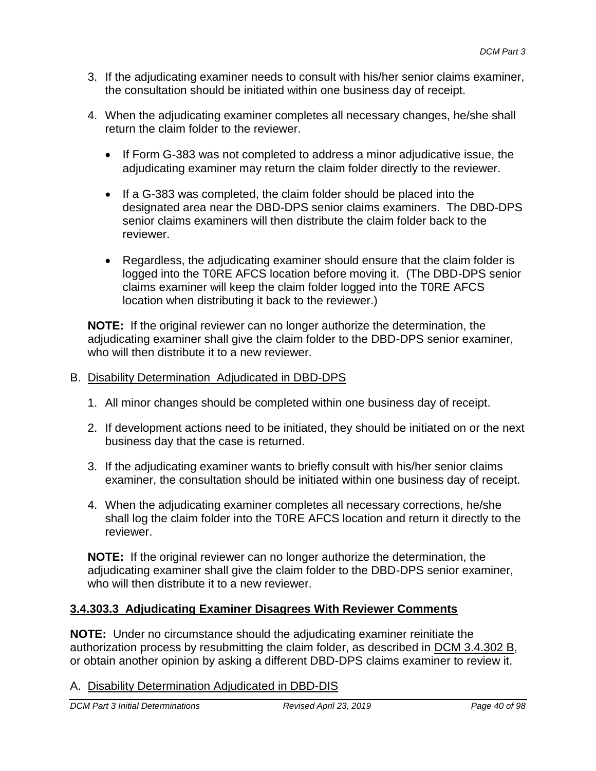- 3. If the adjudicating examiner needs to consult with his/her senior claims examiner, the consultation should be initiated within one business day of receipt.
- 4. When the adjudicating examiner completes all necessary changes, he/she shall return the claim folder to the reviewer.
	- If Form G-383 was not completed to address a minor adjudicative issue, the adjudicating examiner may return the claim folder directly to the reviewer.
	- If a G-383 was completed, the claim folder should be placed into the designated area near the DBD-DPS senior claims examiners. The DBD-DPS senior claims examiners will then distribute the claim folder back to the reviewer.
	- Regardless, the adjudicating examiner should ensure that the claim folder is logged into the T0RE AFCS location before moving it. (The DBD-DPS senior claims examiner will keep the claim folder logged into the T0RE AFCS location when distributing it back to the reviewer.)

**NOTE:** If the original reviewer can no longer authorize the determination, the adjudicating examiner shall give the claim folder to the DBD-DPS senior examiner, who will then distribute it to a new reviewer.

## B. Disability Determination Adjudicated in DBD-DPS

- 1. All minor changes should be completed within one business day of receipt.
- 2. If development actions need to be initiated, they should be initiated on or the next business day that the case is returned.
- 3. If the adjudicating examiner wants to briefly consult with his/her senior claims examiner, the consultation should be initiated within one business day of receipt.
- 4. When the adjudicating examiner completes all necessary corrections, he/she shall log the claim folder into the T0RE AFCS location and return it directly to the reviewer.

**NOTE:** If the original reviewer can no longer authorize the determination, the adjudicating examiner shall give the claim folder to the DBD-DPS senior examiner, who will then distribute it to a new reviewer.

## **3.4.303.3 Adjudicating Examiner Disagrees With Reviewer Comments**

**NOTE:** Under no circumstance should the adjudicating examiner reinitiate the authorization process by resubmitting the claim folder, as described in DCM 3.4.302 B, or obtain another opinion by asking a different DBD-DPS claims examiner to review it.

## A. Disability Determination Adjudicated in DBD-DIS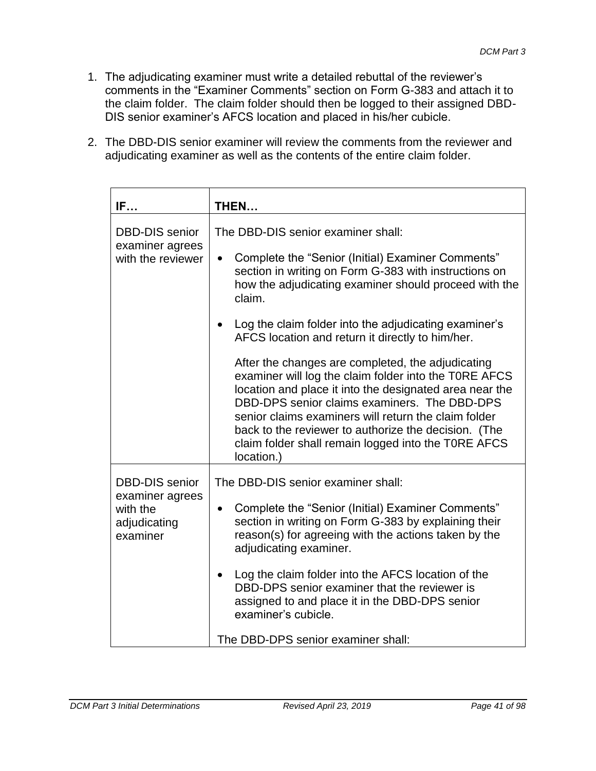- 1. The adjudicating examiner must write a detailed rebuttal of the reviewer's comments in the "Examiner Comments" section on Form G-383 and attach it to the claim folder. The claim folder should then be logged to their assigned DBD-DIS senior examiner's AFCS location and placed in his/her cubicle.
- 2. The DBD-DIS senior examiner will review the comments from the reviewer and adjudicating examiner as well as the contents of the entire claim folder.

| IF                                                      | THEN                                                                                                                                                                                                                                                                                                                                                                                                       |  |
|---------------------------------------------------------|------------------------------------------------------------------------------------------------------------------------------------------------------------------------------------------------------------------------------------------------------------------------------------------------------------------------------------------------------------------------------------------------------------|--|
| <b>DBD-DIS</b> senior<br>examiner agrees                | The DBD-DIS senior examiner shall:                                                                                                                                                                                                                                                                                                                                                                         |  |
| with the reviewer                                       | Complete the "Senior (Initial) Examiner Comments"<br>$\bullet$<br>section in writing on Form G-383 with instructions on<br>how the adjudicating examiner should proceed with the<br>claim.                                                                                                                                                                                                                 |  |
|                                                         | Log the claim folder into the adjudicating examiner's<br>AFCS location and return it directly to him/her.                                                                                                                                                                                                                                                                                                  |  |
|                                                         | After the changes are completed, the adjudicating<br>examiner will log the claim folder into the TORE AFCS<br>location and place it into the designated area near the<br>DBD-DPS senior claims examiners. The DBD-DPS<br>senior claims examiners will return the claim folder<br>back to the reviewer to authorize the decision. (The<br>claim folder shall remain logged into the TORE AFCS<br>location.) |  |
| <b>DBD-DIS</b> senior                                   | The DBD-DIS senior examiner shall:                                                                                                                                                                                                                                                                                                                                                                         |  |
| examiner agrees<br>with the<br>adjudicating<br>examiner | Complete the "Senior (Initial) Examiner Comments"<br>$\bullet$<br>section in writing on Form G-383 by explaining their<br>reason(s) for agreeing with the actions taken by the<br>adjudicating examiner.                                                                                                                                                                                                   |  |
|                                                         | Log the claim folder into the AFCS location of the<br>DBD-DPS senior examiner that the reviewer is<br>assigned to and place it in the DBD-DPS senior<br>examiner's cubicle.                                                                                                                                                                                                                                |  |
|                                                         | The DBD-DPS senior examiner shall:                                                                                                                                                                                                                                                                                                                                                                         |  |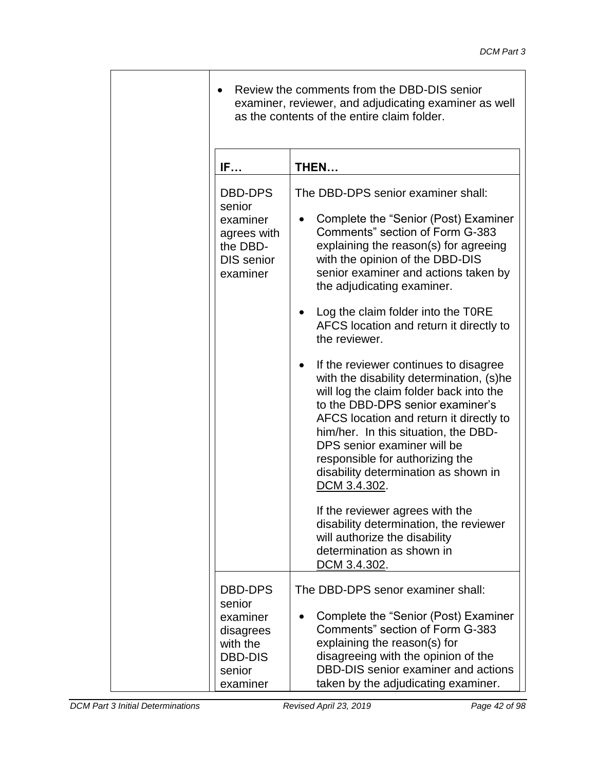| Review the comments from the DBD-DIS senior<br>examiner, reviewer, and adjudicating examiner as well<br>as the contents of the entire claim folder. |                                                                                                                                                                                                                                                                                                                                                                                                                                                                                                                                                                                                                                                                                                                                                                                                                                                                                                               |  |
|-----------------------------------------------------------------------------------------------------------------------------------------------------|---------------------------------------------------------------------------------------------------------------------------------------------------------------------------------------------------------------------------------------------------------------------------------------------------------------------------------------------------------------------------------------------------------------------------------------------------------------------------------------------------------------------------------------------------------------------------------------------------------------------------------------------------------------------------------------------------------------------------------------------------------------------------------------------------------------------------------------------------------------------------------------------------------------|--|
| IF                                                                                                                                                  | THEN                                                                                                                                                                                                                                                                                                                                                                                                                                                                                                                                                                                                                                                                                                                                                                                                                                                                                                          |  |
| DBD-DPS<br>senior<br>examiner<br>agrees with<br>the DBD-<br><b>DIS</b> senior<br>examiner                                                           | The DBD-DPS senior examiner shall:<br>Complete the "Senior (Post) Examiner<br>Comments" section of Form G-383<br>explaining the reason(s) for agreeing<br>with the opinion of the DBD-DIS<br>senior examiner and actions taken by<br>the adjudicating examiner.<br>Log the claim folder into the TORE<br>AFCS location and return it directly to<br>the reviewer.<br>If the reviewer continues to disagree<br>with the disability determination, (s)he<br>will log the claim folder back into the<br>to the DBD-DPS senior examiner's<br>AFCS location and return it directly to<br>him/her. In this situation, the DBD-<br>DPS senior examiner will be<br>responsible for authorizing the<br>disability determination as shown in<br>DCM 3.4.302.<br>If the reviewer agrees with the<br>disability determination, the reviewer<br>will authorize the disability<br>determination as shown in<br>DCM 3.4.302. |  |
| <b>DBD-DPS</b><br>senior                                                                                                                            | The DBD-DPS senor examiner shall:                                                                                                                                                                                                                                                                                                                                                                                                                                                                                                                                                                                                                                                                                                                                                                                                                                                                             |  |
| examiner<br>disagrees<br>with the<br><b>DBD-DIS</b><br>senior<br>examiner                                                                           | Complete the "Senior (Post) Examiner<br>Comments" section of Form G-383<br>explaining the reason(s) for<br>disagreeing with the opinion of the<br>DBD-DIS senior examiner and actions<br>taken by the adjudicating examiner.                                                                                                                                                                                                                                                                                                                                                                                                                                                                                                                                                                                                                                                                                  |  |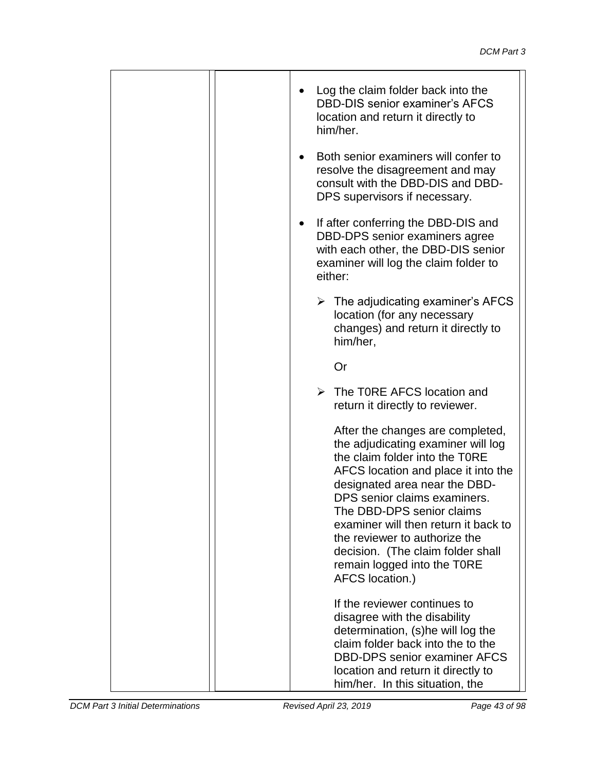|           | Log the claim folder back into the<br><b>DBD-DIS senior examiner's AFCS</b><br>location and return it directly to<br>him/her.                                                                                                                                                                                                                                                                                 |  |
|-----------|---------------------------------------------------------------------------------------------------------------------------------------------------------------------------------------------------------------------------------------------------------------------------------------------------------------------------------------------------------------------------------------------------------------|--|
| $\bullet$ | Both senior examiners will confer to<br>resolve the disagreement and may<br>consult with the DBD-DIS and DBD-<br>DPS supervisors if necessary.                                                                                                                                                                                                                                                                |  |
| $\bullet$ | If after conferring the DBD-DIS and<br>DBD-DPS senior examiners agree<br>with each other, the DBD-DIS senior<br>examiner will log the claim folder to<br>either:                                                                                                                                                                                                                                              |  |
|           | $\triangleright$ The adjudicating examiner's AFCS<br>location (for any necessary<br>changes) and return it directly to<br>him/her,                                                                                                                                                                                                                                                                            |  |
|           | Or                                                                                                                                                                                                                                                                                                                                                                                                            |  |
|           | $\triangleright$ The TORE AFCS location and<br>return it directly to reviewer.                                                                                                                                                                                                                                                                                                                                |  |
|           | After the changes are completed,<br>the adjudicating examiner will log<br>the claim folder into the TORE<br>AFCS location and place it into the<br>designated area near the DBD-<br>DPS senior claims examiners.<br>The DBD-DPS senior claims<br>examiner will then return it back to<br>the reviewer to authorize the<br>decision. (The claim folder shall<br>remain logged into the T0RE<br>AFCS location.) |  |
|           | If the reviewer continues to<br>disagree with the disability<br>determination, (s)he will log the<br>claim folder back into the to the<br><b>DBD-DPS senior examiner AFCS</b><br>location and return it directly to<br>him/her. In this situation, the                                                                                                                                                        |  |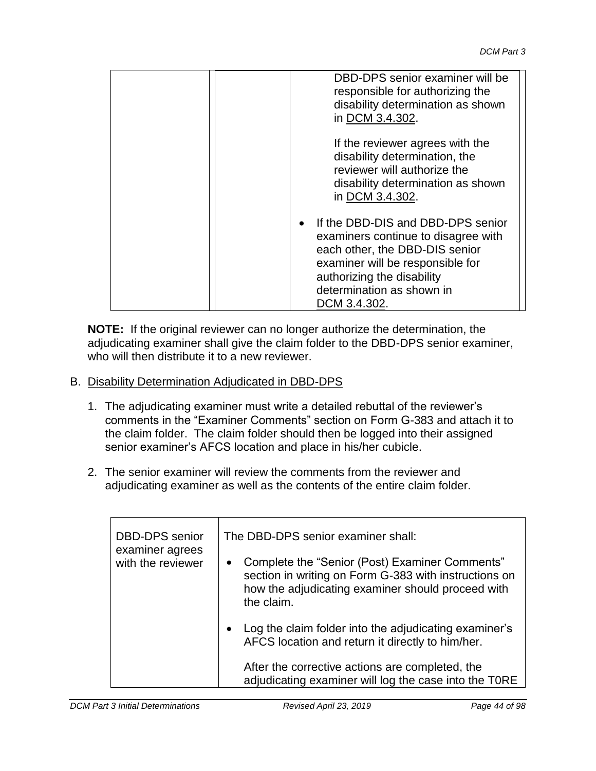| DBD-DPS senior examiner will be<br>responsible for authorizing the<br>disability determination as shown<br>in DCM 3.4.302.                                                                                                |
|---------------------------------------------------------------------------------------------------------------------------------------------------------------------------------------------------------------------------|
| If the reviewer agrees with the<br>disability determination, the<br>reviewer will authorize the<br>disability determination as shown<br>in DCM 3.4.302.                                                                   |
| If the DBD-DIS and DBD-DPS senior<br>examiners continue to disagree with<br>each other, the DBD-DIS senior<br>examiner will be responsible for<br>authorizing the disability<br>determination as shown in<br>DCM 3.4.302. |

**NOTE:** If the original reviewer can no longer authorize the determination, the adjudicating examiner shall give the claim folder to the DBD-DPS senior examiner, who will then distribute it to a new reviewer.

- B. Disability Determination Adjudicated in DBD-DPS
	- 1. The adjudicating examiner must write a detailed rebuttal of the reviewer's comments in the "Examiner Comments" section on Form G-383 and attach it to the claim folder. The claim folder should then be logged into their assigned senior examiner's AFCS location and place in his/her cubicle.
	- 2. The senior examiner will review the comments from the reviewer and adjudicating examiner as well as the contents of the entire claim folder.

| <b>DBD-DPS</b> senior<br>examiner agrees | The DBD-DPS senior examiner shall:                                                                                                                                                      |  |
|------------------------------------------|-----------------------------------------------------------------------------------------------------------------------------------------------------------------------------------------|--|
| with the reviewer                        | Complete the "Senior (Post) Examiner Comments"<br>$\bullet$<br>section in writing on Form G-383 with instructions on<br>how the adjudicating examiner should proceed with<br>the claim. |  |
|                                          | Log the claim folder into the adjudicating examiner's<br>$\bullet$<br>AFCS location and return it directly to him/her.                                                                  |  |
|                                          | After the corrective actions are completed, the<br>adjudicating examiner will log the case into the TORE                                                                                |  |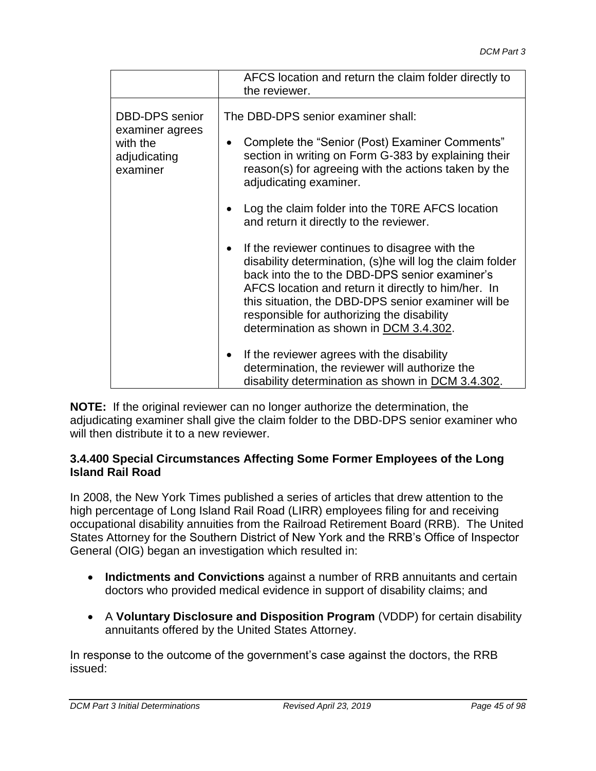|                                                                                  | AFCS location and return the claim folder directly to<br>the reviewer.                                                                                                                                                                                                                                                                                              |
|----------------------------------------------------------------------------------|---------------------------------------------------------------------------------------------------------------------------------------------------------------------------------------------------------------------------------------------------------------------------------------------------------------------------------------------------------------------|
| <b>DBD-DPS</b> senior<br>examiner agrees<br>with the<br>adjudicating<br>examiner | The DBD-DPS senior examiner shall:<br>Complete the "Senior (Post) Examiner Comments"<br>$\bullet$<br>section in writing on Form G-383 by explaining their<br>reason(s) for agreeing with the actions taken by the<br>adjudicating examiner.                                                                                                                         |
|                                                                                  | Log the claim folder into the TORE AFCS location<br>and return it directly to the reviewer.                                                                                                                                                                                                                                                                         |
|                                                                                  | If the reviewer continues to disagree with the<br>disability determination, (s)he will log the claim folder<br>back into the to the DBD-DPS senior examiner's<br>AFCS location and return it directly to him/her. In<br>this situation, the DBD-DPS senior examiner will be<br>responsible for authorizing the disability<br>determination as shown in DCM 3.4.302. |
|                                                                                  | If the reviewer agrees with the disability<br>determination, the reviewer will authorize the<br>disability determination as shown in DCM 3.4.302.                                                                                                                                                                                                                   |

**NOTE:** If the original reviewer can no longer authorize the determination, the adjudicating examiner shall give the claim folder to the DBD-DPS senior examiner who will then distribute it to a new reviewer.

#### **3.4.400 Special Circumstances Affecting Some Former Employees of the Long Island Rail Road**

In 2008, the New York Times published a series of articles that drew attention to the high percentage of Long Island Rail Road (LIRR) employees filing for and receiving occupational disability annuities from the Railroad Retirement Board (RRB). The United States Attorney for the Southern District of New York and the RRB's Office of Inspector General (OIG) began an investigation which resulted in:

- **Indictments and Convictions** against a number of RRB annuitants and certain doctors who provided medical evidence in support of disability claims; and
- A **Voluntary Disclosure and Disposition Program** (VDDP) for certain disability annuitants offered by the United States Attorney.

In response to the outcome of the government's case against the doctors, the RRB issued: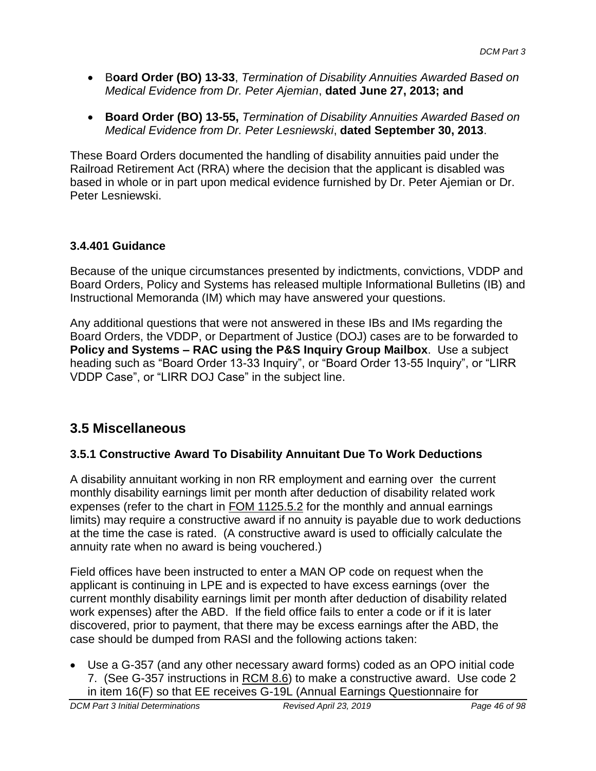- B**oard Order (BO) 13-33**, *Termination of Disability Annuities Awarded Based on Medical Evidence from Dr. Peter Ajemian*, **dated June 27, 2013; and**
- **Board Order (BO) 13-55,** *Termination of Disability Annuities Awarded Based on Medical Evidence from Dr. Peter Lesniewski*, **dated September 30, 2013**.

These Board Orders documented the handling of disability annuities paid under the Railroad Retirement Act (RRA) where the decision that the applicant is disabled was based in whole or in part upon medical evidence furnished by Dr. Peter Ajemian or Dr. Peter Lesniewski.

## **3.4.401 Guidance**

Because of the unique circumstances presented by indictments, convictions, VDDP and Board Orders, Policy and Systems has released multiple Informational Bulletins (IB) and Instructional Memoranda (IM) which may have answered your questions.

Any additional questions that were not answered in these IBs and IMs regarding the Board Orders, the VDDP, or Department of Justice (DOJ) cases are to be forwarded to **Policy and Systems – RAC using the P&S Inquiry Group Mailbox**. Use a subject heading such as "Board Order 13-33 Inquiry", or "Board Order 13-55 Inquiry", or "LIRR VDDP Case", or "LIRR DOJ Case" in the subject line.

# **3.5 Miscellaneous**

## **3.5.1 Constructive Award To Disability Annuitant Due To Work Deductions**

A disability annuitant working in non RR employment and earning over the current monthly disability earnings limit per month after deduction of disability related work expenses (refer to the chart in FOM 1125.5.2 for the monthly and annual earnings limits) may require a constructive award if no annuity is payable due to work deductions at the time the case is rated. (A constructive award is used to officially calculate the annuity rate when no award is being vouchered.)

Field offices have been instructed to enter a MAN OP code on request when the applicant is continuing in LPE and is expected to have excess earnings (over the current monthly disability earnings limit per month after deduction of disability related work expenses) after the ABD. If the field office fails to enter a code or if it is later discovered, prior to payment, that there may be excess earnings after the ABD, the case should be dumped from RASI and the following actions taken:

 Use a G-357 (and any other necessary award forms) coded as an OPO initial code 7. (See G-357 instructions in RCM 8.6) to make a constructive award. Use code 2 in item 16(F) so that EE receives G-19L (Annual Earnings Questionnaire for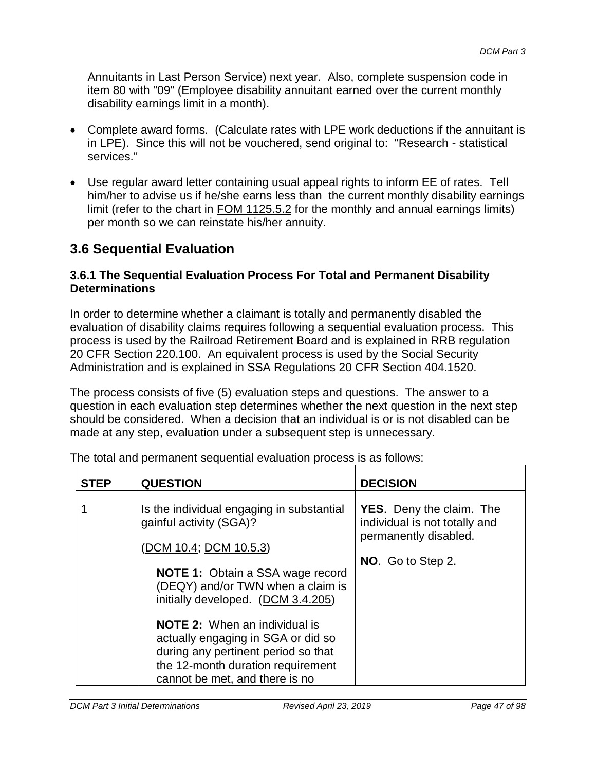Annuitants in Last Person Service) next year. Also, complete suspension code in item 80 with "09" (Employee disability annuitant earned over the current monthly disability earnings limit in a month).

- Complete award forms. (Calculate rates with LPE work deductions if the annuitant is in LPE). Since this will not be vouchered, send original to: "Research - statistical services."
- Use regular award letter containing usual appeal rights to inform EE of rates. Tell him/her to advise us if he/she earns less than the current monthly disability earnings limit (refer to the chart in FOM 1125.5.2 for the monthly and annual earnings limits) per month so we can reinstate his/her annuity.

# **3.6 Sequential Evaluation**

## **3.6.1 The Sequential Evaluation Process For Total and Permanent Disability Determinations**

In order to determine whether a claimant is totally and permanently disabled the evaluation of disability claims requires following a sequential evaluation process. This process is used by the Railroad Retirement Board and is explained in RRB regulation 20 CFR Section 220.100. An equivalent process is used by the Social Security Administration and is explained in SSA Regulations 20 CFR Section 404.1520.

The process consists of five (5) evaluation steps and questions. The answer to a question in each evaluation step determines whether the next question in the next step should be considered. When a decision that an individual is or is not disabled can be made at any step, evaluation under a subsequent step is unnecessary.

| <b>STEP</b> | <b>QUESTION</b>                                                                                                                                                                          | <b>DECISION</b>                                                                           |
|-------------|------------------------------------------------------------------------------------------------------------------------------------------------------------------------------------------|-------------------------------------------------------------------------------------------|
|             | Is the individual engaging in substantial<br>gainful activity (SGA)?                                                                                                                     | <b>YES.</b> Deny the claim. The<br>individual is not totally and<br>permanently disabled. |
|             | (DCM 10.4; DCM 10.5.3)                                                                                                                                                                   |                                                                                           |
|             | <b>NOTE 1:</b> Obtain a SSA wage record<br>(DEQY) and/or TWN when a claim is<br>initially developed. (DCM 3.4.205)                                                                       | NO. Go to Step 2.                                                                         |
|             | <b>NOTE 2:</b> When an individual is<br>actually engaging in SGA or did so<br>during any pertinent period so that<br>the 12-month duration requirement<br>cannot be met, and there is no |                                                                                           |

The total and permanent sequential evaluation process is as follows: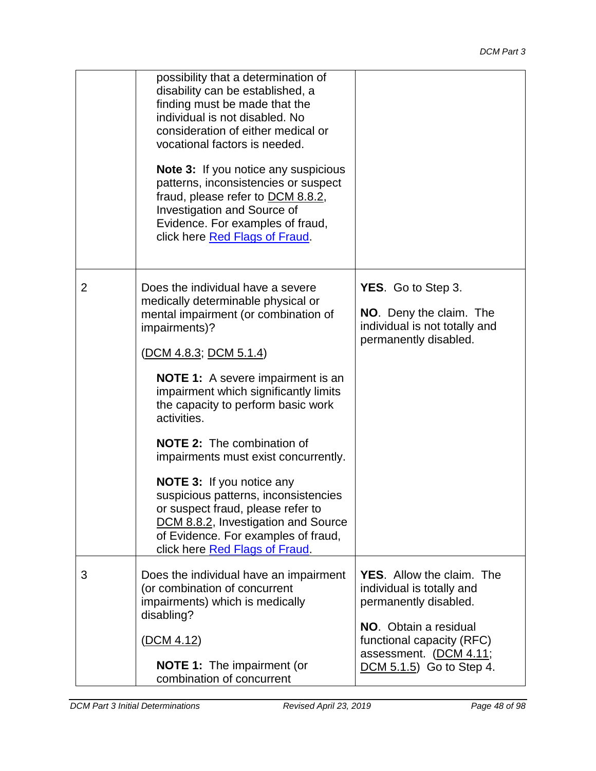|   | possibility that a determination of<br>disability can be established, a<br>finding must be made that the<br>individual is not disabled. No<br>consideration of either medical or<br>vocational factors is needed.<br><b>Note 3:</b> If you notice any suspicious<br>patterns, inconsistencies or suspect<br>fraud, please refer to DCM 8.8.2,<br>Investigation and Source of<br>Evidence. For examples of fraud,<br>click here Red Flags of Fraud.                                                                                                                                                                 |                                                                                                                                                                                                           |
|---|--------------------------------------------------------------------------------------------------------------------------------------------------------------------------------------------------------------------------------------------------------------------------------------------------------------------------------------------------------------------------------------------------------------------------------------------------------------------------------------------------------------------------------------------------------------------------------------------------------------------|-----------------------------------------------------------------------------------------------------------------------------------------------------------------------------------------------------------|
| 2 | Does the individual have a severe<br>medically determinable physical or<br>mental impairment (or combination of<br>impairments)?<br>(DCM 4.8.3; DCM 5.1.4)<br><b>NOTE 1:</b> A severe impairment is an<br>impairment which significantly limits<br>the capacity to perform basic work<br>activities.<br><b>NOTE 2:</b> The combination of<br>impairments must exist concurrently.<br><b>NOTE 3:</b> If you notice any<br>suspicious patterns, inconsistencies<br>or suspect fraud, please refer to<br>DCM 8.8.2, Investigation and Source<br>of Evidence. For examples of fraud,<br>click here Red Flags of Fraud. | <b>YES.</b> Go to Step 3.<br>NO. Deny the claim. The<br>individual is not totally and<br>permanently disabled.                                                                                            |
| 3 | Does the individual have an impairment<br>(or combination of concurrent<br>impairments) which is medically<br>disabling?<br>(DCM 4.12)<br><b>NOTE 1:</b> The impairment (or<br>combination of concurrent                                                                                                                                                                                                                                                                                                                                                                                                           | <b>YES.</b> Allow the claim. The<br>individual is totally and<br>permanently disabled.<br><b>NO.</b> Obtain a residual<br>functional capacity (RFC)<br>assessment. (DCM 4.11;<br>DCM 5.1.5) Go to Step 4. |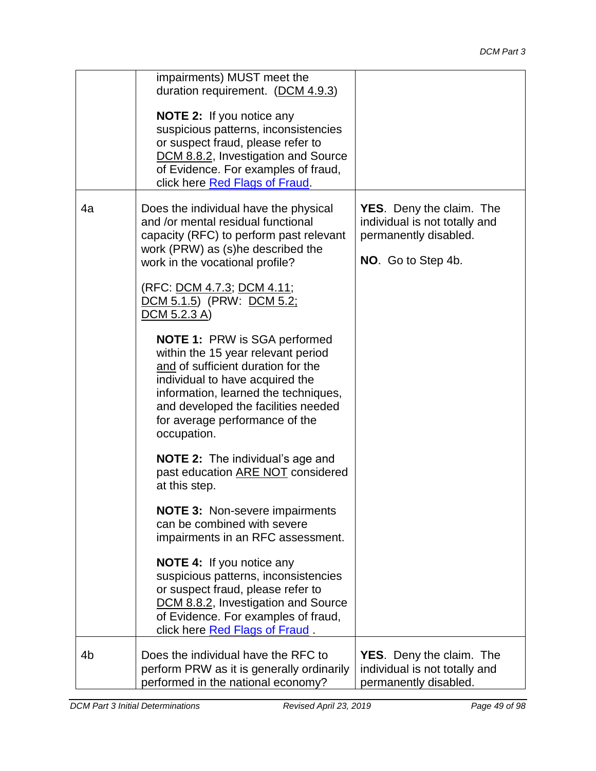|    | impairments) MUST meet the<br>duration requirement. (DCM 4.9.3)                                                                                                                                                                                                                    |                                                                                                                 |
|----|------------------------------------------------------------------------------------------------------------------------------------------------------------------------------------------------------------------------------------------------------------------------------------|-----------------------------------------------------------------------------------------------------------------|
|    | <b>NOTE 2:</b> If you notice any<br>suspicious patterns, inconsistencies<br>or suspect fraud, please refer to<br>DCM 8.8.2, Investigation and Source<br>of Evidence. For examples of fraud,<br>click here Red Flags of Fraud.                                                      |                                                                                                                 |
| 4a | Does the individual have the physical<br>and /or mental residual functional<br>capacity (RFC) to perform past relevant<br>work (PRW) as (s)he described the<br>work in the vocational profile?                                                                                     | <b>YES.</b> Deny the claim. The<br>individual is not totally and<br>permanently disabled.<br>NO. Go to Step 4b. |
|    | (RFC: <u>DCM 4.7.3</u> ; <u>DCM 4.11</u> ;<br><u>DCM 5.1.5</u> ) (PRW: <u>DCM 5.2;</u><br>$DCM$ 5.2.3 A)                                                                                                                                                                           |                                                                                                                 |
|    | <b>NOTE 1: PRW is SGA performed</b><br>within the 15 year relevant period<br>and of sufficient duration for the<br>individual to have acquired the<br>information, learned the techniques,<br>and developed the facilities needed<br>for average performance of the<br>occupation. |                                                                                                                 |
|    | <b>NOTE 2:</b> The individual's age and<br>past education ARE NOT considered<br>at this step.                                                                                                                                                                                      |                                                                                                                 |
|    | <b>NOTE 3: Non-severe impairments</b><br>can be combined with severe<br>impairments in an RFC assessment.                                                                                                                                                                          |                                                                                                                 |
|    | <b>NOTE 4:</b> If you notice any<br>suspicious patterns, inconsistencies<br>or suspect fraud, please refer to<br>DCM 8.8.2, Investigation and Source<br>of Evidence. For examples of fraud,<br>click here Red Flags of Fraud.                                                      |                                                                                                                 |
| 4b | Does the individual have the RFC to<br>perform PRW as it is generally ordinarily<br>performed in the national economy?                                                                                                                                                             | <b>YES.</b> Deny the claim. The<br>individual is not totally and<br>permanently disabled.                       |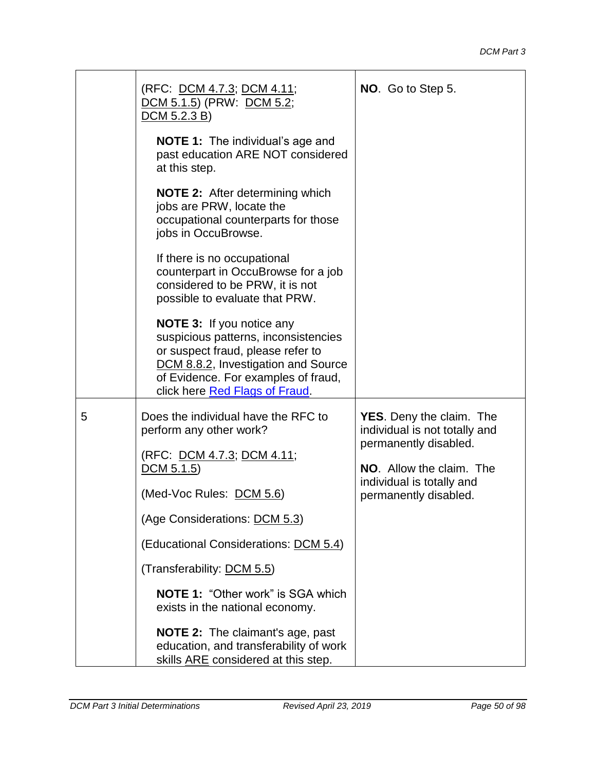|   | (RFC: <u>DCM 4.7.3; DCM 4.11</u> ;<br>DCM 5.1.5) (PRW: DCM 5.2;<br>DCM 5.2.3 B)                                                                                                                                               | NO. Go to Step 5.                                                                                                                                  |
|---|-------------------------------------------------------------------------------------------------------------------------------------------------------------------------------------------------------------------------------|----------------------------------------------------------------------------------------------------------------------------------------------------|
|   | <b>NOTE 1:</b> The individual's age and<br>past education ARE NOT considered<br>at this step.                                                                                                                                 |                                                                                                                                                    |
|   | <b>NOTE 2:</b> After determining which<br>jobs are PRW, locate the<br>occupational counterparts for those<br>jobs in OccuBrowse.                                                                                              |                                                                                                                                                    |
|   | If there is no occupational<br>counterpart in OccuBrowse for a job<br>considered to be PRW, it is not<br>possible to evaluate that PRW.                                                                                       |                                                                                                                                                    |
|   | <b>NOTE 3:</b> If you notice any<br>suspicious patterns, inconsistencies<br>or suspect fraud, please refer to<br>DCM 8.8.2, Investigation and Source<br>of Evidence. For examples of fraud,<br>click here Red Flags of Fraud. |                                                                                                                                                    |
| 5 | Does the individual have the RFC to<br>perform any other work?<br>(RFC: DCM 4.7.3; DCM 4.11;<br>$DCM$ 5.1.5)<br>(Med-Voc Rules: DCM 5.6)                                                                                      | <b>YES.</b> Deny the claim. The<br>individual is not totally and<br>permanently disabled.<br>NO. Allow the claim. The<br>individual is totally and |
|   | (Age Considerations: DCM 5.3)                                                                                                                                                                                                 | permanently disabled.                                                                                                                              |
|   | (Educational Considerations: DCM 5.4)                                                                                                                                                                                         |                                                                                                                                                    |
|   | (Transferability: DCM 5.5)                                                                                                                                                                                                    |                                                                                                                                                    |
|   | <b>NOTE 1: "Other work" is SGA which</b><br>exists in the national economy.                                                                                                                                                   |                                                                                                                                                    |
|   | <b>NOTE 2:</b> The claimant's age, past<br>education, and transferability of work<br>skills ARE considered at this step.                                                                                                      |                                                                                                                                                    |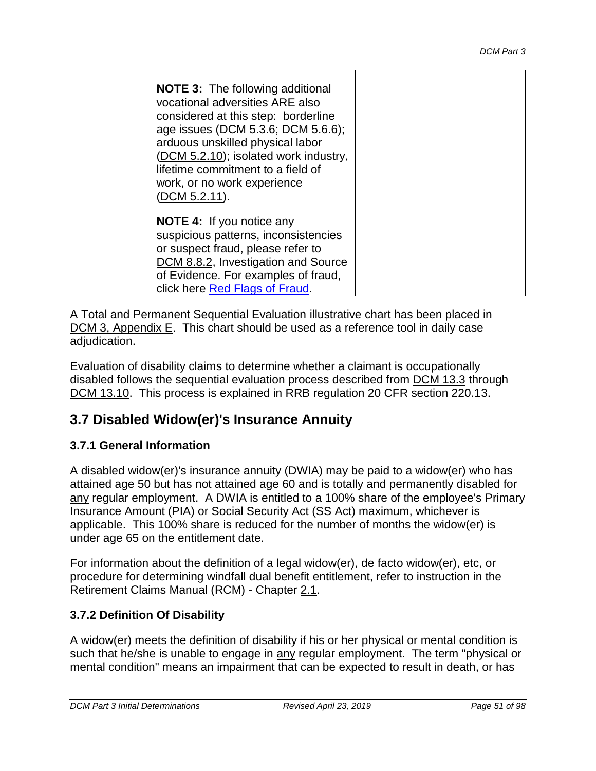| <b>NOTE 3:</b> The following additional<br>vocational adversities ARE also<br>considered at this step: borderline<br>age issues (DCM 5.3.6; DCM 5.6.6);<br>arduous unskilled physical labor<br>(DCM 5.2.10); isolated work industry,<br>lifetime commitment to a field of<br>work, or no work experience<br>(DCM 5.2.11). |  |
|---------------------------------------------------------------------------------------------------------------------------------------------------------------------------------------------------------------------------------------------------------------------------------------------------------------------------|--|
| <b>NOTE 4:</b> If you notice any<br>suspicious patterns, inconsistencies<br>or suspect fraud, please refer to<br>DCM 8.8.2, Investigation and Source<br>of Evidence. For examples of fraud,<br>click here Red Flags of Fraud.                                                                                             |  |

A Total and Permanent Sequential Evaluation illustrative chart has been placed in DCM 3, Appendix E. This chart should be used as a reference tool in daily case adjudication.

Evaluation of disability claims to determine whether a claimant is occupationally disabled follows the sequential evaluation process described from DCM 13.3 through [DCM 13.10.](http://rrbsharepoint/sites/Pub/DisMan/DCM/Documents/DCM_Part_13.pdf#search=13.10) This process is explained in RRB regulation 20 CFR section 220.13.

# **3.7 Disabled Widow(er)'s Insurance Annuity**

## **3.7.1 General Information**

A disabled widow(er)'s insurance annuity (DWIA) may be paid to a widow(er) who has attained age 50 but has not attained age 60 and is totally and permanently disabled for any regular employment. A DWIA is entitled to a 100% share of the employee's Primary Insurance Amount (PIA) or Social Security Act (SS Act) maximum, whichever is applicable. This 100% share is reduced for the number of months the widow(er) is under age 65 on the entitlement date.

For information about the definition of a legal widow(er), de facto widow(er), etc, or procedure for determining windfall dual benefit entitlement, refer to instruction in the Retirement Claims Manual (RCM) - Chapter 2.1.

## **3.7.2 Definition Of Disability**

A widow(er) meets the definition of disability if his or her physical or mental condition is such that he/she is unable to engage in any regular employment. The term "physical or mental condition" means an impairment that can be expected to result in death, or has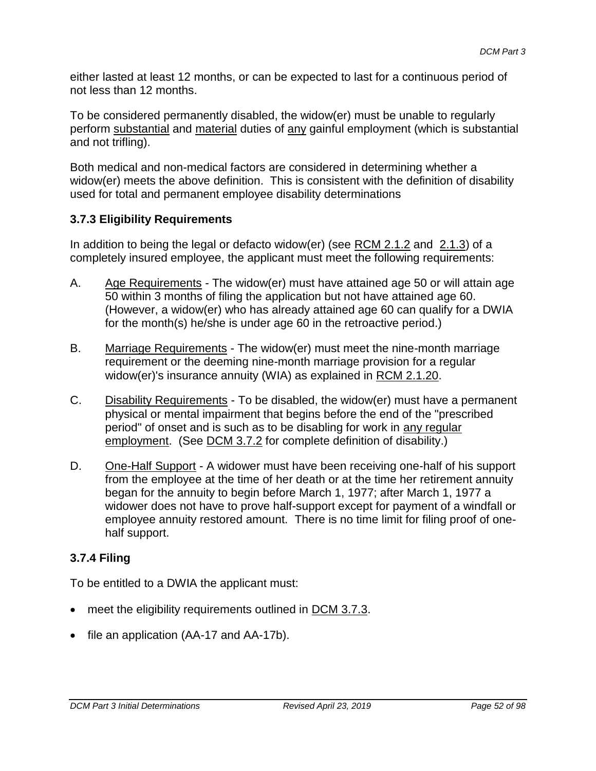either lasted at least 12 months, or can be expected to last for a continuous period of not less than 12 months.

To be considered permanently disabled, the widow(er) must be unable to regularly perform substantial and material duties of any gainful employment (which is substantial and not trifling).

Both medical and non-medical factors are considered in determining whether a widow(er) meets the above definition. This is consistent with the definition of disability used for total and permanent employee disability determinations

## **3.7.3 Eligibility Requirements**

In addition to being the legal or defacto widow(er) (see RCM 2.1.2 and 2.1.3) of a completely insured employee, the applicant must meet the following requirements:

- A. Age Requirements The widow(er) must have attained age 50 or will attain age 50 within 3 months of filing the application but not have attained age 60. (However, a widow(er) who has already attained age 60 can qualify for a DWIA for the month(s) he/she is under age 60 in the retroactive period.)
- B. Marriage Requirements The widow(er) must meet the nine-month marriage requirement or the deeming nine-month marriage provision for a regular widow(er)'s insurance annuity (WIA) as explained in RCM 2.1.20.
- C. Disability Requirements To be disabled, the widow(er) must have a permanent physical or mental impairment that begins before the end of the "prescribed period" of onset and is such as to be disabling for work in any regular employment. (See DCM 3.7.2 for complete definition of disability.)
- D. One-Half Support A widower must have been receiving one-half of his support from the employee at the time of her death or at the time her retirement annuity began for the annuity to begin before March 1, 1977; after March 1, 1977 a widower does not have to prove half-support except for payment of a windfall or employee annuity restored amount. There is no time limit for filing proof of onehalf support.

## **3.7.4 Filing**

To be entitled to a DWIA the applicant must:

- meet the eligibility requirements outlined in DCM 3.7.3.
- file an application (AA-17 and AA-17b).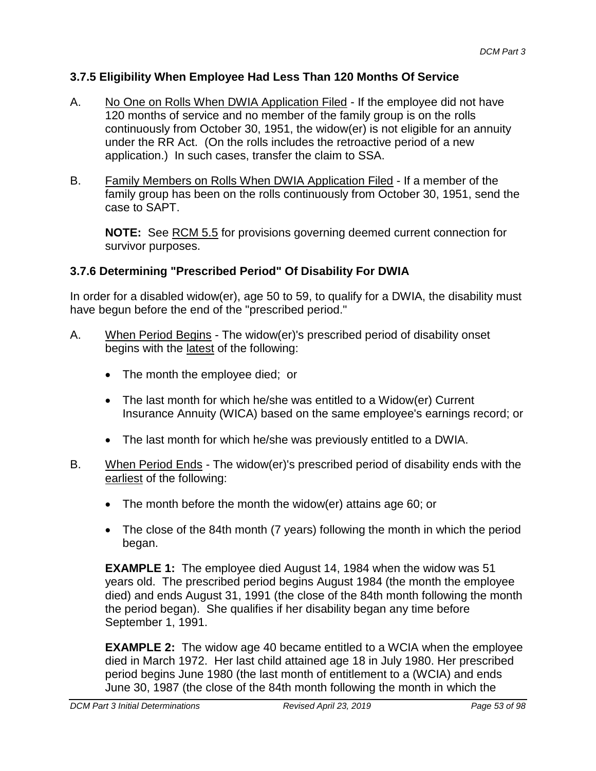## **3.7.5 Eligibility When Employee Had Less Than 120 Months Of Service**

- A. No One on Rolls When DWIA Application Filed If the employee did not have 120 months of service and no member of the family group is on the rolls continuously from October 30, 1951, the widow(er) is not eligible for an annuity under the RR Act. (On the rolls includes the retroactive period of a new application.) In such cases, transfer the claim to SSA.
- B. Family Members on Rolls When DWIA Application Filed If a member of the family group has been on the rolls continuously from October 30, 1951, send the case to SAPT.

**NOTE:** See RCM 5.5 for provisions governing deemed current connection for survivor purposes.

## **3.7.6 Determining "Prescribed Period" Of Disability For DWIA**

In order for a disabled widow(er), age 50 to 59, to qualify for a DWIA, the disability must have begun before the end of the "prescribed period."

- A. When Period Begins The widow(er)'s prescribed period of disability onset begins with the latest of the following:
	- The month the employee died; or
	- The last month for which he/she was entitled to a Widow(er) Current Insurance Annuity (WICA) based on the same employee's earnings record; or
	- The last month for which he/she was previously entitled to a DWIA.
- B. When Period Ends The widow(er)'s prescribed period of disability ends with the earliest of the following:
	- The month before the month the widow(er) attains age 60; or
	- The close of the 84th month (7 years) following the month in which the period began.

**EXAMPLE 1:** The employee died August 14, 1984 when the widow was 51 years old. The prescribed period begins August 1984 (the month the employee died) and ends August 31, 1991 (the close of the 84th month following the month the period began). She qualifies if her disability began any time before September 1, 1991.

**EXAMPLE 2:** The widow age 40 became entitled to a WCIA when the employee died in March 1972. Her last child attained age 18 in July 1980. Her prescribed period begins June 1980 (the last month of entitlement to a (WCIA) and ends June 30, 1987 (the close of the 84th month following the month in which the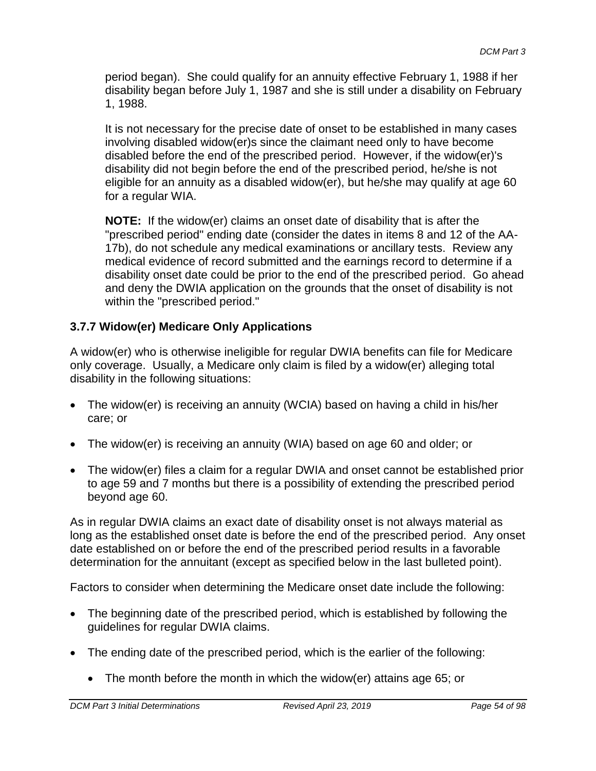period began). She could qualify for an annuity effective February 1, 1988 if her disability began before July 1, 1987 and she is still under a disability on February 1, 1988.

It is not necessary for the precise date of onset to be established in many cases involving disabled widow(er)s since the claimant need only to have become disabled before the end of the prescribed period. However, if the widow(er)'s disability did not begin before the end of the prescribed period, he/she is not eligible for an annuity as a disabled widow(er), but he/she may qualify at age 60 for a regular WIA.

**NOTE:** If the widow(er) claims an onset date of disability that is after the "prescribed period" ending date (consider the dates in items 8 and 12 of the AA-17b), do not schedule any medical examinations or ancillary tests. Review any medical evidence of record submitted and the earnings record to determine if a disability onset date could be prior to the end of the prescribed period. Go ahead and deny the DWIA application on the grounds that the onset of disability is not within the "prescribed period."

## **3.7.7 Widow(er) Medicare Only Applications**

A widow(er) who is otherwise ineligible for regular DWIA benefits can file for Medicare only coverage. Usually, a Medicare only claim is filed by a widow(er) alleging total disability in the following situations:

- The widow(er) is receiving an annuity (WCIA) based on having a child in his/her care; or
- The widow(er) is receiving an annuity (WIA) based on age 60 and older; or
- The widow(er) files a claim for a regular DWIA and onset cannot be established prior to age 59 and 7 months but there is a possibility of extending the prescribed period beyond age 60.

As in regular DWIA claims an exact date of disability onset is not always material as long as the established onset date is before the end of the prescribed period. Any onset date established on or before the end of the prescribed period results in a favorable determination for the annuitant (except as specified below in the last bulleted point).

Factors to consider when determining the Medicare onset date include the following:

- The beginning date of the prescribed period, which is established by following the guidelines for regular DWIA claims.
- The ending date of the prescribed period, which is the earlier of the following:
	- The month before the month in which the widow(er) attains age 65; or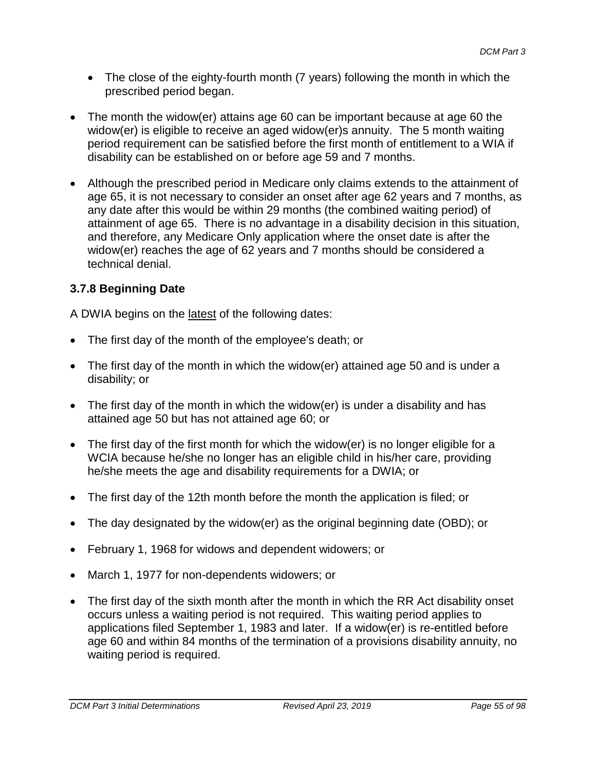- The close of the eighty-fourth month (7 years) following the month in which the prescribed period began.
- The month the widow(er) attains age 60 can be important because at age 60 the widow(er) is eligible to receive an aged widow(er)s annuity. The 5 month waiting period requirement can be satisfied before the first month of entitlement to a WIA if disability can be established on or before age 59 and 7 months.
- Although the prescribed period in Medicare only claims extends to the attainment of age 65, it is not necessary to consider an onset after age 62 years and 7 months, as any date after this would be within 29 months (the combined waiting period) of attainment of age 65. There is no advantage in a disability decision in this situation, and therefore, any Medicare Only application where the onset date is after the widow(er) reaches the age of 62 years and 7 months should be considered a technical denial.

## **3.7.8 Beginning Date**

A DWIA begins on the latest of the following dates:

- The first day of the month of the employee's death; or
- The first day of the month in which the widow(er) attained age 50 and is under a disability; or
- The first day of the month in which the widow(er) is under a disability and has attained age 50 but has not attained age 60; or
- The first day of the first month for which the widow(er) is no longer eligible for a WCIA because he/she no longer has an eligible child in his/her care, providing he/she meets the age and disability requirements for a DWIA; or
- The first day of the 12th month before the month the application is filed; or
- The day designated by the widow(er) as the original beginning date (OBD); or
- February 1, 1968 for widows and dependent widowers; or
- March 1, 1977 for non-dependents widowers; or
- The first day of the sixth month after the month in which the RR Act disability onset occurs unless a waiting period is not required. This waiting period applies to applications filed September 1, 1983 and later. If a widow(er) is re-entitled before age 60 and within 84 months of the termination of a provisions disability annuity, no waiting period is required.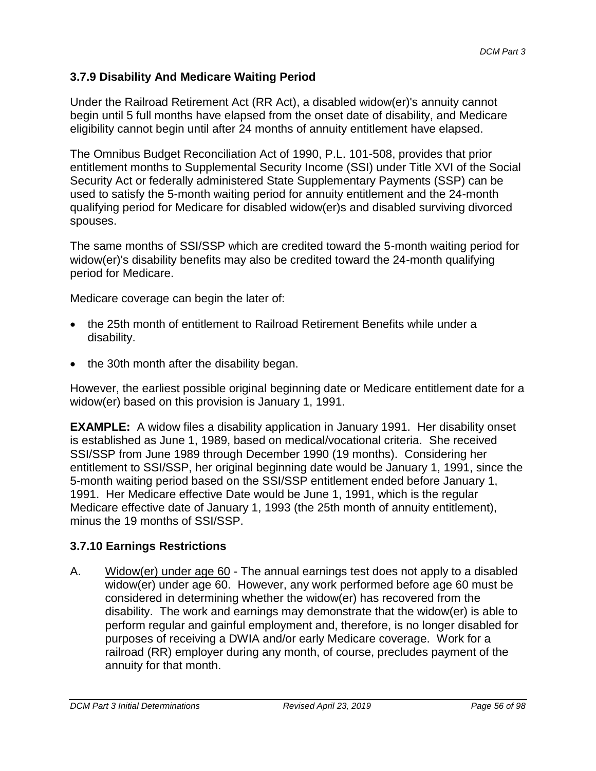## **3.7.9 Disability And Medicare Waiting Period**

Under the Railroad Retirement Act (RR Act), a disabled widow(er)'s annuity cannot begin until 5 full months have elapsed from the onset date of disability, and Medicare eligibility cannot begin until after 24 months of annuity entitlement have elapsed.

The Omnibus Budget Reconciliation Act of 1990, P.L. 101-508, provides that prior entitlement months to Supplemental Security Income (SSI) under Title XVI of the Social Security Act or federally administered State Supplementary Payments (SSP) can be used to satisfy the 5-month waiting period for annuity entitlement and the 24-month qualifying period for Medicare for disabled widow(er)s and disabled surviving divorced spouses.

The same months of SSI/SSP which are credited toward the 5-month waiting period for widow(er)'s disability benefits may also be credited toward the 24-month qualifying period for Medicare.

Medicare coverage can begin the later of:

- the 25th month of entitlement to Railroad Retirement Benefits while under a disability.
- the 30th month after the disability began.

However, the earliest possible original beginning date or Medicare entitlement date for a widow(er) based on this provision is January 1, 1991.

**EXAMPLE:** A widow files a disability application in January 1991. Her disability onset is established as June 1, 1989, based on medical/vocational criteria. She received SSI/SSP from June 1989 through December 1990 (19 months). Considering her entitlement to SSI/SSP, her original beginning date would be January 1, 1991, since the 5-month waiting period based on the SSI/SSP entitlement ended before January 1, 1991. Her Medicare effective Date would be June 1, 1991, which is the regular Medicare effective date of January 1, 1993 (the 25th month of annuity entitlement), minus the 19 months of SSI/SSP.

## **3.7.10 Earnings Restrictions**

A. Widow(er) under age 60 - The annual earnings test does not apply to a disabled widow(er) under age 60. However, any work performed before age 60 must be considered in determining whether the widow(er) has recovered from the disability. The work and earnings may demonstrate that the widow(er) is able to perform regular and gainful employment and, therefore, is no longer disabled for purposes of receiving a DWIA and/or early Medicare coverage. Work for a railroad (RR) employer during any month, of course, precludes payment of the annuity for that month.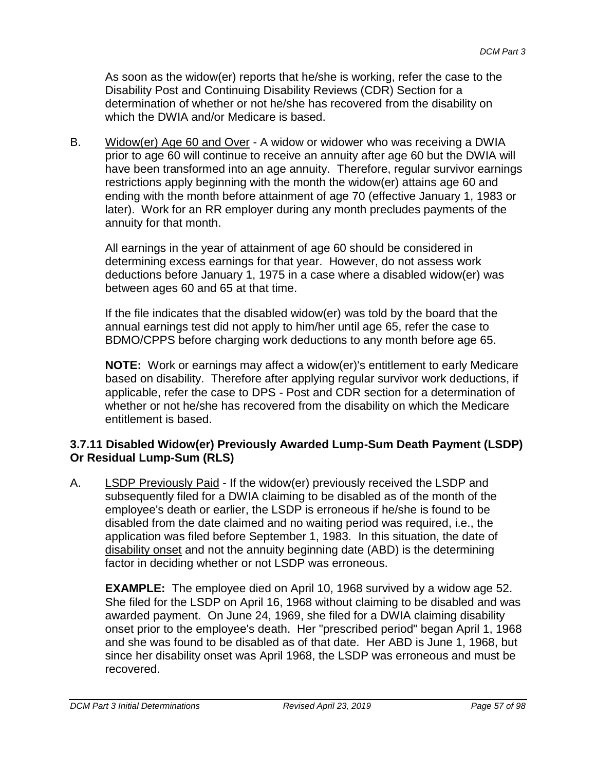As soon as the widow(er) reports that he/she is working, refer the case to the Disability Post and Continuing Disability Reviews (CDR) Section for a determination of whether or not he/she has recovered from the disability on which the DWIA and/or Medicare is based.

B. Widow(er) Age 60 and Over - A widow or widower who was receiving a DWIA prior to age 60 will continue to receive an annuity after age 60 but the DWIA will have been transformed into an age annuity. Therefore, regular survivor earnings restrictions apply beginning with the month the widow(er) attains age 60 and ending with the month before attainment of age 70 (effective January 1, 1983 or later). Work for an RR employer during any month precludes payments of the annuity for that month.

All earnings in the year of attainment of age 60 should be considered in determining excess earnings for that year. However, do not assess work deductions before January 1, 1975 in a case where a disabled widow(er) was between ages 60 and 65 at that time.

If the file indicates that the disabled widow(er) was told by the board that the annual earnings test did not apply to him/her until age 65, refer the case to BDMO/CPPS before charging work deductions to any month before age 65.

**NOTE:** Work or earnings may affect a widow(er)'s entitlement to early Medicare based on disability. Therefore after applying regular survivor work deductions, if applicable, refer the case to DPS - Post and CDR section for a determination of whether or not he/she has recovered from the disability on which the Medicare entitlement is based.

## **3.7.11 Disabled Widow(er) Previously Awarded Lump-Sum Death Payment (LSDP) Or Residual Lump-Sum (RLS)**

A. LSDP Previously Paid - If the widow(er) previously received the LSDP and subsequently filed for a DWIA claiming to be disabled as of the month of the employee's death or earlier, the LSDP is erroneous if he/she is found to be disabled from the date claimed and no waiting period was required, i.e., the application was filed before September 1, 1983. In this situation, the date of disability onset and not the annuity beginning date (ABD) is the determining factor in deciding whether or not LSDP was erroneous.

**EXAMPLE:** The employee died on April 10, 1968 survived by a widow age 52. She filed for the LSDP on April 16, 1968 without claiming to be disabled and was awarded payment. On June 24, 1969, she filed for a DWIA claiming disability onset prior to the employee's death. Her "prescribed period" began April 1, 1968 and she was found to be disabled as of that date. Her ABD is June 1, 1968, but since her disability onset was April 1968, the LSDP was erroneous and must be recovered.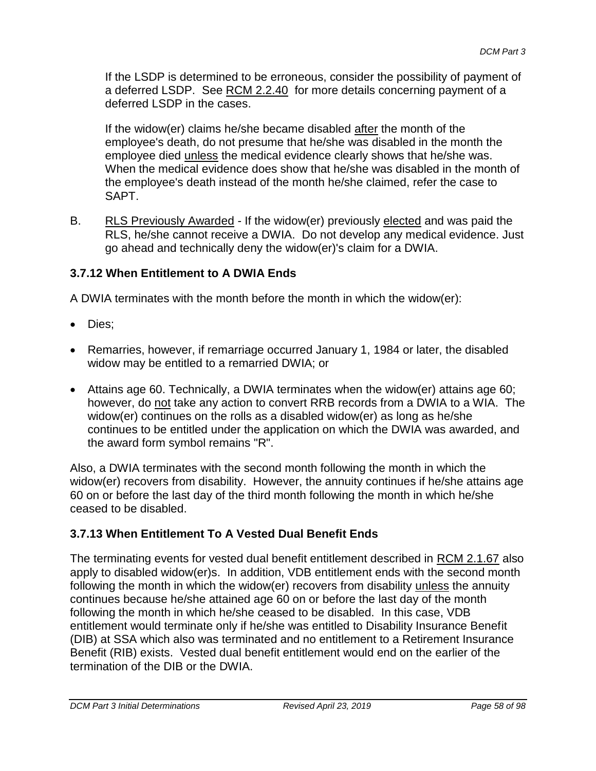If the LSDP is determined to be erroneous, consider the possibility of payment of a deferred LSDP. See RCM 2.2.40 for more details concerning payment of a deferred LSDP in the cases.

If the widow(er) claims he/she became disabled after the month of the employee's death, do not presume that he/she was disabled in the month the employee died unless the medical evidence clearly shows that he/she was. When the medical evidence does show that he/she was disabled in the month of the employee's death instead of the month he/she claimed, refer the case to SAPT.

B. RLS Previously Awarded - If the widow(er) previously elected and was paid the RLS, he/she cannot receive a DWIA. Do not develop any medical evidence. Just go ahead and technically deny the widow(er)'s claim for a DWIA.

## **3.7.12 When Entitlement to A DWIA Ends**

A DWIA terminates with the month before the month in which the widow(er):

- Dies:
- Remarries, however, if remarriage occurred January 1, 1984 or later, the disabled widow may be entitled to a remarried DWIA; or
- Attains age 60. Technically, a DWIA terminates when the widow(er) attains age 60; however, do not take any action to convert RRB records from a DWIA to a WIA. The widow(er) continues on the rolls as a disabled widow(er) as long as he/she continues to be entitled under the application on which the DWIA was awarded, and the award form symbol remains "R".

Also, a DWIA terminates with the second month following the month in which the widow(er) recovers from disability. However, the annuity continues if he/she attains age 60 on or before the last day of the third month following the month in which he/she ceased to be disabled.

## **3.7.13 When Entitlement To A Vested Dual Benefit Ends**

The terminating events for vested dual benefit entitlement described in RCM 2.1.67 also apply to disabled widow(er)s. In addition, VDB entitlement ends with the second month following the month in which the widow(er) recovers from disability unless the annuity continues because he/she attained age 60 on or before the last day of the month following the month in which he/she ceased to be disabled. In this case, VDB entitlement would terminate only if he/she was entitled to Disability Insurance Benefit (DIB) at SSA which also was terminated and no entitlement to a Retirement Insurance Benefit (RIB) exists. Vested dual benefit entitlement would end on the earlier of the termination of the DIB or the DWIA.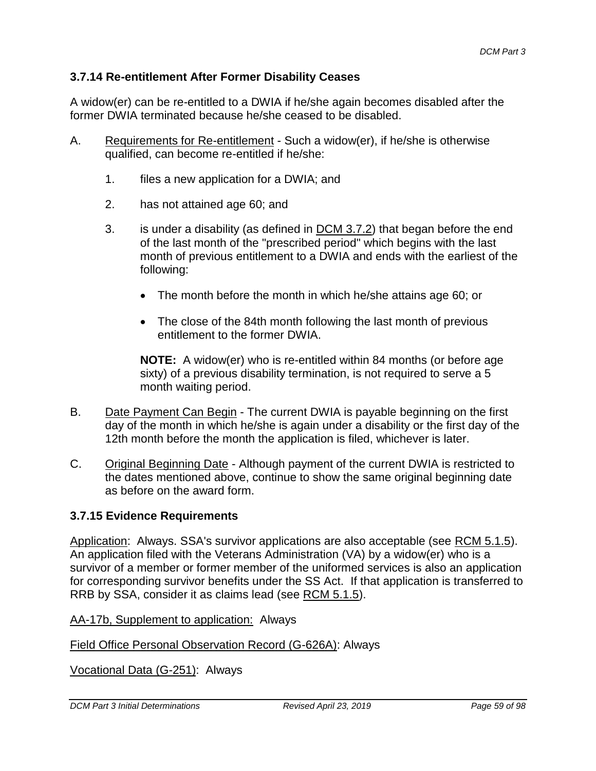#### **3.7.14 Re-entitlement After Former Disability Ceases**

A widow(er) can be re-entitled to a DWIA if he/she again becomes disabled after the former DWIA terminated because he/she ceased to be disabled.

- A. Requirements for Re-entitlement Such a widow(er), if he/she is otherwise qualified, can become re-entitled if he/she:
	- 1. files a new application for a DWIA; and
	- 2. has not attained age 60; and
	- 3. is under a disability (as defined in DCM 3.7.2) that began before the end of the last month of the "prescribed period" which begins with the last month of previous entitlement to a DWIA and ends with the earliest of the following:
		- The month before the month in which he/she attains age 60; or
		- The close of the 84th month following the last month of previous entitlement to the former DWIA.

**NOTE:** A widow(er) who is re-entitled within 84 months (or before age sixty) of a previous disability termination, is not required to serve a 5 month waiting period.

- B. Date Payment Can Begin The current DWIA is payable beginning on the first day of the month in which he/she is again under a disability or the first day of the 12th month before the month the application is filed, whichever is later.
- C. Original Beginning Date Although payment of the current DWIA is restricted to the dates mentioned above, continue to show the same original beginning date as before on the award form.

## **3.7.15 Evidence Requirements**

Application: Always. SSA's survivor applications are also acceptable (see RCM 5.1.5). An application filed with the Veterans Administration (VA) by a widow(er) who is a survivor of a member or former member of the uniformed services is also an application for corresponding survivor benefits under the SS Act. If that application is transferred to RRB by SSA, consider it as claims lead (see RCM 5.1.5).

#### AA-17b, Supplement to application: Always

Field Office Personal Observation Record (G-626A): Always

Vocational Data (G-251): Always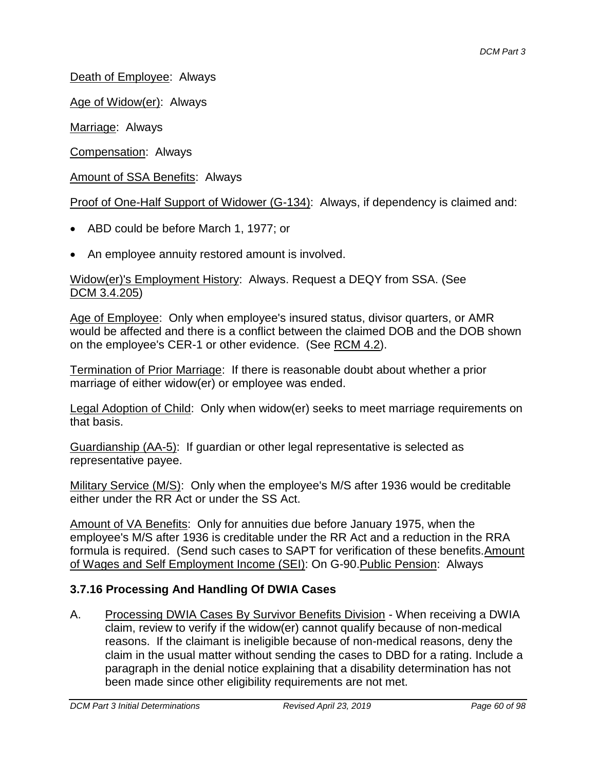Death of Employee: Always

Age of Widow(er): Always

Marriage: Always

Compensation: Always

Amount of SSA Benefits: Always

Proof of One-Half Support of Widower (G-134): Always, if dependency is claimed and:

- ABD could be before March 1, 1977; or
- An employee annuity restored amount is involved.

Widow(er)'s Employment History: Always. Request a DEQY from SSA. (See DCM 3.4.205)

Age of Employee: Only when employee's insured status, divisor quarters, or AMR would be affected and there is a conflict between the claimed DOB and the DOB shown on the employee's CER-1 or other evidence. (See RCM 4.2).

Termination of Prior Marriage: If there is reasonable doubt about whether a prior marriage of either widow(er) or employee was ended.

Legal Adoption of Child: Only when widow(er) seeks to meet marriage requirements on that basis.

Guardianship (AA-5): If guardian or other legal representative is selected as representative payee.

Military Service (M/S): Only when the employee's M/S after 1936 would be creditable either under the RR Act or under the SS Act.

Amount of VA Benefits: Only for annuities due before January 1975, when the employee's M/S after 1936 is creditable under the RR Act and a reduction in the RRA formula is required. (Send such cases to SAPT for verification of these benefits.Amount of Wages and Self Employment Income (SEI): On G-90.Public Pension: Always

## **3.7.16 Processing And Handling Of DWIA Cases**

A. Processing DWIA Cases By Survivor Benefits Division - When receiving a DWIA claim, review to verify if the widow(er) cannot qualify because of non-medical reasons. If the claimant is ineligible because of non-medical reasons, deny the claim in the usual matter without sending the cases to DBD for a rating. Include a paragraph in the denial notice explaining that a disability determination has not been made since other eligibility requirements are not met.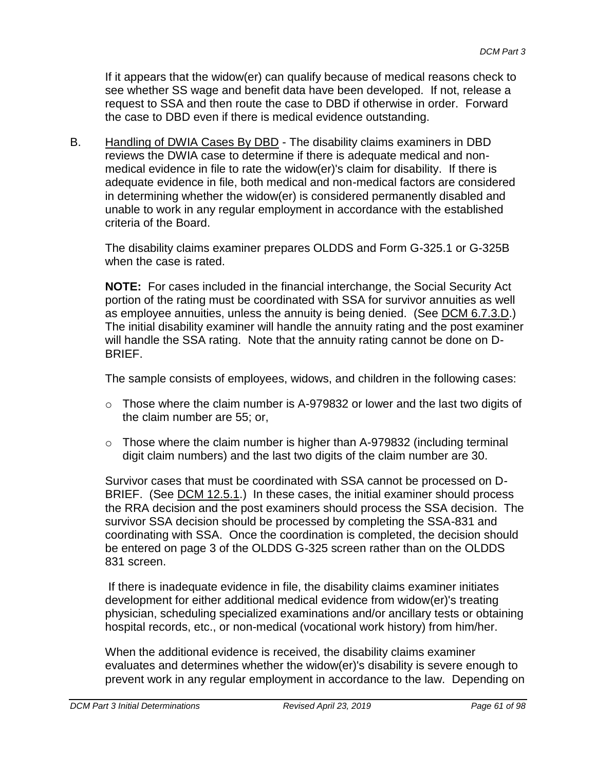If it appears that the widow(er) can qualify because of medical reasons check to see whether SS wage and benefit data have been developed. If not, release a request to SSA and then route the case to DBD if otherwise in order. Forward the case to DBD even if there is medical evidence outstanding.

B. Handling of DWIA Cases By DBD - The disability claims examiners in DBD reviews the DWIA case to determine if there is adequate medical and nonmedical evidence in file to rate the widow(er)'s claim for disability. If there is adequate evidence in file, both medical and non-medical factors are considered in determining whether the widow(er) is considered permanently disabled and unable to work in any regular employment in accordance with the established criteria of the Board.

The disability claims examiner prepares OLDDS and Form G-325.1 or G-325B when the case is rated.

**NOTE:** For cases included in the financial interchange, the Social Security Act portion of the rating must be coordinated with SSA for survivor annuities as well as employee annuities, unless the annuity is being denied. (See DCM 6.7.3.D.) The initial disability examiner will handle the annuity rating and the post examiner will handle the SSA rating. Note that the annuity rating cannot be done on D-BRIEF.

The sample consists of employees, widows, and children in the following cases:

- $\circ$  Those where the claim number is A-979832 or lower and the last two digits of the claim number are 55; or,
- o Those where the claim number is higher than A-979832 (including terminal digit claim numbers) and the last two digits of the claim number are 30.

Survivor cases that must be coordinated with SSA cannot be processed on D-BRIEF. (See DCM 12.5.1.) In these cases, the initial examiner should process the RRA decision and the post examiners should process the SSA decision. The survivor SSA decision should be processed by completing the SSA-831 and coordinating with SSA. Once the coordination is completed, the decision should be entered on page 3 of the OLDDS G-325 screen rather than on the OLDDS 831 screen.

If there is inadequate evidence in file, the disability claims examiner initiates development for either additional medical evidence from widow(er)'s treating physician, scheduling specialized examinations and/or ancillary tests or obtaining hospital records, etc., or non-medical (vocational work history) from him/her.

When the additional evidence is received, the disability claims examiner evaluates and determines whether the widow(er)'s disability is severe enough to prevent work in any regular employment in accordance to the law. Depending on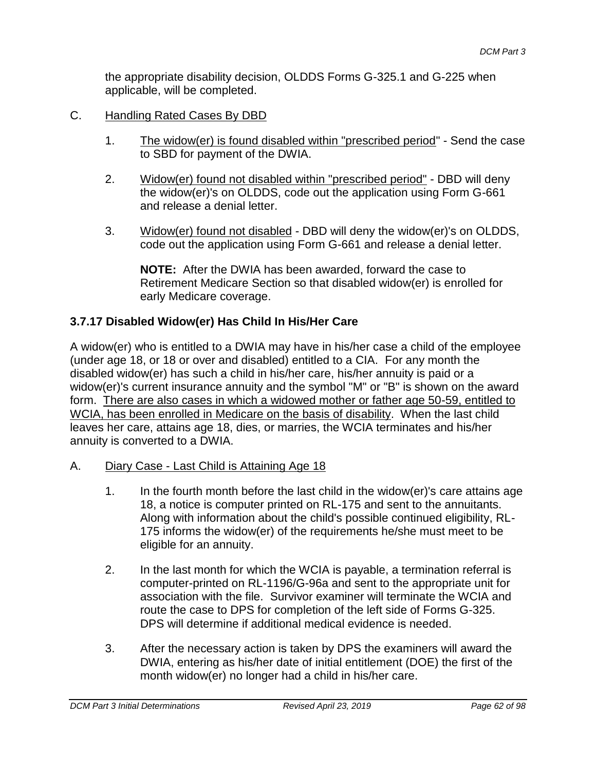the appropriate disability decision, OLDDS Forms G-325.1 and G-225 when applicable, will be completed.

- C. Handling Rated Cases By DBD
	- 1. The widow(er) is found disabled within "prescribed period" Send the case to SBD for payment of the DWIA.
	- 2. Widow(er) found not disabled within "prescribed period" DBD will deny the widow(er)'s on OLDDS, code out the application using Form G-661 and release a denial letter.
	- 3. Widow(er) found not disabled DBD will deny the widow(er)'s on OLDDS, code out the application using Form G-661 and release a denial letter.

**NOTE:** After the DWIA has been awarded, forward the case to Retirement Medicare Section so that disabled widow(er) is enrolled for early Medicare coverage.

## **3.7.17 Disabled Widow(er) Has Child In His/Her Care**

A widow(er) who is entitled to a DWIA may have in his/her case a child of the employee (under age 18, or 18 or over and disabled) entitled to a CIA. For any month the disabled widow(er) has such a child in his/her care, his/her annuity is paid or a widow(er)'s current insurance annuity and the symbol "M" or "B" is shown on the award form. There are also cases in which a widowed mother or father age 50-59, entitled to WCIA, has been enrolled in Medicare on the basis of disability. When the last child leaves her care, attains age 18, dies, or marries, the WCIA terminates and his/her annuity is converted to a DWIA.

- A. Diary Case Last Child is Attaining Age 18
	- 1. In the fourth month before the last child in the widow(er)'s care attains age 18, a notice is computer printed on RL-175 and sent to the annuitants. Along with information about the child's possible continued eligibility, RL-175 informs the widow(er) of the requirements he/she must meet to be eligible for an annuity.
	- 2. In the last month for which the WCIA is payable, a termination referral is computer-printed on RL-1196/G-96a and sent to the appropriate unit for association with the file. Survivor examiner will terminate the WCIA and route the case to DPS for completion of the left side of Forms G-325. DPS will determine if additional medical evidence is needed.
	- 3. After the necessary action is taken by DPS the examiners will award the DWIA, entering as his/her date of initial entitlement (DOE) the first of the month widow(er) no longer had a child in his/her care.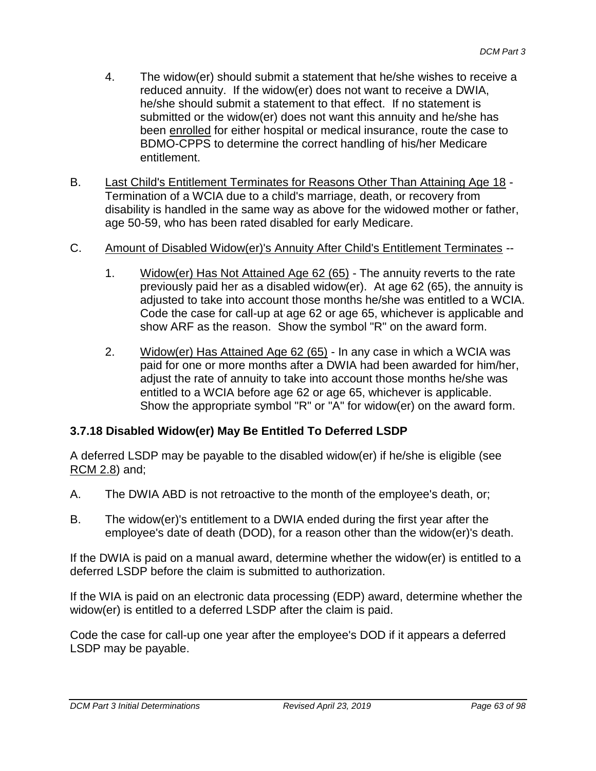- 4. The widow(er) should submit a statement that he/she wishes to receive a reduced annuity. If the widow(er) does not want to receive a DWIA, he/she should submit a statement to that effect. If no statement is submitted or the widow(er) does not want this annuity and he/she has been enrolled for either hospital or medical insurance, route the case to BDMO-CPPS to determine the correct handling of his/her Medicare entitlement.
- B. Last Child's Entitlement Terminates for Reasons Other Than Attaining Age 18 Termination of a WCIA due to a child's marriage, death, or recovery from disability is handled in the same way as above for the widowed mother or father, age 50-59, who has been rated disabled for early Medicare.

#### C. Amount of Disabled Widow(er)'s Annuity After Child's Entitlement Terminates --

- 1. Widow(er) Has Not Attained Age 62 (65) The annuity reverts to the rate previously paid her as a disabled widow(er). At age 62 (65), the annuity is adjusted to take into account those months he/she was entitled to a WCIA. Code the case for call-up at age 62 or age 65, whichever is applicable and show ARF as the reason. Show the symbol "R" on the award form.
- 2. Widow(er) Has Attained Age 62 (65) In any case in which a WCIA was paid for one or more months after a DWIA had been awarded for him/her, adjust the rate of annuity to take into account those months he/she was entitled to a WCIA before age 62 or age 65, whichever is applicable. Show the appropriate symbol "R" or "A" for widow(er) on the award form.

#### **3.7.18 Disabled Widow(er) May Be Entitled To Deferred LSDP**

A deferred LSDP may be payable to the disabled widow(er) if he/she is eligible (see RCM 2.8) and;

- A. The DWIA ABD is not retroactive to the month of the employee's death, or;
- B. The widow(er)'s entitlement to a DWIA ended during the first year after the employee's date of death (DOD), for a reason other than the widow(er)'s death.

If the DWIA is paid on a manual award, determine whether the widow(er) is entitled to a deferred LSDP before the claim is submitted to authorization.

If the WIA is paid on an electronic data processing (EDP) award, determine whether the widow(er) is entitled to a deferred LSDP after the claim is paid.

Code the case for call-up one year after the employee's DOD if it appears a deferred LSDP may be payable.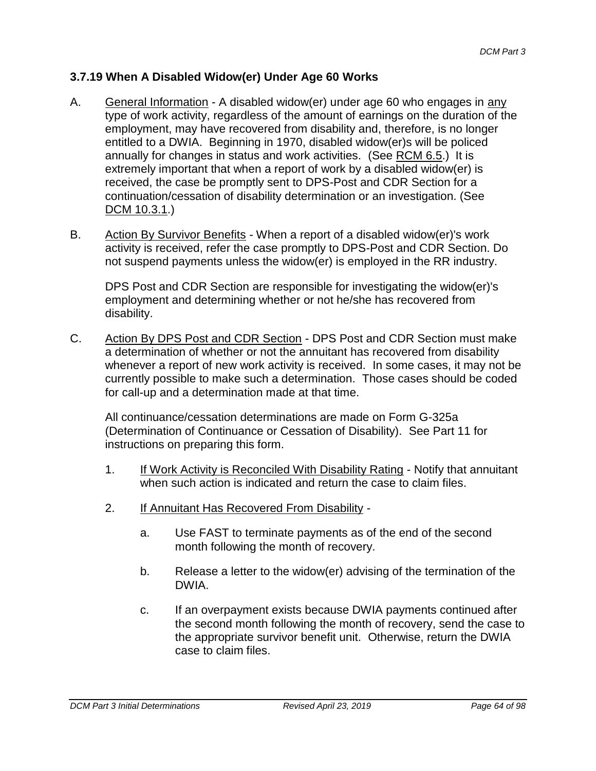## **3.7.19 When A Disabled Widow(er) Under Age 60 Works**

- A. General Information A disabled widow(er) under age 60 who engages in any type of work activity, regardless of the amount of earnings on the duration of the employment, may have recovered from disability and, therefore, is no longer entitled to a DWIA. Beginning in 1970, disabled widow(er)s will be policed annually for changes in status and work activities. (See RCM 6.5.) It is extremely important that when a report of work by a disabled widow(er) is received, the case be promptly sent to DPS-Post and CDR Section for a continuation/cessation of disability determination or an investigation. (See DCM 10.3.1.)
- B. Action By Survivor Benefits When a report of a disabled widow(er)'s work activity is received, refer the case promptly to DPS-Post and CDR Section. Do not suspend payments unless the widow(er) is employed in the RR industry.

DPS Post and CDR Section are responsible for investigating the widow(er)'s employment and determining whether or not he/she has recovered from disability.

C. Action By DPS Post and CDR Section - DPS Post and CDR Section must make a determination of whether or not the annuitant has recovered from disability whenever a report of new work activity is received. In some cases, it may not be currently possible to make such a determination. Those cases should be coded for call-up and a determination made at that time.

All continuance/cessation determinations are made on Form G-325a (Determination of Continuance or Cessation of Disability). See Part 11 for instructions on preparing this form.

- 1. If Work Activity is Reconciled With Disability Rating Notify that annuitant when such action is indicated and return the case to claim files.
- 2. If Annuitant Has Recovered From Disability
	- a. Use FAST to terminate payments as of the end of the second month following the month of recovery.
	- b. Release a letter to the widow(er) advising of the termination of the DWIA.
	- c. If an overpayment exists because DWIA payments continued after the second month following the month of recovery, send the case to the appropriate survivor benefit unit. Otherwise, return the DWIA case to claim files.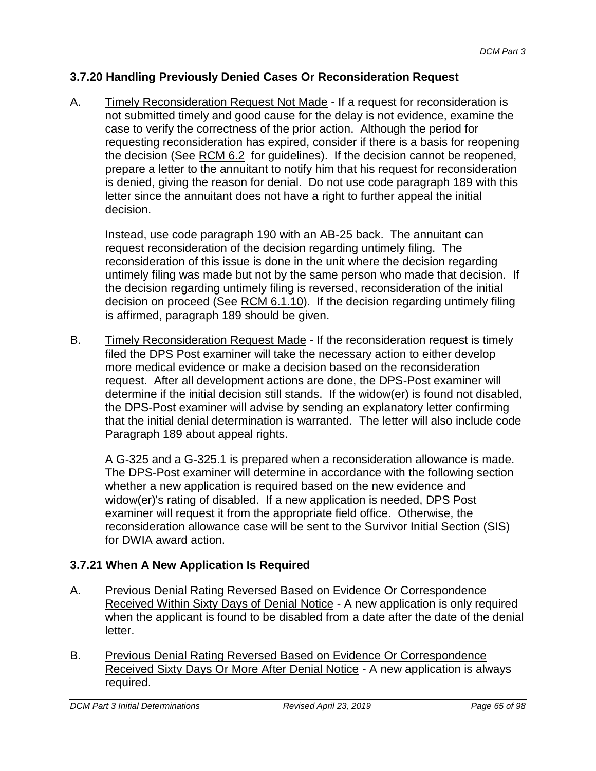#### **3.7.20 Handling Previously Denied Cases Or Reconsideration Request**

A. Timely Reconsideration Request Not Made - If a request for reconsideration is not submitted timely and good cause for the delay is not evidence, examine the case to verify the correctness of the prior action. Although the period for requesting reconsideration has expired, consider if there is a basis for reopening the decision (See RCM 6.2 for guidelines). If the decision cannot be reopened, prepare a letter to the annuitant to notify him that his request for reconsideration is denied, giving the reason for denial. Do not use code paragraph 189 with this letter since the annuitant does not have a right to further appeal the initial decision.

Instead, use code paragraph 190 with an AB-25 back. The annuitant can request reconsideration of the decision regarding untimely filing. The reconsideration of this issue is done in the unit where the decision regarding untimely filing was made but not by the same person who made that decision. If the decision regarding untimely filing is reversed, reconsideration of the initial decision on proceed (See RCM 6.1.10). If the decision regarding untimely filing is affirmed, paragraph 189 should be given.

B. Timely Reconsideration Request Made - If the reconsideration request is timely filed the DPS Post examiner will take the necessary action to either develop more medical evidence or make a decision based on the reconsideration request. After all development actions are done, the DPS-Post examiner will determine if the initial decision still stands. If the widow(er) is found not disabled, the DPS-Post examiner will advise by sending an explanatory letter confirming that the initial denial determination is warranted. The letter will also include code Paragraph 189 about appeal rights.

A G-325 and a G-325.1 is prepared when a reconsideration allowance is made. The DPS-Post examiner will determine in accordance with the following section whether a new application is required based on the new evidence and widow(er)'s rating of disabled. If a new application is needed, DPS Post examiner will request it from the appropriate field office. Otherwise, the reconsideration allowance case will be sent to the Survivor Initial Section (SIS) for DWIA award action.

## **3.7.21 When A New Application Is Required**

- A. Previous Denial Rating Reversed Based on Evidence Or Correspondence Received Within Sixty Days of Denial Notice - A new application is only required when the applicant is found to be disabled from a date after the date of the denial letter.
- B. Previous Denial Rating Reversed Based on Evidence Or Correspondence Received Sixty Days Or More After Denial Notice - A new application is always required.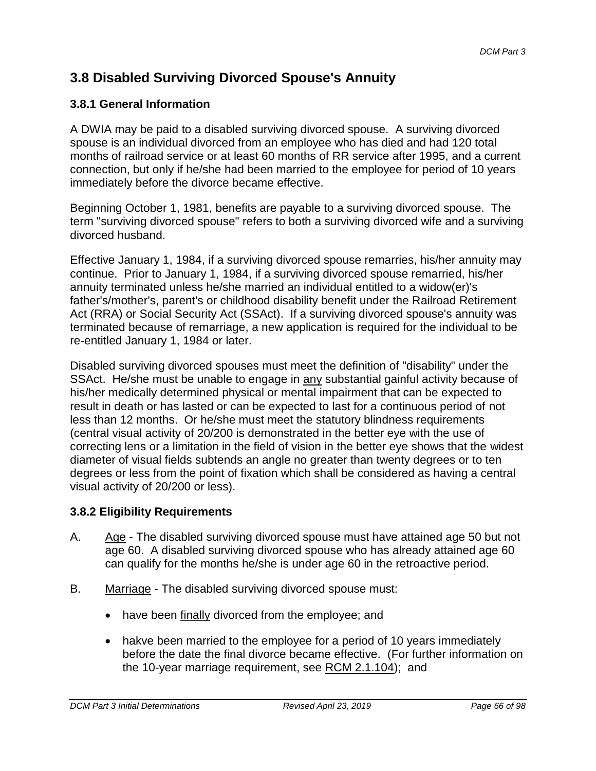# **3.8 Disabled Surviving Divorced Spouse's Annuity**

## **3.8.1 General Information**

A DWIA may be paid to a disabled surviving divorced spouse. A surviving divorced spouse is an individual divorced from an employee who has died and had 120 total months of railroad service or at least 60 months of RR service after 1995, and a current connection, but only if he/she had been married to the employee for period of 10 years immediately before the divorce became effective.

Beginning October 1, 1981, benefits are payable to a surviving divorced spouse. The term "surviving divorced spouse" refers to both a surviving divorced wife and a surviving divorced husband.

Effective January 1, 1984, if a surviving divorced spouse remarries, his/her annuity may continue. Prior to January 1, 1984, if a surviving divorced spouse remarried, his/her annuity terminated unless he/she married an individual entitled to a widow(er)'s father's/mother's, parent's or childhood disability benefit under the Railroad Retirement Act (RRA) or Social Security Act (SSAct). If a surviving divorced spouse's annuity was terminated because of remarriage, a new application is required for the individual to be re-entitled January 1, 1984 or later.

Disabled surviving divorced spouses must meet the definition of "disability" under the SSAct. He/she must be unable to engage in any substantial gainful activity because of his/her medically determined physical or mental impairment that can be expected to result in death or has lasted or can be expected to last for a continuous period of not less than 12 months. Or he/she must meet the statutory blindness requirements (central visual activity of 20/200 is demonstrated in the better eye with the use of correcting lens or a limitation in the field of vision in the better eye shows that the widest diameter of visual fields subtends an angle no greater than twenty degrees or to ten degrees or less from the point of fixation which shall be considered as having a central visual activity of 20/200 or less).

## **3.8.2 Eligibility Requirements**

- A. Age The disabled surviving divorced spouse must have attained age 50 but not age 60. A disabled surviving divorced spouse who has already attained age 60 can qualify for the months he/she is under age 60 in the retroactive period.
- B. Marriage The disabled surviving divorced spouse must:
	- have been finally divorced from the employee; and
	- hakve been married to the employee for a period of 10 years immediately before the date the final divorce became effective. (For further information on the 10-year marriage requirement, see RCM 2.1.104); and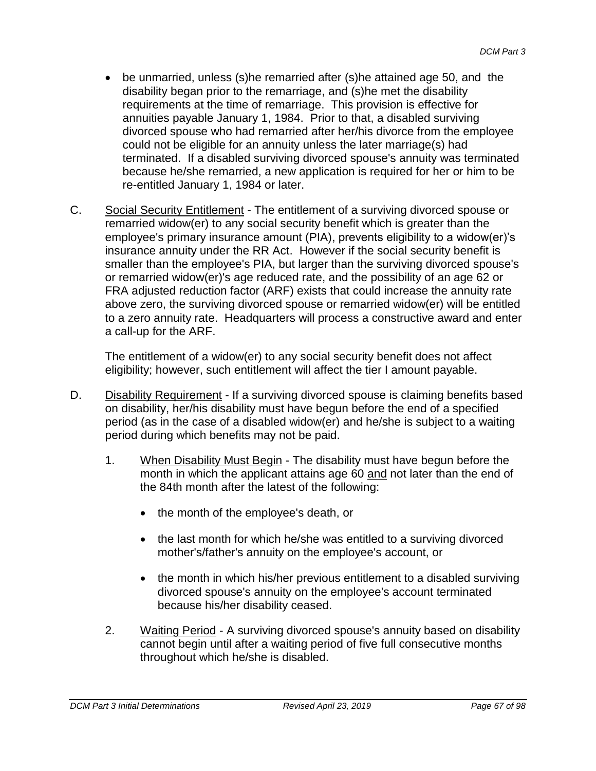- be unmarried, unless (s)he remarried after (s)he attained age 50, and the disability began prior to the remarriage, and (s)he met the disability requirements at the time of remarriage. This provision is effective for annuities payable January 1, 1984. Prior to that, a disabled surviving divorced spouse who had remarried after her/his divorce from the employee could not be eligible for an annuity unless the later marriage(s) had terminated. If a disabled surviving divorced spouse's annuity was terminated because he/she remarried, a new application is required for her or him to be re-entitled January 1, 1984 or later.
- C. Social Security Entitlement The entitlement of a surviving divorced spouse or remarried widow(er) to any social security benefit which is greater than the employee's primary insurance amount (PIA), prevents eligibility to a widow(er)'s insurance annuity under the RR Act. However if the social security benefit is smaller than the employee's PIA, but larger than the surviving divorced spouse's or remarried widow(er)'s age reduced rate, and the possibility of an age 62 or FRA adjusted reduction factor (ARF) exists that could increase the annuity rate above zero, the surviving divorced spouse or remarried widow(er) will be entitled to a zero annuity rate. Headquarters will process a constructive award and enter a call-up for the ARF.

The entitlement of a widow(er) to any social security benefit does not affect eligibility; however, such entitlement will affect the tier I amount payable.

- D. Disability Requirement If a surviving divorced spouse is claiming benefits based on disability, her/his disability must have begun before the end of a specified period (as in the case of a disabled widow(er) and he/she is subject to a waiting period during which benefits may not be paid.
	- 1. When Disability Must Begin The disability must have begun before the month in which the applicant attains age 60 and not later than the end of the 84th month after the latest of the following:
		- the month of the employee's death, or
		- the last month for which he/she was entitled to a surviving divorced mother's/father's annuity on the employee's account, or
		- the month in which his/her previous entitlement to a disabled surviving divorced spouse's annuity on the employee's account terminated because his/her disability ceased.
	- 2. Waiting Period A surviving divorced spouse's annuity based on disability cannot begin until after a waiting period of five full consecutive months throughout which he/she is disabled.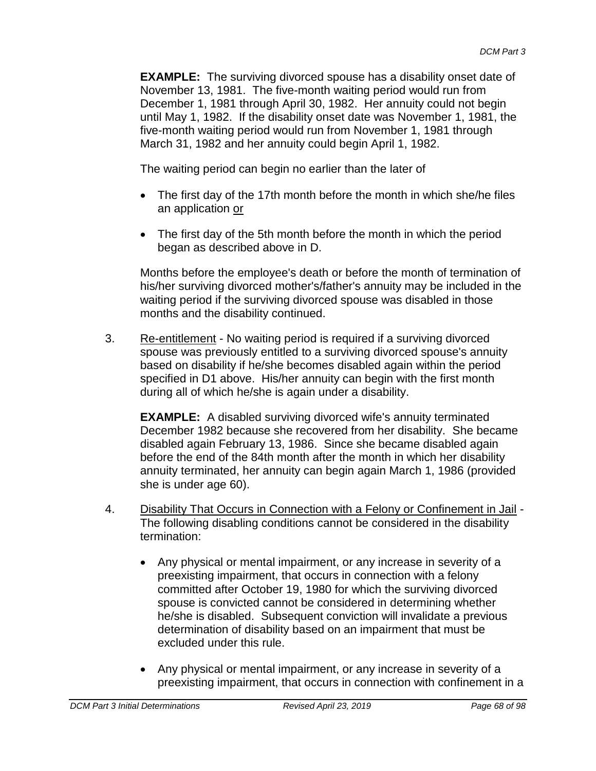**EXAMPLE:** The surviving divorced spouse has a disability onset date of November 13, 1981. The five-month waiting period would run from December 1, 1981 through April 30, 1982. Her annuity could not begin until May 1, 1982. If the disability onset date was November 1, 1981, the five-month waiting period would run from November 1, 1981 through March 31, 1982 and her annuity could begin April 1, 1982.

The waiting period can begin no earlier than the later of

- The first day of the 17th month before the month in which she/he files an application or
- The first day of the 5th month before the month in which the period began as described above in D.

Months before the employee's death or before the month of termination of his/her surviving divorced mother's/father's annuity may be included in the waiting period if the surviving divorced spouse was disabled in those months and the disability continued.

3. Re-entitlement - No waiting period is required if a surviving divorced spouse was previously entitled to a surviving divorced spouse's annuity based on disability if he/she becomes disabled again within the period specified in D1 above. His/her annuity can begin with the first month during all of which he/she is again under a disability.

**EXAMPLE:** A disabled surviving divorced wife's annuity terminated December 1982 because she recovered from her disability. She became disabled again February 13, 1986. Since she became disabled again before the end of the 84th month after the month in which her disability annuity terminated, her annuity can begin again March 1, 1986 (provided she is under age 60).

- 4. Disability That Occurs in Connection with a Felony or Confinement in Jail The following disabling conditions cannot be considered in the disability termination:
	- Any physical or mental impairment, or any increase in severity of a preexisting impairment, that occurs in connection with a felony committed after October 19, 1980 for which the surviving divorced spouse is convicted cannot be considered in determining whether he/she is disabled. Subsequent conviction will invalidate a previous determination of disability based on an impairment that must be excluded under this rule.
	- Any physical or mental impairment, or any increase in severity of a preexisting impairment, that occurs in connection with confinement in a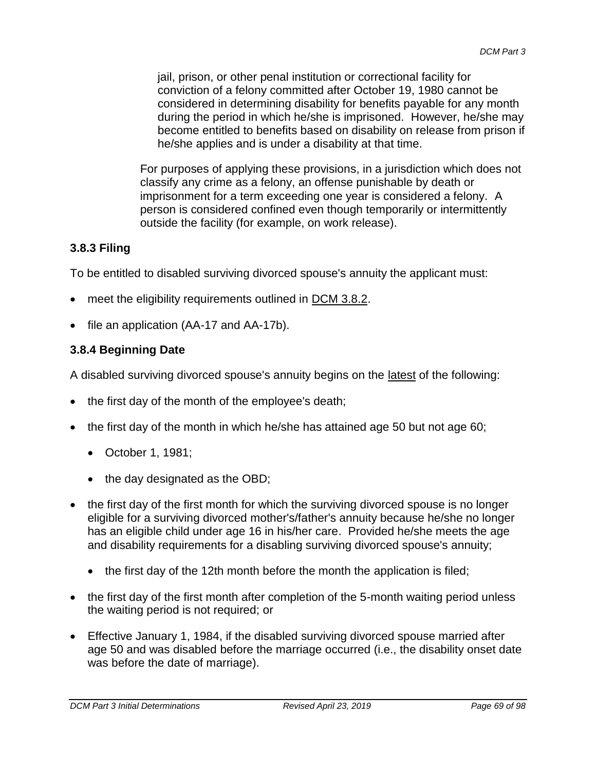jail, prison, or other penal institution or correctional facility for conviction of a felony committed after October 19, 1980 cannot be considered in determining disability for benefits payable for any month during the period in which he/she is imprisoned. However, he/she may become entitled to benefits based on disability on release from prison if he/she applies and is under a disability at that time.

For purposes of applying these provisions, in a jurisdiction which does not classify any crime as a felony, an offense punishable by death or imprisonment for a term exceeding one year is considered a felony. A person is considered confined even though temporarily or intermittently outside the facility (for example, on work release).

## **3.8.3 Filing**

To be entitled to disabled surviving divorced spouse's annuity the applicant must:

- meet the eligibility requirements outlined in DCM 3.8.2.
- file an application (AA-17 and AA-17b).

## **3.8.4 Beginning Date**

A disabled surviving divorced spouse's annuity begins on the latest of the following:

- the first day of the month of the employee's death;
- the first day of the month in which he/she has attained age 50 but not age 60;
	- October 1, 1981;
	- the day designated as the OBD;
- the first day of the first month for which the surviving divorced spouse is no longer eligible for a surviving divorced mother's/father's annuity because he/she no longer has an eligible child under age 16 in his/her care. Provided he/she meets the age and disability requirements for a disabling surviving divorced spouse's annuity;
	- the first day of the 12th month before the month the application is filed;
- the first day of the first month after completion of the 5-month waiting period unless the waiting period is not required; or
- Effective January 1, 1984, if the disabled surviving divorced spouse married after age 50 and was disabled before the marriage occurred (i.e., the disability onset date was before the date of marriage).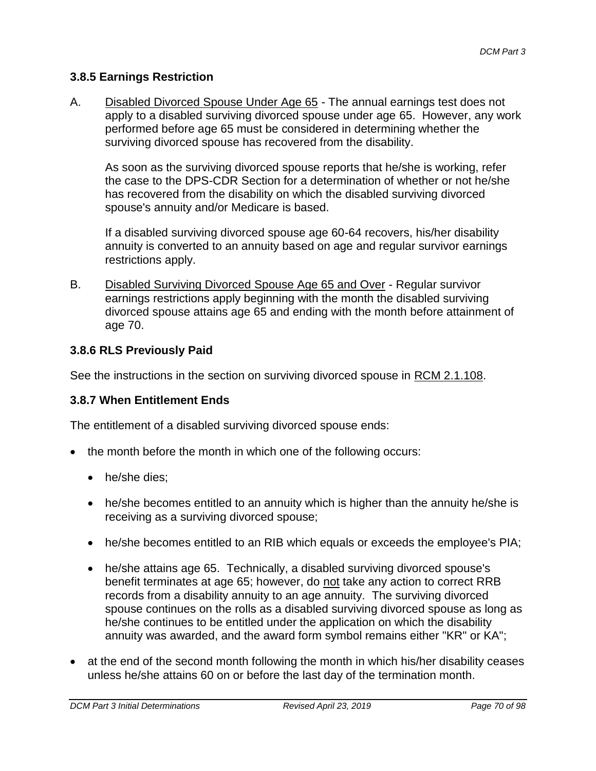#### **3.8.5 Earnings Restriction**

A. Disabled Divorced Spouse Under Age 65 - The annual earnings test does not apply to a disabled surviving divorced spouse under age 65. However, any work performed before age 65 must be considered in determining whether the surviving divorced spouse has recovered from the disability.

As soon as the surviving divorced spouse reports that he/she is working, refer the case to the DPS-CDR Section for a determination of whether or not he/she has recovered from the disability on which the disabled surviving divorced spouse's annuity and/or Medicare is based.

If a disabled surviving divorced spouse age 60-64 recovers, his/her disability annuity is converted to an annuity based on age and regular survivor earnings restrictions apply.

B. Disabled Surviving Divorced Spouse Age 65 and Over - Regular survivor earnings restrictions apply beginning with the month the disabled surviving divorced spouse attains age 65 and ending with the month before attainment of age 70.

#### **3.8.6 RLS Previously Paid**

See the instructions in the section on surviving divorced spouse in RCM 2.1.108.

## **3.8.7 When Entitlement Ends**

The entitlement of a disabled surviving divorced spouse ends:

- the month before the month in which one of the following occurs:
	- he/she dies;
	- he/she becomes entitled to an annuity which is higher than the annuity he/she is receiving as a surviving divorced spouse;
	- he/she becomes entitled to an RIB which equals or exceeds the employee's PIA;
	- he/she attains age 65. Technically, a disabled surviving divorced spouse's benefit terminates at age 65; however, do not take any action to correct RRB records from a disability annuity to an age annuity. The surviving divorced spouse continues on the rolls as a disabled surviving divorced spouse as long as he/she continues to be entitled under the application on which the disability annuity was awarded, and the award form symbol remains either "KR" or KA";
- at the end of the second month following the month in which his/her disability ceases unless he/she attains 60 on or before the last day of the termination month.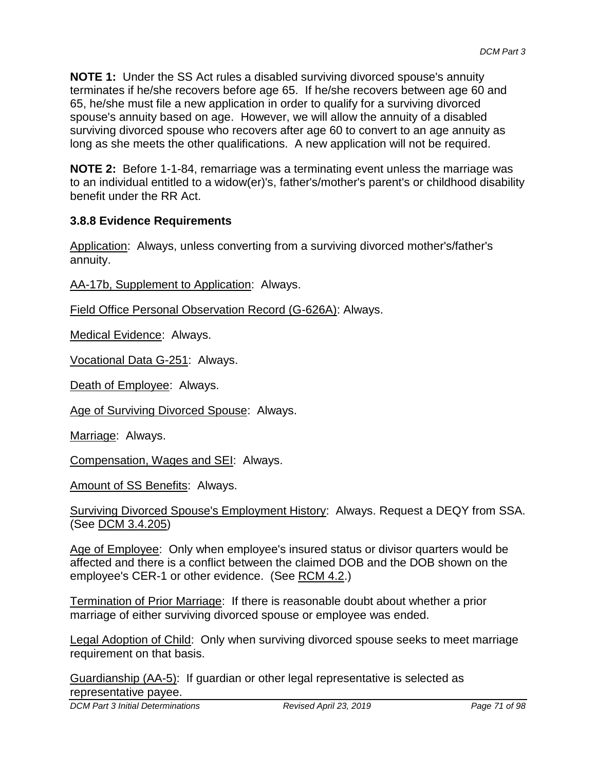**NOTE 1:** Under the SS Act rules a disabled surviving divorced spouse's annuity terminates if he/she recovers before age 65. If he/she recovers between age 60 and 65, he/she must file a new application in order to qualify for a surviving divorced spouse's annuity based on age. However, we will allow the annuity of a disabled surviving divorced spouse who recovers after age 60 to convert to an age annuity as long as she meets the other qualifications. A new application will not be required.

**NOTE 2:** Before 1-1-84, remarriage was a terminating event unless the marriage was to an individual entitled to a widow(er)'s, father's/mother's parent's or childhood disability benefit under the RR Act.

## **3.8.8 Evidence Requirements**

Application: Always, unless converting from a surviving divorced mother's/father's annuity.

AA-17b, Supplement to Application: Always.

Field Office Personal Observation Record (G-626A): Always.

Medical Evidence: Always.

Vocational Data G-251: Always.

Death of Employee: Always.

Age of Surviving Divorced Spouse: Always.

Marriage: Always.

Compensation, Wages and SEI: Always.

Amount of SS Benefits: Always.

Surviving Divorced Spouse's Employment History: Always. Request a DEQY from SSA. (See DCM 3.4.205)

Age of Employee: Only when employee's insured status or divisor quarters would be affected and there is a conflict between the claimed DOB and the DOB shown on the employee's CER-1 or other evidence. (See RCM 4.2.)

Termination of Prior Marriage: If there is reasonable doubt about whether a prior marriage of either surviving divorced spouse or employee was ended.

Legal Adoption of Child: Only when surviving divorced spouse seeks to meet marriage requirement on that basis.

Guardianship (AA-5): If guardian or other legal representative is selected as representative payee.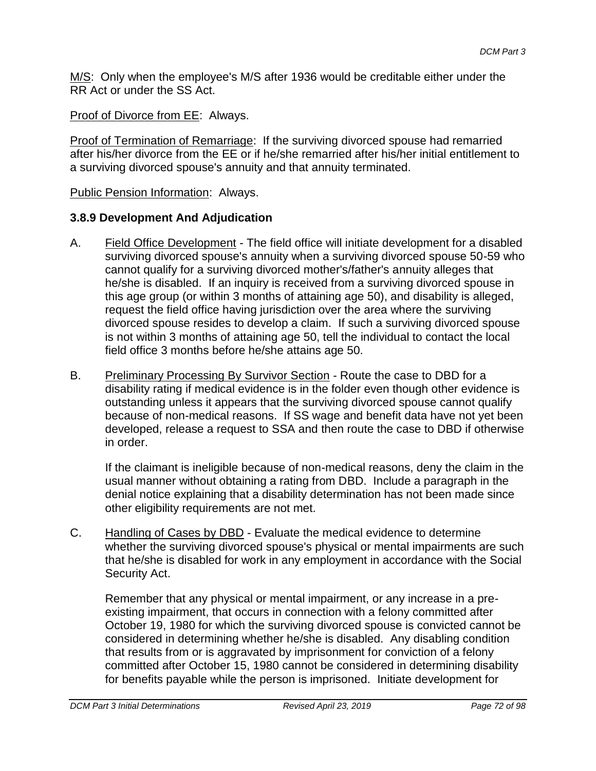M/S: Only when the employee's M/S after 1936 would be creditable either under the RR Act or under the SS Act.

Proof of Divorce from EE: Always.

Proof of Termination of Remarriage: If the surviving divorced spouse had remarried after his/her divorce from the EE or if he/she remarried after his/her initial entitlement to a surviving divorced spouse's annuity and that annuity terminated.

Public Pension Information: Always.

## **3.8.9 Development And Adjudication**

- A. Field Office Development The field office will initiate development for a disabled surviving divorced spouse's annuity when a surviving divorced spouse 50-59 who cannot qualify for a surviving divorced mother's/father's annuity alleges that he/she is disabled. If an inquiry is received from a surviving divorced spouse in this age group (or within 3 months of attaining age 50), and disability is alleged, request the field office having jurisdiction over the area where the surviving divorced spouse resides to develop a claim. If such a surviving divorced spouse is not within 3 months of attaining age 50, tell the individual to contact the local field office 3 months before he/she attains age 50.
- B. Preliminary Processing By Survivor Section Route the case to DBD for a disability rating if medical evidence is in the folder even though other evidence is outstanding unless it appears that the surviving divorced spouse cannot qualify because of non-medical reasons. If SS wage and benefit data have not yet been developed, release a request to SSA and then route the case to DBD if otherwise in order.

If the claimant is ineligible because of non-medical reasons, deny the claim in the usual manner without obtaining a rating from DBD. Include a paragraph in the denial notice explaining that a disability determination has not been made since other eligibility requirements are not met.

C. Handling of Cases by DBD - Evaluate the medical evidence to determine whether the surviving divorced spouse's physical or mental impairments are such that he/she is disabled for work in any employment in accordance with the Social Security Act.

Remember that any physical or mental impairment, or any increase in a preexisting impairment, that occurs in connection with a felony committed after October 19, 1980 for which the surviving divorced spouse is convicted cannot be considered in determining whether he/she is disabled. Any disabling condition that results from or is aggravated by imprisonment for conviction of a felony committed after October 15, 1980 cannot be considered in determining disability for benefits payable while the person is imprisoned. Initiate development for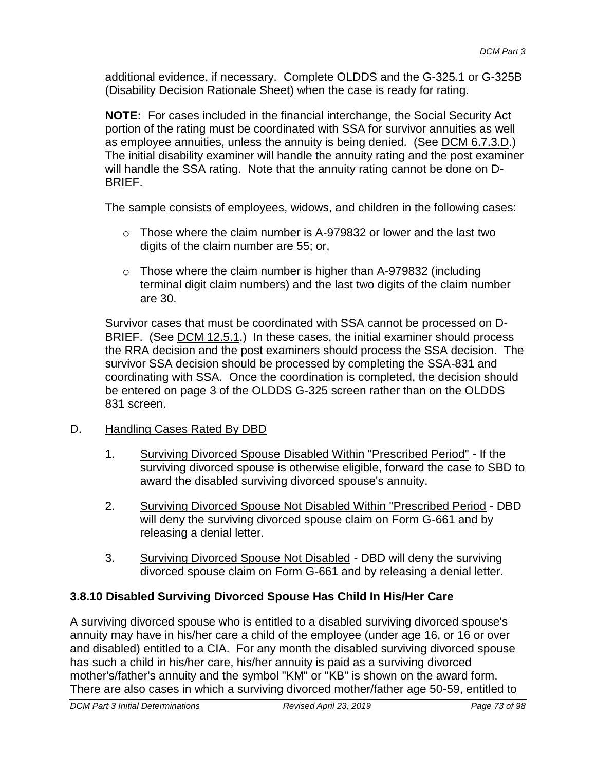additional evidence, if necessary. Complete OLDDS and the G-325.1 or G-325B (Disability Decision Rationale Sheet) when the case is ready for rating.

**NOTE:** For cases included in the financial interchange, the Social Security Act portion of the rating must be coordinated with SSA for survivor annuities as well as employee annuities, unless the annuity is being denied. (See DCM 6.7.3.D.) The initial disability examiner will handle the annuity rating and the post examiner will handle the SSA rating. Note that the annuity rating cannot be done on D-BRIEF.

The sample consists of employees, widows, and children in the following cases:

- $\circ$  Those where the claim number is A-979832 or lower and the last two digits of the claim number are 55; or,
- $\circ$  Those where the claim number is higher than A-979832 (including terminal digit claim numbers) and the last two digits of the claim number are 30.

Survivor cases that must be coordinated with SSA cannot be processed on D-BRIEF. (See DCM 12.5.1.) In these cases, the initial examiner should process the RRA decision and the post examiners should process the SSA decision. The survivor SSA decision should be processed by completing the SSA-831 and coordinating with SSA. Once the coordination is completed, the decision should be entered on page 3 of the OLDDS G-325 screen rather than on the OLDDS 831 screen.

- D. Handling Cases Rated By DBD
	- 1. Surviving Divorced Spouse Disabled Within "Prescribed Period" If the surviving divorced spouse is otherwise eligible, forward the case to SBD to award the disabled surviving divorced spouse's annuity.
	- 2. Surviving Divorced Spouse Not Disabled Within "Prescribed Period DBD will deny the surviving divorced spouse claim on Form G-661 and by releasing a denial letter.
	- 3. Surviving Divorced Spouse Not Disabled DBD will deny the surviving divorced spouse claim on Form G-661 and by releasing a denial letter.

## **3.8.10 Disabled Surviving Divorced Spouse Has Child In His/Her Care**

A surviving divorced spouse who is entitled to a disabled surviving divorced spouse's annuity may have in his/her care a child of the employee (under age 16, or 16 or over and disabled) entitled to a CIA. For any month the disabled surviving divorced spouse has such a child in his/her care, his/her annuity is paid as a surviving divorced mother's/father's annuity and the symbol "KM" or "KB" is shown on the award form. There are also cases in which a surviving divorced mother/father age 50-59, entitled to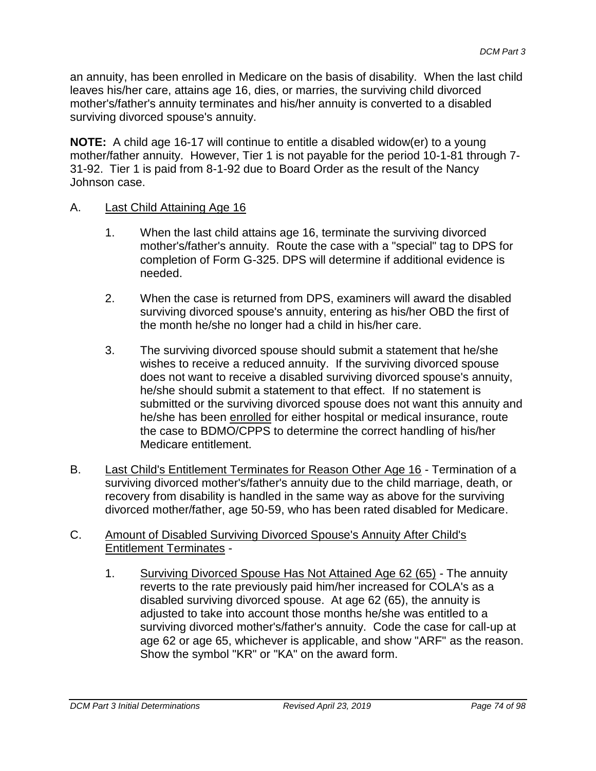an annuity, has been enrolled in Medicare on the basis of disability. When the last child leaves his/her care, attains age 16, dies, or marries, the surviving child divorced mother's/father's annuity terminates and his/her annuity is converted to a disabled surviving divorced spouse's annuity.

**NOTE:** A child age 16-17 will continue to entitle a disabled widow(er) to a young mother/father annuity. However, Tier 1 is not payable for the period 10-1-81 through 7- 31-92. Tier 1 is paid from 8-1-92 due to Board Order as the result of the Nancy Johnson case.

#### A. Last Child Attaining Age 16

- 1. When the last child attains age 16, terminate the surviving divorced mother's/father's annuity. Route the case with a "special" tag to DPS for completion of Form G-325. DPS will determine if additional evidence is needed.
- 2. When the case is returned from DPS, examiners will award the disabled surviving divorced spouse's annuity, entering as his/her OBD the first of the month he/she no longer had a child in his/her care.
- 3. The surviving divorced spouse should submit a statement that he/she wishes to receive a reduced annuity. If the surviving divorced spouse does not want to receive a disabled surviving divorced spouse's annuity, he/she should submit a statement to that effect. If no statement is submitted or the surviving divorced spouse does not want this annuity and he/she has been enrolled for either hospital or medical insurance, route the case to BDMO/CPPS to determine the correct handling of his/her Medicare entitlement.
- B. Last Child's Entitlement Terminates for Reason Other Age 16 Termination of a surviving divorced mother's/father's annuity due to the child marriage, death, or recovery from disability is handled in the same way as above for the surviving divorced mother/father, age 50-59, who has been rated disabled for Medicare.

#### C. Amount of Disabled Surviving Divorced Spouse's Annuity After Child's Entitlement Terminates -

1. Surviving Divorced Spouse Has Not Attained Age 62 (65) - The annuity reverts to the rate previously paid him/her increased for COLA's as a disabled surviving divorced spouse. At age 62 (65), the annuity is adjusted to take into account those months he/she was entitled to a surviving divorced mother's/father's annuity. Code the case for call-up at age 62 or age 65, whichever is applicable, and show "ARF" as the reason. Show the symbol "KR" or "KA" on the award form.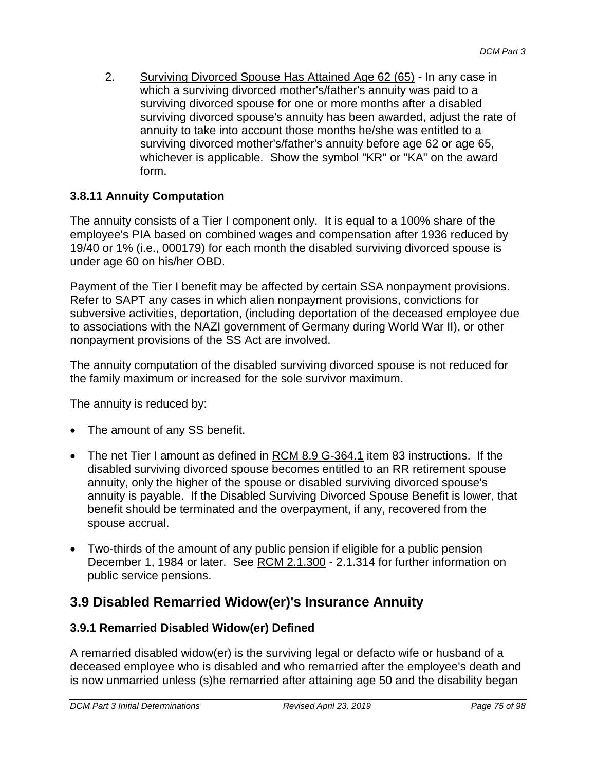2. Surviving Divorced Spouse Has Attained Age 62 (65) - In any case in which a surviving divorced mother's/father's annuity was paid to a surviving divorced spouse for one or more months after a disabled surviving divorced spouse's annuity has been awarded, adjust the rate of annuity to take into account those months he/she was entitled to a surviving divorced mother's/father's annuity before age 62 or age 65, whichever is applicable. Show the symbol "KR" or "KA" on the award form.

## **3.8.11 Annuity Computation**

The annuity consists of a Tier I component only. It is equal to a 100% share of the employee's PIA based on combined wages and compensation after 1936 reduced by 19/40 or 1% (i.e., 000179) for each month the disabled surviving divorced spouse is under age 60 on his/her OBD.

Payment of the Tier I benefit may be affected by certain SSA nonpayment provisions. Refer to SAPT any cases in which alien nonpayment provisions, convictions for subversive activities, deportation, (including deportation of the deceased employee due to associations with the NAZI government of Germany during World War II), or other nonpayment provisions of the SS Act are involved.

The annuity computation of the disabled surviving divorced spouse is not reduced for the family maximum or increased for the sole survivor maximum.

The annuity is reduced by:

- The amount of any SS benefit.
- The net Tier I amount as defined in RCM 8.9 G-364.1 item 83 instructions. If the disabled surviving divorced spouse becomes entitled to an RR retirement spouse annuity, only the higher of the spouse or disabled surviving divorced spouse's annuity is payable. If the Disabled Surviving Divorced Spouse Benefit is lower, that benefit should be terminated and the overpayment, if any, recovered from the spouse accrual.
- Two-thirds of the amount of any public pension if eligible for a public pension December 1, 1984 or later. See RCM 2.1.300 - 2.1.314 for further information on public service pensions.

# **3.9 Disabled Remarried Widow(er)'s Insurance Annuity**

## **3.9.1 Remarried Disabled Widow(er) Defined**

A remarried disabled widow(er) is the surviving legal or defacto wife or husband of a deceased employee who is disabled and who remarried after the employee's death and is now unmarried unless (s)he remarried after attaining age 50 and the disability began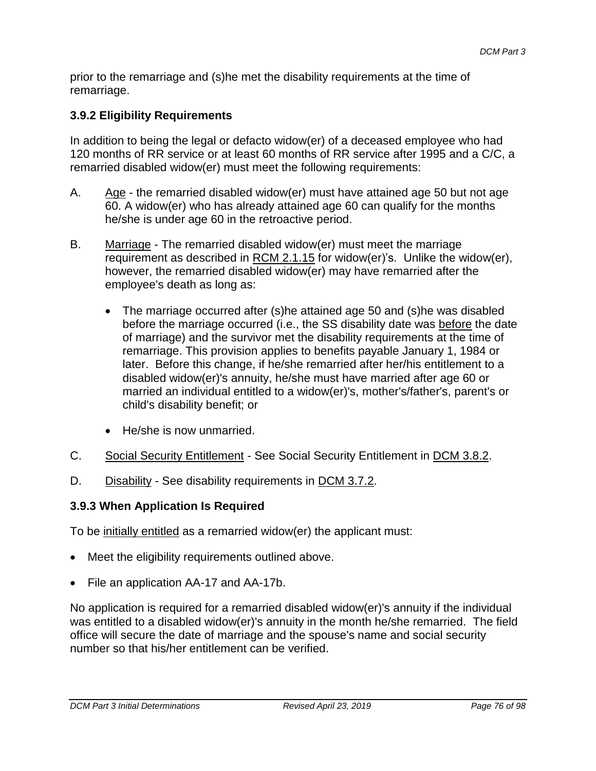prior to the remarriage and (s)he met the disability requirements at the time of remarriage.

## **3.9.2 Eligibility Requirements**

In addition to being the legal or defacto widow(er) of a deceased employee who had 120 months of RR service or at least 60 months of RR service after 1995 and a C/C, a remarried disabled widow(er) must meet the following requirements:

- A.  $\frac{\text{Age}}{\text{Age}}$  the remarried disabled widow(er) must have attained age 50 but not age 60. A widow(er) who has already attained age 60 can qualify for the months he/she is under age 60 in the retroactive period.
- B. Marriage The remarried disabled widow(er) must meet the marriage requirement as described in RCM 2.1.15 for widow(er)'s. Unlike the widow(er), however, the remarried disabled widow(er) may have remarried after the employee's death as long as:
	- The marriage occurred after (s)he attained age 50 and (s)he was disabled before the marriage occurred (i.e., the SS disability date was before the date of marriage) and the survivor met the disability requirements at the time of remarriage. This provision applies to benefits payable January 1, 1984 or later. Before this change, if he/she remarried after her/his entitlement to a disabled widow(er)'s annuity, he/she must have married after age 60 or married an individual entitled to a widow(er)'s, mother's/father's, parent's or child's disability benefit; or
	- He/she is now unmarried.
- C. Social Security Entitlement See Social Security Entitlement in DCM 3.8.2.
- D. Disability See disability requirements in DCM 3.7.2.

#### **3.9.3 When Application Is Required**

To be initially entitled as a remarried widow(er) the applicant must:

- Meet the eligibility requirements outlined above.
- File an application AA-17 and AA-17b.

No application is required for a remarried disabled widow(er)'s annuity if the individual was entitled to a disabled widow(er)'s annuity in the month he/she remarried. The field office will secure the date of marriage and the spouse's name and social security number so that his/her entitlement can be verified.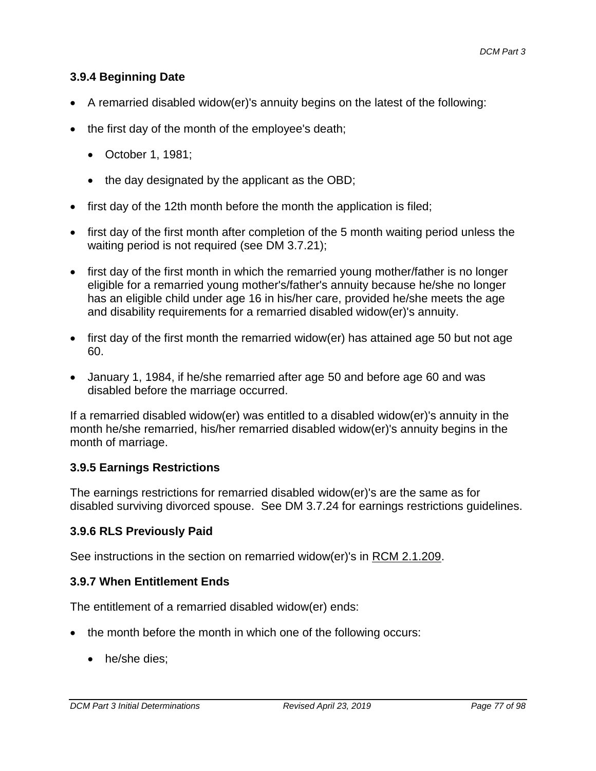## **3.9.4 Beginning Date**

- A remarried disabled widow(er)'s annuity begins on the latest of the following:
- $\bullet$  the first day of the month of the employee's death;
	- October 1, 1981;
	- the day designated by the applicant as the OBD;
- first day of the 12th month before the month the application is filed;
- first day of the first month after completion of the 5 month waiting period unless the waiting period is not required (see DM 3.7.21);
- first day of the first month in which the remarried young mother/father is no longer eligible for a remarried young mother's/father's annuity because he/she no longer has an eligible child under age 16 in his/her care, provided he/she meets the age and disability requirements for a remarried disabled widow(er)'s annuity.
- first day of the first month the remarried widow(er) has attained age 50 but not age 60.
- January 1, 1984, if he/she remarried after age 50 and before age 60 and was disabled before the marriage occurred.

If a remarried disabled widow(er) was entitled to a disabled widow(er)'s annuity in the month he/she remarried, his/her remarried disabled widow(er)'s annuity begins in the month of marriage.

## **3.9.5 Earnings Restrictions**

The earnings restrictions for remarried disabled widow(er)'s are the same as for disabled surviving divorced spouse. See DM 3.7.24 for earnings restrictions guidelines.

## **3.9.6 RLS Previously Paid**

See instructions in the section on remarried widow(er)'s in RCM 2.1.209.

## **3.9.7 When Entitlement Ends**

The entitlement of a remarried disabled widow(er) ends:

- the month before the month in which one of the following occurs:
	- he/she dies;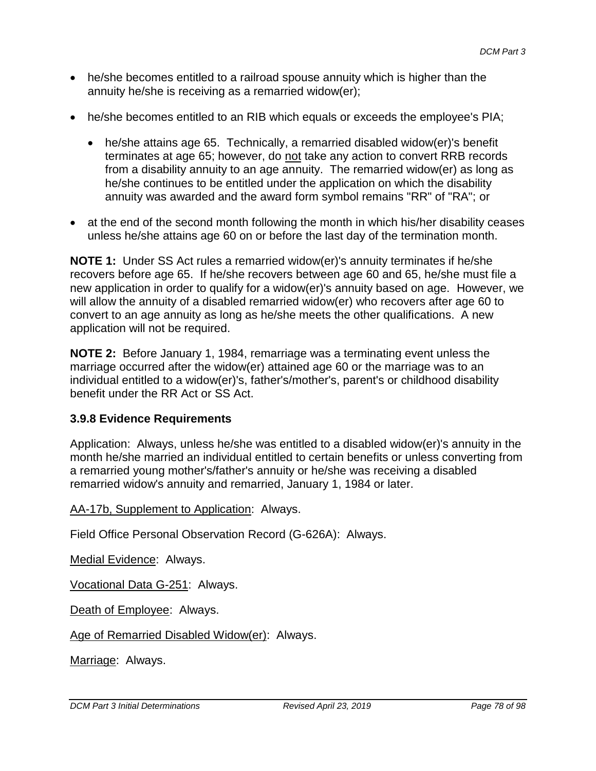- he/she becomes entitled to a railroad spouse annuity which is higher than the annuity he/she is receiving as a remarried widow(er);
- he/she becomes entitled to an RIB which equals or exceeds the employee's PIA;
	- he/she attains age 65. Technically, a remarried disabled widow(er)'s benefit terminates at age 65; however, do not take any action to convert RRB records from a disability annuity to an age annuity. The remarried widow(er) as long as he/she continues to be entitled under the application on which the disability annuity was awarded and the award form symbol remains "RR" of "RA"; or
- at the end of the second month following the month in which his/her disability ceases unless he/she attains age 60 on or before the last day of the termination month.

**NOTE 1:** Under SS Act rules a remarried widow(er)'s annuity terminates if he/she recovers before age 65. If he/she recovers between age 60 and 65, he/she must file a new application in order to qualify for a widow(er)'s annuity based on age. However, we will allow the annuity of a disabled remarried widow(er) who recovers after age 60 to convert to an age annuity as long as he/she meets the other qualifications. A new application will not be required.

**NOTE 2:** Before January 1, 1984, remarriage was a terminating event unless the marriage occurred after the widow(er) attained age 60 or the marriage was to an individual entitled to a widow(er)'s, father's/mother's, parent's or childhood disability benefit under the RR Act or SS Act.

## **3.9.8 Evidence Requirements**

Application: Always, unless he/she was entitled to a disabled widow(er)'s annuity in the month he/she married an individual entitled to certain benefits or unless converting from a remarried young mother's/father's annuity or he/she was receiving a disabled remarried widow's annuity and remarried, January 1, 1984 or later.

AA-17b, Supplement to Application: Always.

Field Office Personal Observation Record (G-626A): Always.

Medial Evidence: Always.

Vocational Data G-251: Always.

Death of Employee: Always.

Age of Remarried Disabled Widow(er): Always.

Marriage: Always.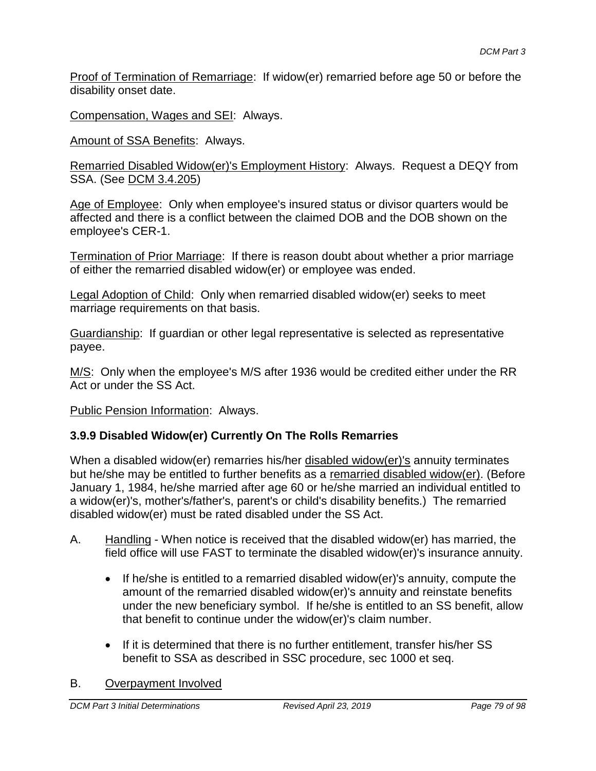Proof of Termination of Remarriage: If widow(er) remarried before age 50 or before the disability onset date.

Compensation, Wages and SEI: Always.

Amount of SSA Benefits: Always.

Remarried Disabled Widow(er)'s Employment History: Always. Request a DEQY from SSA. (See DCM 3.4.205)

Age of Employee: Only when employee's insured status or divisor quarters would be affected and there is a conflict between the claimed DOB and the DOB shown on the employee's CER-1.

Termination of Prior Marriage: If there is reason doubt about whether a prior marriage of either the remarried disabled widow(er) or employee was ended.

Legal Adoption of Child: Only when remarried disabled widow(er) seeks to meet marriage requirements on that basis.

Guardianship: If guardian or other legal representative is selected as representative payee.

M/S: Only when the employee's M/S after 1936 would be credited either under the RR Act or under the SS Act.

Public Pension Information: Always.

## **3.9.9 Disabled Widow(er) Currently On The Rolls Remarries**

When a disabled widow(er) remarries his/her disabled widow(er)'s annuity terminates but he/she may be entitled to further benefits as a remarried disabled widow(er). (Before January 1, 1984, he/she married after age 60 or he/she married an individual entitled to a widow(er)'s, mother's/father's, parent's or child's disability benefits.) The remarried disabled widow(er) must be rated disabled under the SS Act.

- A. Handling When notice is received that the disabled widow(er) has married, the field office will use FAST to terminate the disabled widow(er)'s insurance annuity.
	- $\bullet$  If he/she is entitled to a remarried disabled widow(er)'s annuity, compute the amount of the remarried disabled widow(er)'s annuity and reinstate benefits under the new beneficiary symbol. If he/she is entitled to an SS benefit, allow that benefit to continue under the widow(er)'s claim number.
	- If it is determined that there is no further entitlement, transfer his/her SS benefit to SSA as described in SSC procedure, sec 1000 et seq.

#### B. Overpayment Involved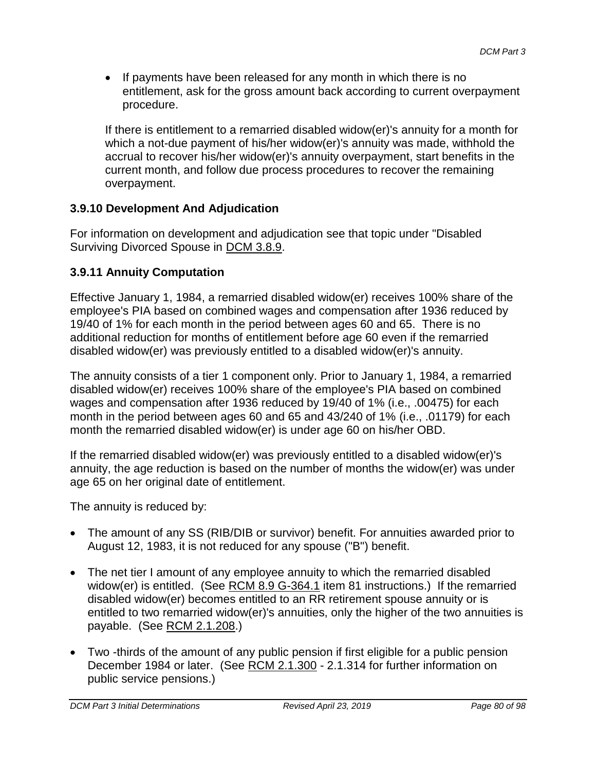• If payments have been released for any month in which there is no entitlement, ask for the gross amount back according to current overpayment procedure.

If there is entitlement to a remarried disabled widow(er)'s annuity for a month for which a not-due payment of his/her widow(er)'s annuity was made, withhold the accrual to recover his/her widow(er)'s annuity overpayment, start benefits in the current month, and follow due process procedures to recover the remaining overpayment.

## **3.9.10 Development And Adjudication**

For information on development and adjudication see that topic under "Disabled Surviving Divorced Spouse in DCM 3.8.9.

## **3.9.11 Annuity Computation**

Effective January 1, 1984, a remarried disabled widow(er) receives 100% share of the employee's PIA based on combined wages and compensation after 1936 reduced by 19/40 of 1% for each month in the period between ages 60 and 65. There is no additional reduction for months of entitlement before age 60 even if the remarried disabled widow(er) was previously entitled to a disabled widow(er)'s annuity.

The annuity consists of a tier 1 component only. Prior to January 1, 1984, a remarried disabled widow(er) receives 100% share of the employee's PIA based on combined wages and compensation after 1936 reduced by 19/40 of 1% (i.e., .00475) for each month in the period between ages 60 and 65 and 43/240 of 1% (i.e., .01179) for each month the remarried disabled widow(er) is under age 60 on his/her OBD.

If the remarried disabled widow(er) was previously entitled to a disabled widow(er)'s annuity, the age reduction is based on the number of months the widow(er) was under age 65 on her original date of entitlement.

The annuity is reduced by:

- The amount of any SS (RIB/DIB or survivor) benefit. For annuities awarded prior to August 12, 1983, it is not reduced for any spouse ("B") benefit.
- The net tier I amount of any employee annuity to which the remarried disabled widow(er) is entitled. (See RCM 8.9 G-364.1 item 81 instructions.) If the remarried disabled widow(er) becomes entitled to an RR retirement spouse annuity or is entitled to two remarried widow(er)'s annuities, only the higher of the two annuities is payable. (See RCM 2.1.208.)
- Two -thirds of the amount of any public pension if first eligible for a public pension December 1984 or later. (See RCM 2.1.300 - 2.1.314 for further information on public service pensions.)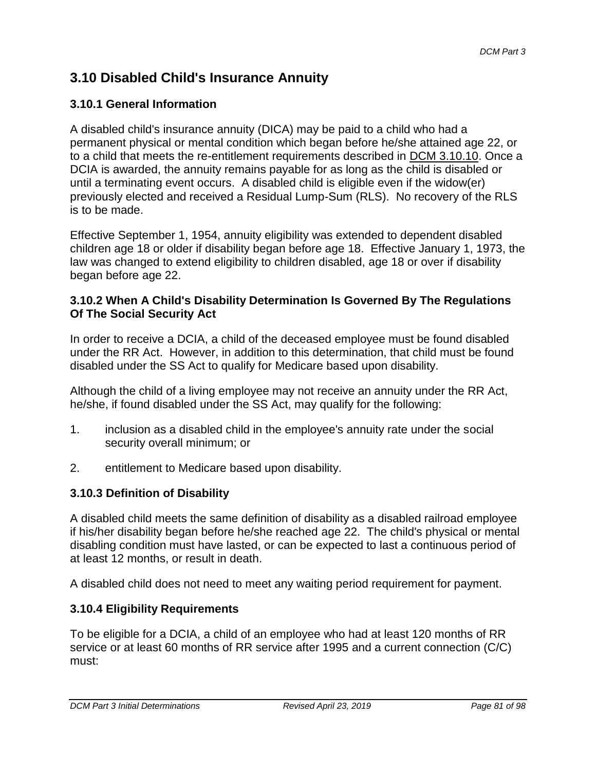# **3.10 Disabled Child's Insurance Annuity**

## **3.10.1 General Information**

A disabled child's insurance annuity (DICA) may be paid to a child who had a permanent physical or mental condition which began before he/she attained age 22, or to a child that meets the re-entitlement requirements described in DCM 3.10.10. Once a DCIA is awarded, the annuity remains payable for as long as the child is disabled or until a terminating event occurs. A disabled child is eligible even if the widow(er) previously elected and received a Residual Lump-Sum (RLS). No recovery of the RLS is to be made.

Effective September 1, 1954, annuity eligibility was extended to dependent disabled children age 18 or older if disability began before age 18. Effective January 1, 1973, the law was changed to extend eligibility to children disabled, age 18 or over if disability began before age 22.

#### **3.10.2 When A Child's Disability Determination Is Governed By The Regulations Of The Social Security Act**

In order to receive a DCIA, a child of the deceased employee must be found disabled under the RR Act. However, in addition to this determination, that child must be found disabled under the SS Act to qualify for Medicare based upon disability.

Although the child of a living employee may not receive an annuity under the RR Act, he/she, if found disabled under the SS Act, may qualify for the following:

- 1. inclusion as a disabled child in the employee's annuity rate under the social security overall minimum; or
- 2. entitlement to Medicare based upon disability.

## **3.10.3 Definition of Disability**

A disabled child meets the same definition of disability as a disabled railroad employee if his/her disability began before he/she reached age 22. The child's physical or mental disabling condition must have lasted, or can be expected to last a continuous period of at least 12 months, or result in death.

A disabled child does not need to meet any waiting period requirement for payment.

## **3.10.4 Eligibility Requirements**

To be eligible for a DCIA, a child of an employee who had at least 120 months of RR service or at least 60 months of RR service after 1995 and a current connection (C/C) must: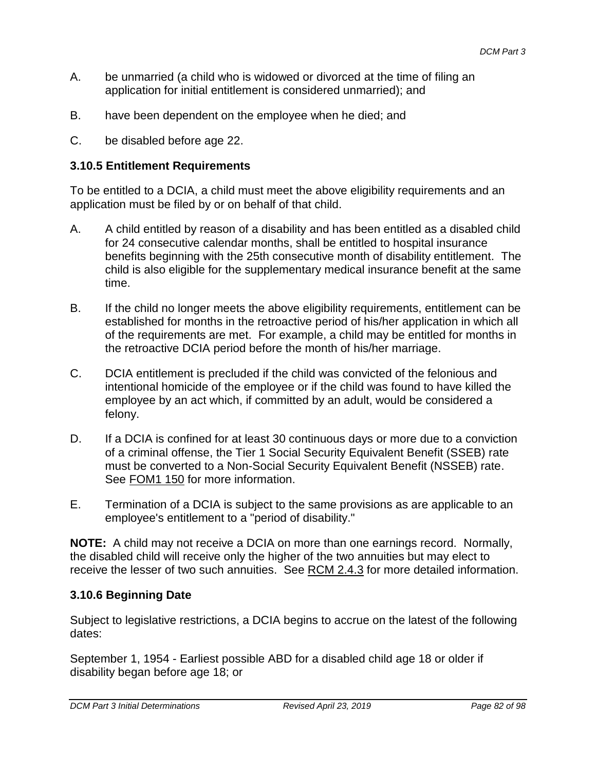- A. be unmarried (a child who is widowed or divorced at the time of filing an application for initial entitlement is considered unmarried); and
- B. have been dependent on the employee when he died; and
- C. be disabled before age 22.

#### **3.10.5 Entitlement Requirements**

To be entitled to a DCIA, a child must meet the above eligibility requirements and an application must be filed by or on behalf of that child.

- A. A child entitled by reason of a disability and has been entitled as a disabled child for 24 consecutive calendar months, shall be entitled to hospital insurance benefits beginning with the 25th consecutive month of disability entitlement. The child is also eligible for the supplementary medical insurance benefit at the same time.
- B. If the child no longer meets the above eligibility requirements, entitlement can be established for months in the retroactive period of his/her application in which all of the requirements are met. For example, a child may be entitled for months in the retroactive DCIA period before the month of his/her marriage.
- C. DCIA entitlement is precluded if the child was convicted of the felonious and intentional homicide of the employee or if the child was found to have killed the employee by an act which, if committed by an adult, would be considered a felony.
- D. If a DCIA is confined for at least 30 continuous days or more due to a conviction of a criminal offense, the Tier 1 Social Security Equivalent Benefit (SSEB) rate must be converted to a Non-Social Security Equivalent Benefit (NSSEB) rate. See FOM1 150 for more information.
- E. Termination of a DCIA is subject to the same provisions as are applicable to an employee's entitlement to a "period of disability."

**NOTE:** A child may not receive a DCIA on more than one earnings record. Normally, the disabled child will receive only the higher of the two annuities but may elect to receive the lesser of two such annuities. See RCM 2.4.3 for more detailed information.

#### **3.10.6 Beginning Date**

Subject to legislative restrictions, a DCIA begins to accrue on the latest of the following dates:

September 1, 1954 - Earliest possible ABD for a disabled child age 18 or older if disability began before age 18; or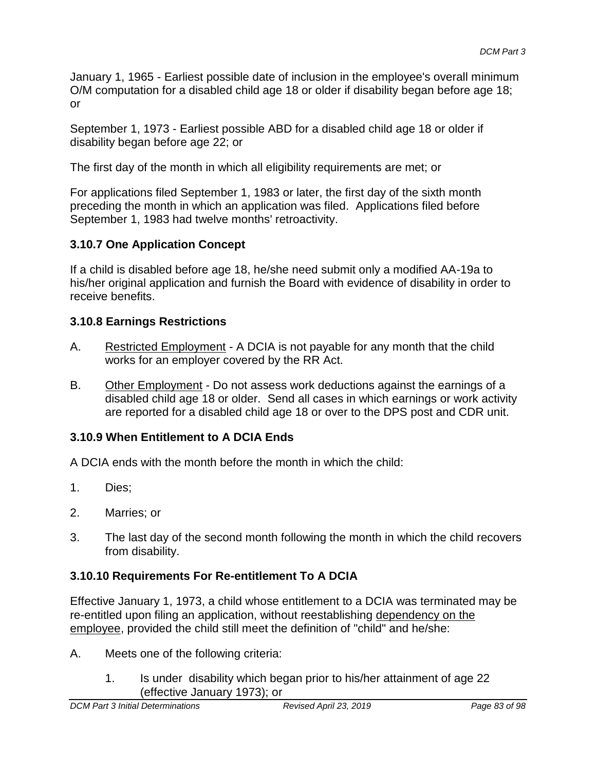January 1, 1965 - Earliest possible date of inclusion in the employee's overall minimum O/M computation for a disabled child age 18 or older if disability began before age 18; or

September 1, 1973 - Earliest possible ABD for a disabled child age 18 or older if disability began before age 22; or

The first day of the month in which all eligibility requirements are met; or

For applications filed September 1, 1983 or later, the first day of the sixth month preceding the month in which an application was filed. Applications filed before September 1, 1983 had twelve months' retroactivity.

## **3.10.7 One Application Concept**

If a child is disabled before age 18, he/she need submit only a modified AA-19a to his/her original application and furnish the Board with evidence of disability in order to receive benefits.

#### **3.10.8 Earnings Restrictions**

- A. Restricted Employment A DCIA is not payable for any month that the child works for an employer covered by the RR Act.
- B. Other Employment Do not assess work deductions against the earnings of a disabled child age 18 or older. Send all cases in which earnings or work activity are reported for a disabled child age 18 or over to the DPS post and CDR unit.

## **3.10.9 When Entitlement to A DCIA Ends**

A DCIA ends with the month before the month in which the child:

- 1. Dies;
- 2. Marries; or
- 3. The last day of the second month following the month in which the child recovers from disability.

## **3.10.10 Requirements For Re-entitlement To A DCIA**

Effective January 1, 1973, a child whose entitlement to a DCIA was terminated may be re-entitled upon filing an application, without reestablishing dependency on the employee, provided the child still meet the definition of "child" and he/she:

- A. Meets one of the following criteria:
	- 1. Is under disability which began prior to his/her attainment of age 22 (effective January 1973); or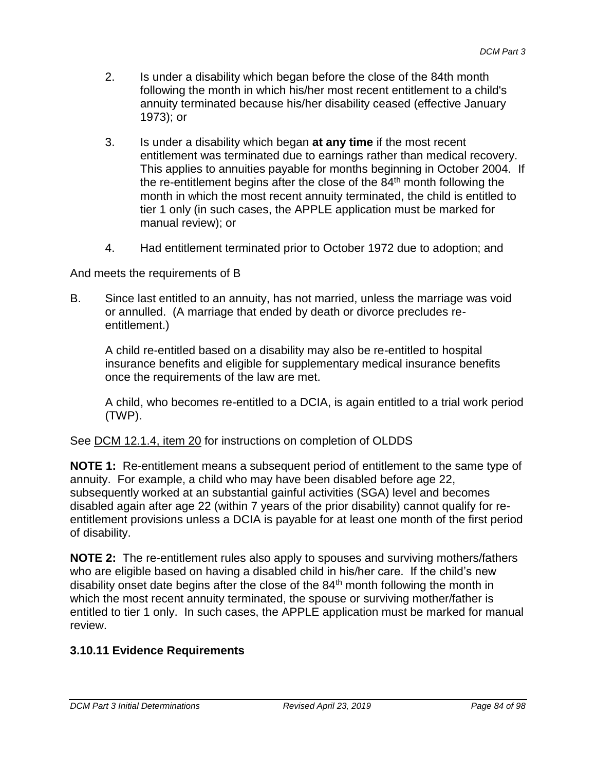- 2. Is under a disability which began before the close of the 84th month following the month in which his/her most recent entitlement to a child's annuity terminated because his/her disability ceased (effective January 1973); or
- 3. Is under a disability which began **at any time** if the most recent entitlement was terminated due to earnings rather than medical recovery. This applies to annuities payable for months beginning in October 2004. If the re-entitlement begins after the close of the  $84<sup>th</sup>$  month following the month in which the most recent annuity terminated, the child is entitled to tier 1 only (in such cases, the APPLE application must be marked for manual review); or
- 4. Had entitlement terminated prior to October 1972 due to adoption; and

And meets the requirements of B

B. Since last entitled to an annuity, has not married, unless the marriage was void or annulled. (A marriage that ended by death or divorce precludes reentitlement.)

A child re-entitled based on a disability may also be re-entitled to hospital insurance benefits and eligible for supplementary medical insurance benefits once the requirements of the law are met.

A child, who becomes re-entitled to a DCIA, is again entitled to a trial work period (TWP).

#### See DCM 12.1.4, item 20 for instructions on completion of OLDDS

**NOTE 1:** Re-entitlement means a subsequent period of entitlement to the same type of annuity. For example, a child who may have been disabled before age 22, subsequently worked at an substantial gainful activities (SGA) level and becomes disabled again after age 22 (within 7 years of the prior disability) cannot qualify for reentitlement provisions unless a DCIA is payable for at least one month of the first period of disability.

**NOTE 2:** The re-entitlement rules also apply to spouses and surviving mothers/fathers who are eligible based on having a disabled child in his/her care. If the child's new disability onset date begins after the close of the  $84<sup>th</sup>$  month following the month in which the most recent annuity terminated, the spouse or surviving mother/father is entitled to tier 1 only. In such cases, the APPLE application must be marked for manual review.

## **3.10.11 Evidence Requirements**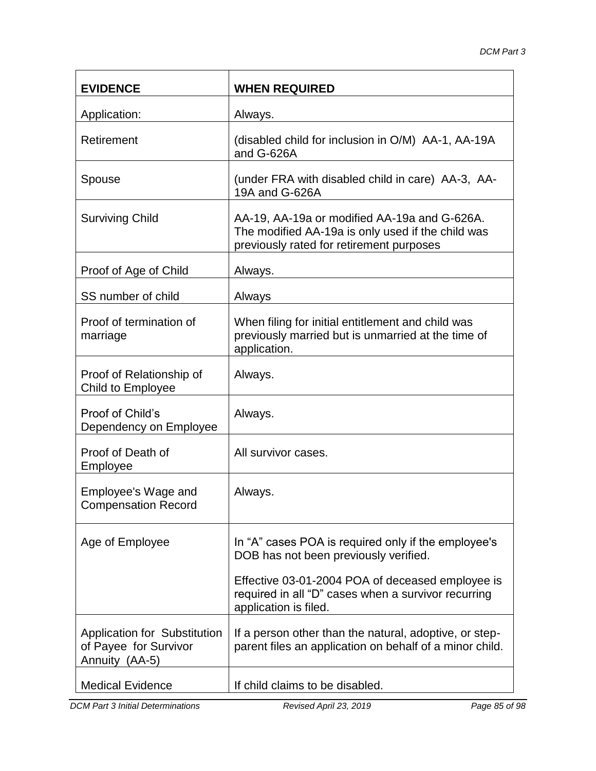| <b>EVIDENCE</b>                                                                | <b>WHEN REQUIRED</b>                                                                                                                          |
|--------------------------------------------------------------------------------|-----------------------------------------------------------------------------------------------------------------------------------------------|
| Application:                                                                   | Always.                                                                                                                                       |
| Retirement                                                                     | (disabled child for inclusion in O/M) AA-1, AA-19A<br>and G-626A                                                                              |
| Spouse                                                                         | (under FRA with disabled child in care) AA-3, AA-<br>19A and G-626A                                                                           |
| <b>Surviving Child</b>                                                         | AA-19, AA-19a or modified AA-19a and G-626A.<br>The modified AA-19a is only used if the child was<br>previously rated for retirement purposes |
| Proof of Age of Child                                                          | Always.                                                                                                                                       |
| SS number of child                                                             | Always                                                                                                                                        |
| Proof of termination of<br>marriage                                            | When filing for initial entitlement and child was<br>previously married but is unmarried at the time of<br>application.                       |
| Proof of Relationship of<br>Child to Employee                                  | Always.                                                                                                                                       |
| Proof of Child's<br>Dependency on Employee                                     | Always.                                                                                                                                       |
| Proof of Death of<br>Employee                                                  | All survivor cases.                                                                                                                           |
| Employee's Wage and<br><b>Compensation Record</b>                              | Always.                                                                                                                                       |
| Age of Employee                                                                | In "A" cases POA is required only if the employee's<br>DOB has not been previously verified.                                                  |
|                                                                                | Effective 03-01-2004 POA of deceased employee is<br>required in all "D" cases when a survivor recurring<br>application is filed.              |
| <b>Application for Substitution</b><br>of Payee for Survivor<br>Annuity (AA-5) | If a person other than the natural, adoptive, or step-<br>parent files an application on behalf of a minor child.                             |
| <b>Medical Evidence</b>                                                        | If child claims to be disabled.                                                                                                               |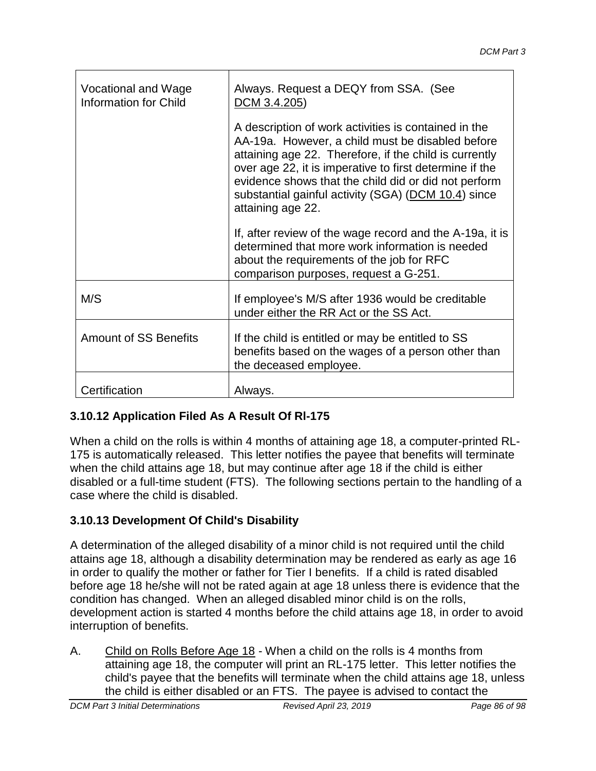| Vocational and Wage<br><b>Information for Child</b> | Always. Request a DEQY from SSA. (See<br>DCM 3.4.205)                                                                                                                                                                                                                                                                                                             |
|-----------------------------------------------------|-------------------------------------------------------------------------------------------------------------------------------------------------------------------------------------------------------------------------------------------------------------------------------------------------------------------------------------------------------------------|
|                                                     | A description of work activities is contained in the<br>AA-19a. However, a child must be disabled before<br>attaining age 22. Therefore, if the child is currently<br>over age 22, it is imperative to first determine if the<br>evidence shows that the child did or did not perform<br>substantial gainful activity (SGA) (DCM 10.4) since<br>attaining age 22. |
|                                                     | If, after review of the wage record and the A-19a, it is<br>determined that more work information is needed<br>about the requirements of the job for RFC<br>comparison purposes, request a G-251.                                                                                                                                                                 |
| M/S                                                 | If employee's M/S after 1936 would be creditable<br>under either the RR Act or the SS Act.                                                                                                                                                                                                                                                                        |
| <b>Amount of SS Benefits</b>                        | If the child is entitled or may be entitled to SS<br>benefits based on the wages of a person other than<br>the deceased employee.                                                                                                                                                                                                                                 |
| Certification                                       | Always.                                                                                                                                                                                                                                                                                                                                                           |

## **3.10.12 Application Filed As A Result Of Rl-175**

When a child on the rolls is within 4 months of attaining age 18, a computer-printed RL-175 is automatically released. This letter notifies the payee that benefits will terminate when the child attains age 18, but may continue after age 18 if the child is either disabled or a full-time student (FTS). The following sections pertain to the handling of a case where the child is disabled.

## **3.10.13 Development Of Child's Disability**

A determination of the alleged disability of a minor child is not required until the child attains age 18, although a disability determination may be rendered as early as age 16 in order to qualify the mother or father for Tier I benefits. If a child is rated disabled before age 18 he/she will not be rated again at age 18 unless there is evidence that the condition has changed. When an alleged disabled minor child is on the rolls, development action is started 4 months before the child attains age 18, in order to avoid interruption of benefits.

A. Child on Rolls Before Age 18 - When a child on the rolls is 4 months from attaining age 18, the computer will print an RL-175 letter. This letter notifies the child's payee that the benefits will terminate when the child attains age 18, unless the child is either disabled or an FTS. The payee is advised to contact the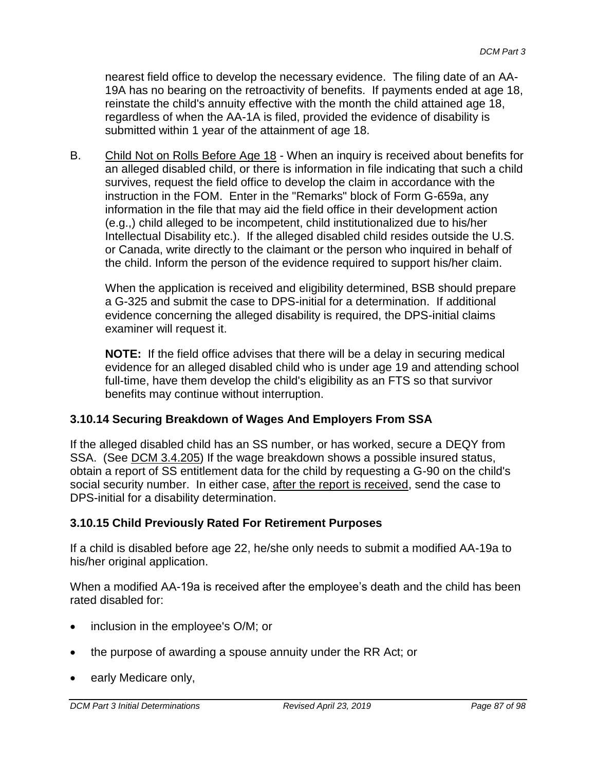nearest field office to develop the necessary evidence. The filing date of an AA-19A has no bearing on the retroactivity of benefits. If payments ended at age 18, reinstate the child's annuity effective with the month the child attained age 18, regardless of when the AA-1A is filed, provided the evidence of disability is submitted within 1 year of the attainment of age 18.

B. Child Not on Rolls Before Age 18 - When an inquiry is received about benefits for an alleged disabled child, or there is information in file indicating that such a child survives, request the field office to develop the claim in accordance with the instruction in the FOM. Enter in the "Remarks" block of Form G-659a, any information in the file that may aid the field office in their development action (e.g.,) child alleged to be incompetent, child institutionalized due to his/her Intellectual Disability etc.). If the alleged disabled child resides outside the U.S. or Canada, write directly to the claimant or the person who inquired in behalf of the child. Inform the person of the evidence required to support his/her claim.

When the application is received and eligibility determined, BSB should prepare a G-325 and submit the case to DPS-initial for a determination. If additional evidence concerning the alleged disability is required, the DPS-initial claims examiner will request it.

**NOTE:** If the field office advises that there will be a delay in securing medical evidence for an alleged disabled child who is under age 19 and attending school full-time, have them develop the child's eligibility as an FTS so that survivor benefits may continue without interruption.

## **3.10.14 Securing Breakdown of Wages And Employers From SSA**

If the alleged disabled child has an SS number, or has worked, secure a DEQY from SSA. (See DCM 3.4.205) If the wage breakdown shows a possible insured status, obtain a report of SS entitlement data for the child by requesting a G-90 on the child's social security number. In either case, after the report is received, send the case to DPS-initial for a disability determination.

## **3.10.15 Child Previously Rated For Retirement Purposes**

If a child is disabled before age 22, he/she only needs to submit a modified AA-19a to his/her original application.

When a modified AA-19a is received after the employee's death and the child has been rated disabled for:

- inclusion in the employee's O/M; or
- the purpose of awarding a spouse annuity under the RR Act; or
- early Medicare only,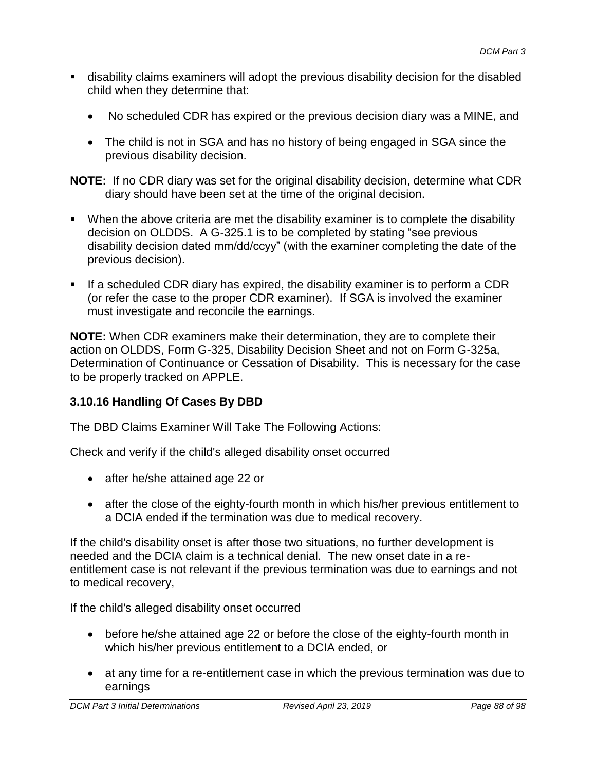- disability claims examiners will adopt the previous disability decision for the disabled child when they determine that:
	- No scheduled CDR has expired or the previous decision diary was a MINE, and
	- The child is not in SGA and has no history of being engaged in SGA since the previous disability decision.

**NOTE:** If no CDR diary was set for the original disability decision, determine what CDR diary should have been set at the time of the original decision.

- **When the above criteria are met the disability examiner is to complete the disability** decision on OLDDS. A G-325.1 is to be completed by stating "see previous disability decision dated mm/dd/ccyy" (with the examiner completing the date of the previous decision).
- If a scheduled CDR diary has expired, the disability examiner is to perform a CDR (or refer the case to the proper CDR examiner). If SGA is involved the examiner must investigate and reconcile the earnings.

**NOTE:** When CDR examiners make their determination, they are to complete their action on OLDDS, Form G-325, Disability Decision Sheet and not on Form G-325a, Determination of Continuance or Cessation of Disability. This is necessary for the case to be properly tracked on APPLE.

## **3.10.16 Handling Of Cases By DBD**

The DBD Claims Examiner Will Take The Following Actions:

Check and verify if the child's alleged disability onset occurred

- after he/she attained age 22 or
- after the close of the eighty-fourth month in which his/her previous entitlement to a DCIA ended if the termination was due to medical recovery.

If the child's disability onset is after those two situations, no further development is needed and the DCIA claim is a technical denial. The new onset date in a reentitlement case is not relevant if the previous termination was due to earnings and not to medical recovery,

If the child's alleged disability onset occurred

- before he/she attained age 22 or before the close of the eighty-fourth month in which his/her previous entitlement to a DCIA ended, or
- at any time for a re-entitlement case in which the previous termination was due to earnings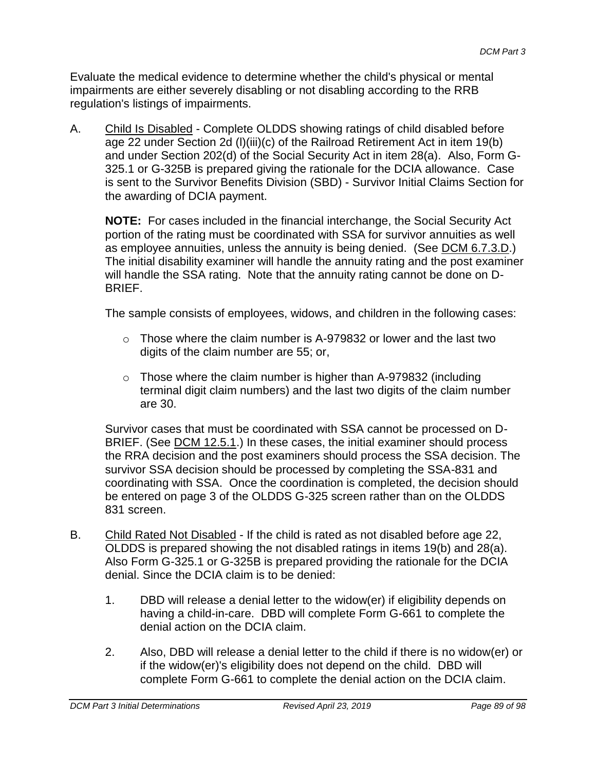Evaluate the medical evidence to determine whether the child's physical or mental impairments are either severely disabling or not disabling according to the RRB regulation's listings of impairments.

A. Child Is Disabled - Complete OLDDS showing ratings of child disabled before age 22 under Section 2d (l)(iii)(c) of the Railroad Retirement Act in item 19(b) and under Section 202(d) of the Social Security Act in item 28(a). Also, Form G-325.1 or G-325B is prepared giving the rationale for the DCIA allowance. Case is sent to the Survivor Benefits Division (SBD) - Survivor Initial Claims Section for the awarding of DCIA payment.

**NOTE:** For cases included in the financial interchange, the Social Security Act portion of the rating must be coordinated with SSA for survivor annuities as well as employee annuities, unless the annuity is being denied. (See DCM 6.7.3.D.) The initial disability examiner will handle the annuity rating and the post examiner will handle the SSA rating. Note that the annuity rating cannot be done on D-BRIEF.

The sample consists of employees, widows, and children in the following cases:

- $\circ$  Those where the claim number is A-979832 or lower and the last two digits of the claim number are 55; or,
- $\circ$  Those where the claim number is higher than A-979832 (including terminal digit claim numbers) and the last two digits of the claim number are 30.

Survivor cases that must be coordinated with SSA cannot be processed on D-BRIEF. (See DCM 12.5.1.) In these cases, the initial examiner should process the RRA decision and the post examiners should process the SSA decision. The survivor SSA decision should be processed by completing the SSA-831 and coordinating with SSA. Once the coordination is completed, the decision should be entered on page 3 of the OLDDS G-325 screen rather than on the OLDDS 831 screen.

- B. Child Rated Not Disabled If the child is rated as not disabled before age 22, OLDDS is prepared showing the not disabled ratings in items 19(b) and 28(a). Also Form G-325.1 or G-325B is prepared providing the rationale for the DCIA denial. Since the DCIA claim is to be denied:
	- 1. DBD will release a denial letter to the widow(er) if eligibility depends on having a child-in-care. DBD will complete Form G-661 to complete the denial action on the DCIA claim.
	- 2. Also, DBD will release a denial letter to the child if there is no widow(er) or if the widow(er)'s eligibility does not depend on the child. DBD will complete Form G-661 to complete the denial action on the DCIA claim.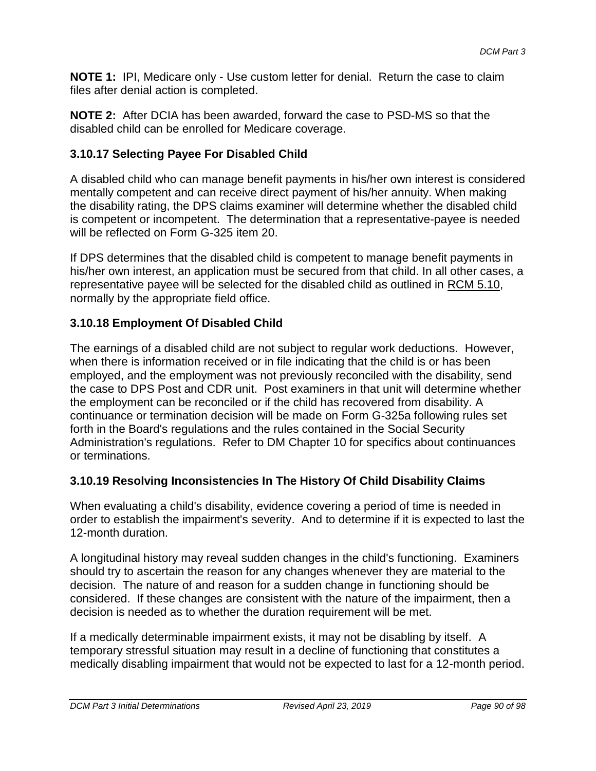**NOTE 1:** IPI, Medicare only - Use custom letter for denial. Return the case to claim files after denial action is completed.

**NOTE 2:** After DCIA has been awarded, forward the case to PSD-MS so that the disabled child can be enrolled for Medicare coverage.

## **3.10.17 Selecting Payee For Disabled Child**

A disabled child who can manage benefit payments in his/her own interest is considered mentally competent and can receive direct payment of his/her annuity. When making the disability rating, the DPS claims examiner will determine whether the disabled child is competent or incompetent. The determination that a representative-payee is needed will be reflected on Form G-325 item 20.

If DPS determines that the disabled child is competent to manage benefit payments in his/her own interest, an application must be secured from that child. In all other cases, a representative payee will be selected for the disabled child as outlined in RCM 5.10, normally by the appropriate field office.

## **3.10.18 Employment Of Disabled Child**

The earnings of a disabled child are not subject to regular work deductions. However, when there is information received or in file indicating that the child is or has been employed, and the employment was not previously reconciled with the disability, send the case to DPS Post and CDR unit. Post examiners in that unit will determine whether the employment can be reconciled or if the child has recovered from disability. A continuance or termination decision will be made on Form G-325a following rules set forth in the Board's regulations and the rules contained in the Social Security Administration's regulations. Refer to DM Chapter 10 for specifics about continuances or terminations.

## **3.10.19 Resolving Inconsistencies In The History Of Child Disability Claims**

When evaluating a child's disability, evidence covering a period of time is needed in order to establish the impairment's severity. And to determine if it is expected to last the 12-month duration.

A longitudinal history may reveal sudden changes in the child's functioning. Examiners should try to ascertain the reason for any changes whenever they are material to the decision. The nature of and reason for a sudden change in functioning should be considered. If these changes are consistent with the nature of the impairment, then a decision is needed as to whether the duration requirement will be met.

If a medically determinable impairment exists, it may not be disabling by itself. A temporary stressful situation may result in a decline of functioning that constitutes a medically disabling impairment that would not be expected to last for a 12-month period.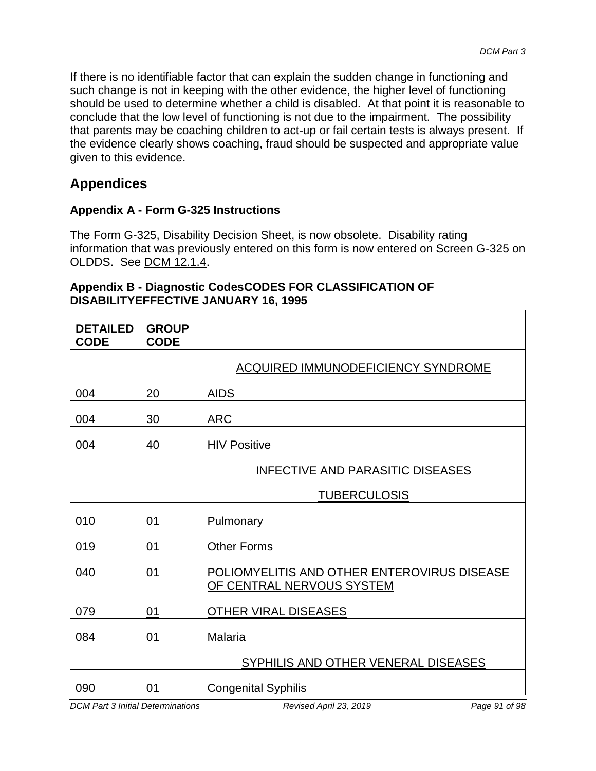If there is no identifiable factor that can explain the sudden change in functioning and such change is not in keeping with the other evidence, the higher level of functioning should be used to determine whether a child is disabled. At that point it is reasonable to conclude that the low level of functioning is not due to the impairment. The possibility that parents may be coaching children to act-up or fail certain tests is always present. If the evidence clearly shows coaching, fraud should be suspected and appropriate value given to this evidence.

# **Appendices**

## **Appendix A - Form G-325 Instructions**

The Form G-325, Disability Decision Sheet, is now obsolete. Disability rating information that was previously entered on this form is now entered on Screen G-325 on OLDDS. See DCM 12.1.4.

| Appendix B - Diagnostic CodesCODES FOR CLASSIFICATION OF |
|----------------------------------------------------------|
| <b>DISABILITYEFFECTIVE JANUARY 16, 1995</b>              |

| <b>DETAILED</b><br><b>CODE</b> | <b>GROUP</b><br><b>CODE</b> |                                                                          |
|--------------------------------|-----------------------------|--------------------------------------------------------------------------|
|                                |                             | <b>ACQUIRED IMMUNODEFICIENCY SYNDROME</b>                                |
| 004                            | 20                          | <b>AIDS</b>                                                              |
| 004                            | 30                          | <b>ARC</b>                                                               |
| 004                            | 40                          | <b>HIV Positive</b>                                                      |
|                                |                             | <b>INFECTIVE AND PARASITIC DISEASES</b>                                  |
|                                |                             | <b>TUBERCULOSIS</b>                                                      |
| 010                            | 01                          | Pulmonary                                                                |
| 019                            | 01                          | <b>Other Forms</b>                                                       |
| 040                            | 01                          | POLIOMYELITIS AND OTHER ENTEROVIRUS DISEASE<br>OF CENTRAL NERVOUS SYSTEM |
| 079                            | 01                          | <b>OTHER VIRAL DISEASES</b>                                              |
| 084                            | 01                          | Malaria                                                                  |
|                                |                             | SYPHILIS AND OTHER VENERAL DISEASES                                      |
| 090                            | 01                          | <b>Congenital Syphilis</b>                                               |

*DCM Part 3 Initial Determinations Revised April 23, 2019 Page 91 of 98*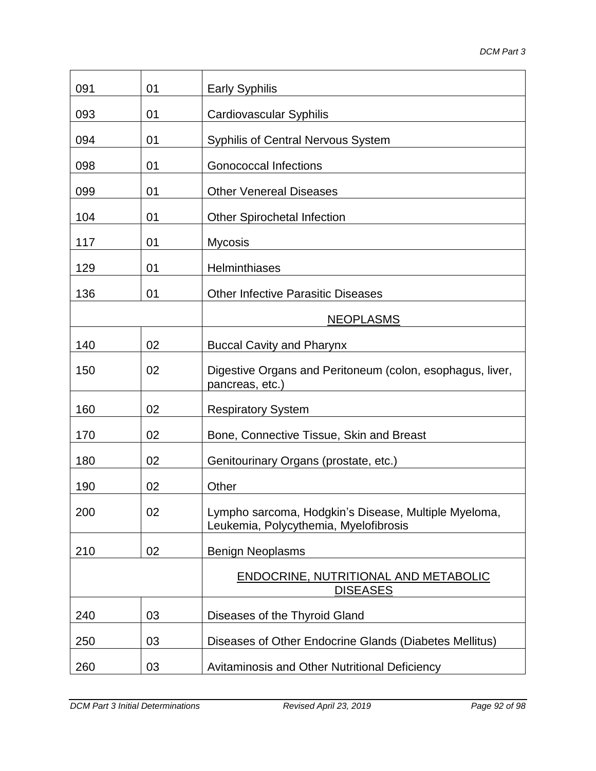| 091 | 01 | <b>Early Syphilis</b>                                                                         |
|-----|----|-----------------------------------------------------------------------------------------------|
| 093 | 01 | <b>Cardiovascular Syphilis</b>                                                                |
| 094 | 01 | <b>Syphilis of Central Nervous System</b>                                                     |
| 098 | 01 | <b>Gonococcal Infections</b>                                                                  |
| 099 | 01 | <b>Other Venereal Diseases</b>                                                                |
| 104 | 01 | <b>Other Spirochetal Infection</b>                                                            |
| 117 | 01 | <b>Mycosis</b>                                                                                |
| 129 | 01 | <b>Helminthiases</b>                                                                          |
| 136 | 01 | <b>Other Infective Parasitic Diseases</b>                                                     |
|     |    | <b>NEOPLASMS</b>                                                                              |
| 140 | 02 | <b>Buccal Cavity and Pharynx</b>                                                              |
| 150 | 02 | Digestive Organs and Peritoneum (colon, esophagus, liver,<br>pancreas, etc.)                  |
| 160 | 02 | <b>Respiratory System</b>                                                                     |
| 170 | 02 | Bone, Connective Tissue, Skin and Breast                                                      |
| 180 | 02 | Genitourinary Organs (prostate, etc.)                                                         |
| 190 | 02 | Other                                                                                         |
| 200 | 02 | Lympho sarcoma, Hodgkin's Disease, Multiple Myeloma,<br>Leukemia, Polycythemia, Myelofibrosis |
| 210 | 02 | <b>Benign Neoplasms</b>                                                                       |
|     |    | ENDOCRINE, NUTRITIONAL AND METABOLIC<br><b>DISEASES</b>                                       |
| 240 | 03 | Diseases of the Thyroid Gland                                                                 |
| 250 | 03 | Diseases of Other Endocrine Glands (Diabetes Mellitus)                                        |
| 260 | 03 | Avitaminosis and Other Nutritional Deficiency                                                 |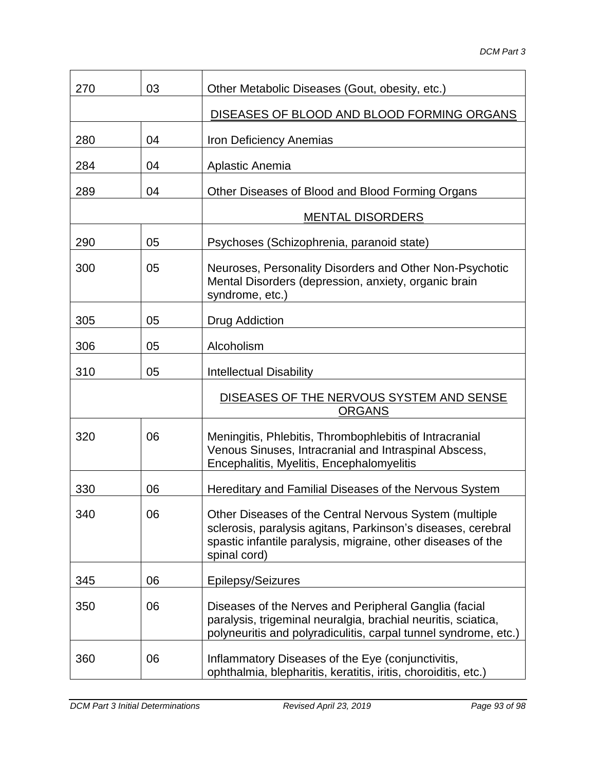| 270 | 03 | Other Metabolic Diseases (Gout, obesity, etc.)                                                                                                                                                         |
|-----|----|--------------------------------------------------------------------------------------------------------------------------------------------------------------------------------------------------------|
|     |    | DISEASES OF BLOOD AND BLOOD FORMING ORGANS                                                                                                                                                             |
| 280 | 04 | Iron Deficiency Anemias                                                                                                                                                                                |
| 284 | 04 | Aplastic Anemia                                                                                                                                                                                        |
| 289 | 04 | Other Diseases of Blood and Blood Forming Organs                                                                                                                                                       |
|     |    | <b>MENTAL DISORDERS</b>                                                                                                                                                                                |
| 290 | 05 | Psychoses (Schizophrenia, paranoid state)                                                                                                                                                              |
| 300 | 05 | Neuroses, Personality Disorders and Other Non-Psychotic<br>Mental Disorders (depression, anxiety, organic brain<br>syndrome, etc.)                                                                     |
| 305 | 05 | <b>Drug Addiction</b>                                                                                                                                                                                  |
| 306 | 05 | Alcoholism                                                                                                                                                                                             |
| 310 | 05 | <b>Intellectual Disability</b>                                                                                                                                                                         |
|     |    | DISEASES OF THE NERVOUS SYSTEM AND SENSE<br><b>ORGANS</b>                                                                                                                                              |
| 320 | 06 | Meningitis, Phlebitis, Thrombophlebitis of Intracranial<br>Venous Sinuses, Intracranial and Intraspinal Abscess,<br>Encephalitis, Myelitis, Encephalomyelitis                                          |
| 330 | 06 | Hereditary and Familial Diseases of the Nervous System                                                                                                                                                 |
| 340 | 06 | Other Diseases of the Central Nervous System (multiple<br>sclerosis, paralysis agitans, Parkinson's diseases, cerebral<br>spastic infantile paralysis, migraine, other diseases of the<br>spinal cord) |
| 345 | 06 | Epilepsy/Seizures                                                                                                                                                                                      |
| 350 | 06 | Diseases of the Nerves and Peripheral Ganglia (facial<br>paralysis, trigeminal neuralgia, brachial neuritis, sciatica,<br>polyneuritis and polyradiculitis, carpal tunnel syndrome, etc.)              |
| 360 | 06 | Inflammatory Diseases of the Eye (conjunctivitis,<br>ophthalmia, blepharitis, keratitis, iritis, choroiditis, etc.)                                                                                    |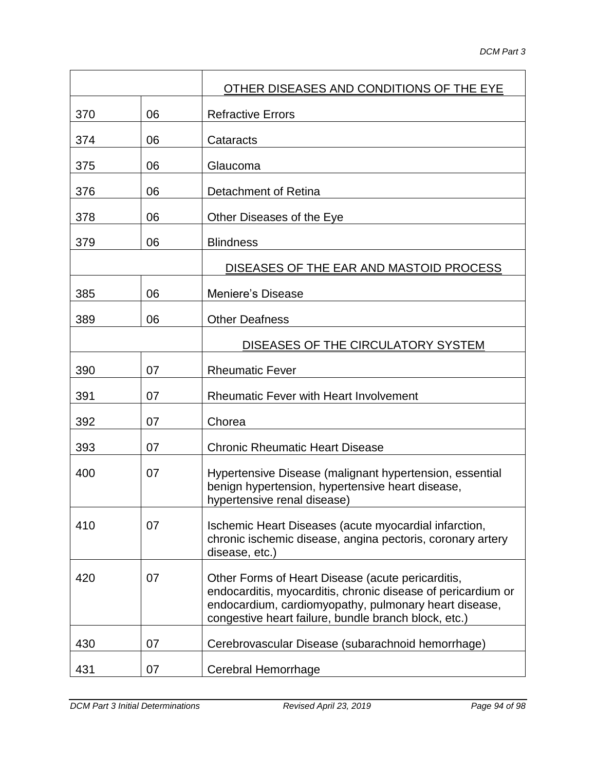|     |    | OTHER DISEASES AND CONDITIONS OF THE EYE                                                                                                                                                                                           |
|-----|----|------------------------------------------------------------------------------------------------------------------------------------------------------------------------------------------------------------------------------------|
| 370 | 06 | <b>Refractive Errors</b>                                                                                                                                                                                                           |
| 374 | 06 | Cataracts                                                                                                                                                                                                                          |
| 375 | 06 | Glaucoma                                                                                                                                                                                                                           |
| 376 | 06 | Detachment of Retina                                                                                                                                                                                                               |
| 378 | 06 | Other Diseases of the Eye                                                                                                                                                                                                          |
| 379 | 06 | <b>Blindness</b>                                                                                                                                                                                                                   |
|     |    | DISEASES OF THE EAR AND MASTOID PROCESS                                                                                                                                                                                            |
| 385 | 06 | <b>Meniere's Disease</b>                                                                                                                                                                                                           |
| 389 | 06 | <b>Other Deafness</b>                                                                                                                                                                                                              |
|     |    | DISEASES OF THE CIRCULATORY SYSTEM                                                                                                                                                                                                 |
| 390 | 07 | <b>Rheumatic Fever</b>                                                                                                                                                                                                             |
| 391 | 07 | <b>Rheumatic Fever with Heart Involvement</b>                                                                                                                                                                                      |
| 392 | 07 | Chorea                                                                                                                                                                                                                             |
| 393 | 07 | <b>Chronic Rheumatic Heart Disease</b>                                                                                                                                                                                             |
| 400 | 07 | Hypertensive Disease (malignant hypertension, essential<br>benign hypertension, hypertensive heart disease,<br>hypertensive renal disease)                                                                                         |
| 410 | 07 | Ischemic Heart Diseases (acute myocardial infarction,<br>chronic ischemic disease, angina pectoris, coronary artery<br>disease, etc.)                                                                                              |
| 420 | 07 | Other Forms of Heart Disease (acute pericarditis,<br>endocarditis, myocarditis, chronic disease of pericardium or<br>endocardium, cardiomyopathy, pulmonary heart disease,<br>congestive heart failure, bundle branch block, etc.) |
| 430 | 07 | Cerebrovascular Disease (subarachnoid hemorrhage)                                                                                                                                                                                  |
| 431 | 07 | Cerebral Hemorrhage                                                                                                                                                                                                                |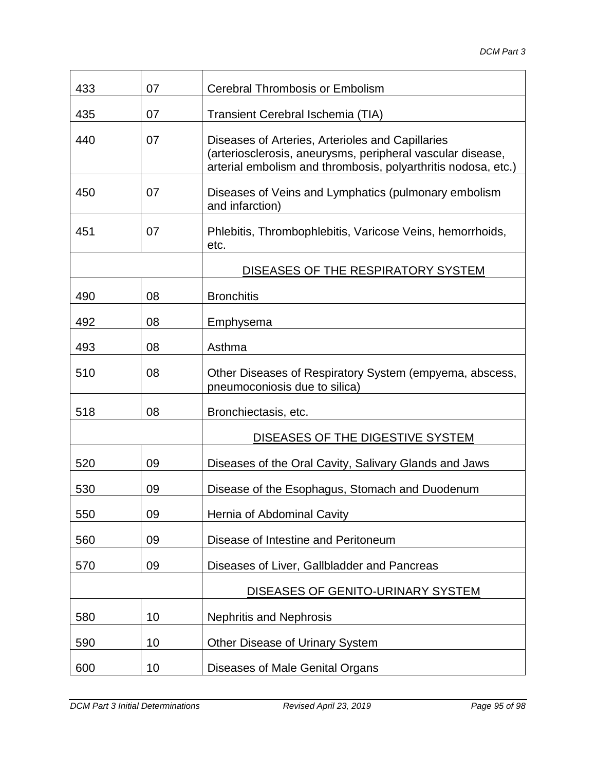| 433 | 07 | <b>Cerebral Thrombosis or Embolism</b>                                                                                                                                          |
|-----|----|---------------------------------------------------------------------------------------------------------------------------------------------------------------------------------|
| 435 | 07 | Transient Cerebral Ischemia (TIA)                                                                                                                                               |
| 440 | 07 | Diseases of Arteries, Arterioles and Capillaries<br>(arteriosclerosis, aneurysms, peripheral vascular disease,<br>arterial embolism and thrombosis, polyarthritis nodosa, etc.) |
| 450 | 07 | Diseases of Veins and Lymphatics (pulmonary embolism<br>and infarction)                                                                                                         |
| 451 | 07 | Phlebitis, Thrombophlebitis, Varicose Veins, hemorrhoids,<br>etc.                                                                                                               |
|     |    | DISEASES OF THE RESPIRATORY SYSTEM                                                                                                                                              |
| 490 | 08 | <b>Bronchitis</b>                                                                                                                                                               |
| 492 | 08 | Emphysema                                                                                                                                                                       |
| 493 | 08 | Asthma                                                                                                                                                                          |
| 510 | 08 | Other Diseases of Respiratory System (empyema, abscess,<br>pneumoconiosis due to silica)                                                                                        |
| 518 | 08 | Bronchiectasis, etc.                                                                                                                                                            |
|     |    | DISEASES OF THE DIGESTIVE SYSTEM                                                                                                                                                |
| 520 | 09 | Diseases of the Oral Cavity, Salivary Glands and Jaws                                                                                                                           |
| 530 | 09 | Disease of the Esophagus, Stomach and Duodenum                                                                                                                                  |
| 550 | 09 | Hernia of Abdominal Cavity                                                                                                                                                      |
| 560 | 09 | Disease of Intestine and Peritoneum                                                                                                                                             |
| 570 | 09 | Diseases of Liver, Gallbladder and Pancreas                                                                                                                                     |
|     |    | DISEASES OF GENITO-URINARY SYSTEM                                                                                                                                               |
| 580 | 10 | <b>Nephritis and Nephrosis</b>                                                                                                                                                  |
| 590 | 10 | Other Disease of Urinary System                                                                                                                                                 |
| 600 | 10 | Diseases of Male Genital Organs                                                                                                                                                 |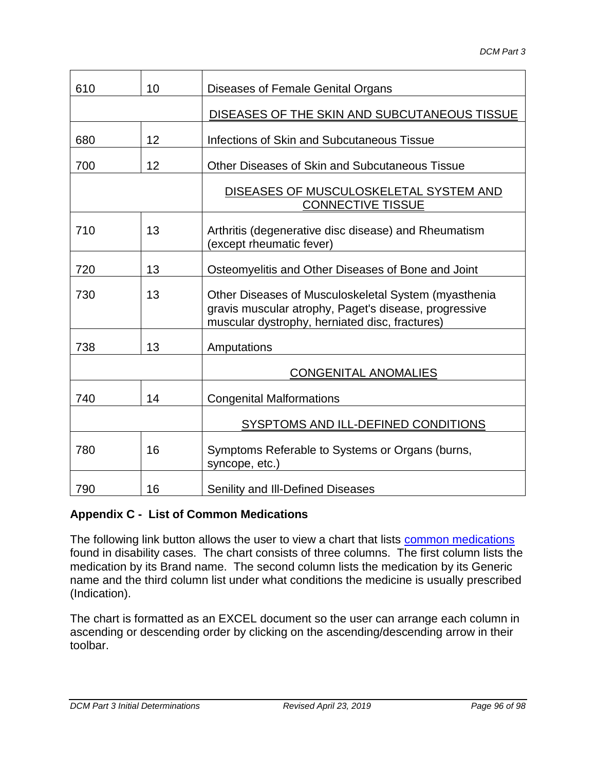| 610 | 10 | Diseases of Female Genital Organs                                                                                                                               |
|-----|----|-----------------------------------------------------------------------------------------------------------------------------------------------------------------|
|     |    | DISEASES OF THE SKIN AND SUBCUTANEOUS TISSUE                                                                                                                    |
| 680 | 12 | Infections of Skin and Subcutaneous Tissue                                                                                                                      |
| 700 | 12 | Other Diseases of Skin and Subcutaneous Tissue                                                                                                                  |
|     |    | DISEASES OF MUSCULOSKELETAL SYSTEM AND<br><b>CONNECTIVE TISSUE</b>                                                                                              |
| 710 | 13 | Arthritis (degenerative disc disease) and Rheumatism<br>(except rheumatic fever)                                                                                |
| 720 | 13 | Osteomyelitis and Other Diseases of Bone and Joint                                                                                                              |
| 730 | 13 | Other Diseases of Musculoskeletal System (myasthenia<br>gravis muscular atrophy, Paget's disease, progressive<br>muscular dystrophy, herniated disc, fractures) |
| 738 | 13 | Amputations                                                                                                                                                     |
|     |    | <b>CONGENITAL ANOMALIES</b>                                                                                                                                     |
| 740 | 14 | <b>Congenital Malformations</b>                                                                                                                                 |
|     |    | SYSPTOMS AND ILL-DEFINED CONDITIONS                                                                                                                             |
| 780 | 16 | Symptoms Referable to Systems or Organs (burns,<br>syncope, etc.)                                                                                               |
| 790 | 16 | Senility and III-Defined Diseases                                                                                                                               |

## **Appendix C - List of Common Medications**

The following link button allows the user to view a chart that lists [common medications](file://///share/prism/Graphics/DCM%203/Commedications.xls) found in disability cases. The chart consists of three columns. The first column lists the medication by its Brand name. The second column lists the medication by its Generic name and the third column list under what conditions the medicine is usually prescribed (Indication).

The chart is formatted as an EXCEL document so the user can arrange each column in ascending or descending order by clicking on the ascending/descending arrow in their toolbar.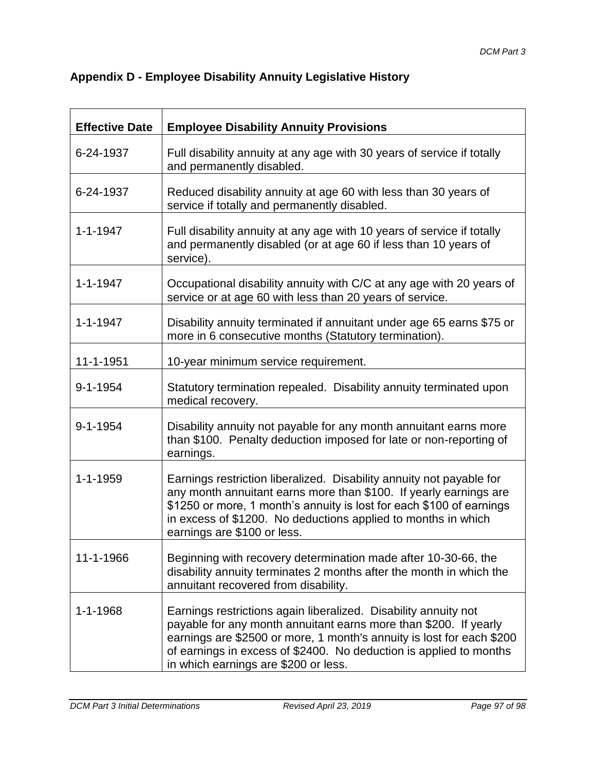| <b>Appendix D - Employee Disability Annuity Legislative History</b> |
|---------------------------------------------------------------------|
|---------------------------------------------------------------------|

| <b>Effective Date</b> | <b>Employee Disability Annuity Provisions</b>                                                                                                                                                                                                                                                                              |
|-----------------------|----------------------------------------------------------------------------------------------------------------------------------------------------------------------------------------------------------------------------------------------------------------------------------------------------------------------------|
| 6-24-1937             | Full disability annuity at any age with 30 years of service if totally<br>and permanently disabled.                                                                                                                                                                                                                        |
| 6-24-1937             | Reduced disability annuity at age 60 with less than 30 years of<br>service if totally and permanently disabled.                                                                                                                                                                                                            |
| $1 - 1 - 1947$        | Full disability annuity at any age with 10 years of service if totally<br>and permanently disabled (or at age 60 if less than 10 years of<br>service).                                                                                                                                                                     |
| $1 - 1 - 1947$        | Occupational disability annuity with C/C at any age with 20 years of<br>service or at age 60 with less than 20 years of service.                                                                                                                                                                                           |
| $1 - 1 - 1947$        | Disability annuity terminated if annuitant under age 65 earns \$75 or<br>more in 6 consecutive months (Statutory termination).                                                                                                                                                                                             |
| 11-1-1951             | 10-year minimum service requirement.                                                                                                                                                                                                                                                                                       |
| 9-1-1954              | Statutory termination repealed. Disability annuity terminated upon<br>medical recovery.                                                                                                                                                                                                                                    |
| $9 - 1 - 1954$        | Disability annuity not payable for any month annuitant earns more<br>than \$100. Penalty deduction imposed for late or non-reporting of<br>earnings.                                                                                                                                                                       |
| $1 - 1 - 1959$        | Earnings restriction liberalized. Disability annuity not payable for<br>any month annuitant earns more than \$100. If yearly earnings are<br>\$1250 or more, 1 month's annuity is lost for each \$100 of earnings<br>in excess of \$1200. No deductions applied to months in which<br>earnings are \$100 or less.          |
| 11-1-1966             | Beginning with recovery determination made after 10-30-66, the<br>disability annuity terminates 2 months after the month in which the<br>annuitant recovered from disability.                                                                                                                                              |
| $1 - 1 - 1968$        | Earnings restrictions again liberalized. Disability annuity not<br>payable for any month annuitant earns more than \$200. If yearly<br>earnings are \$2500 or more, 1 month's annuity is lost for each \$200<br>of earnings in excess of \$2400. No deduction is applied to months<br>in which earnings are \$200 or less. |